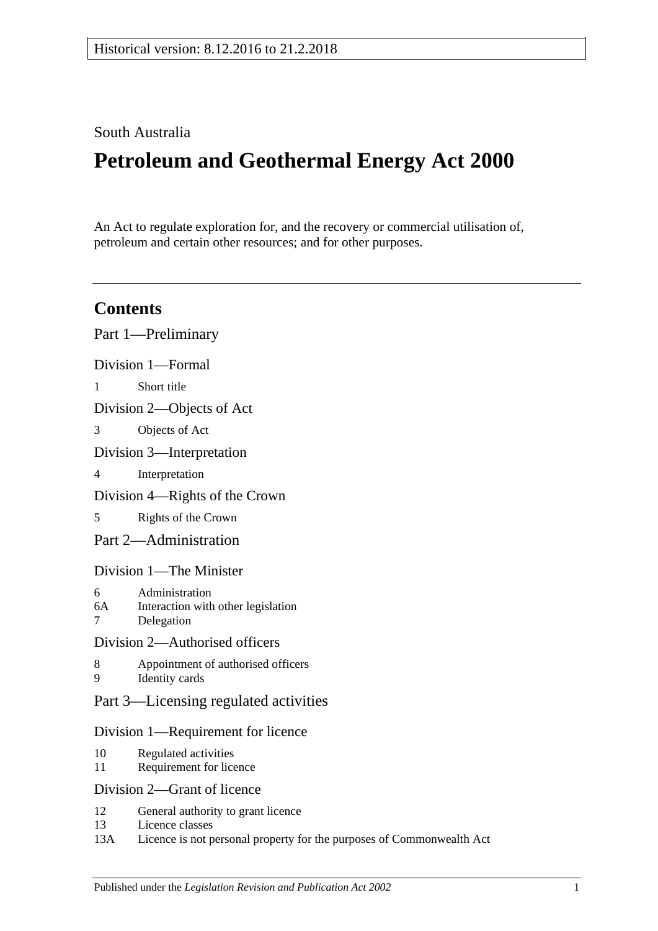# South Australia

# **Petroleum and Geothermal Energy Act 2000**

An Act to regulate exploration for, and the recovery or commercial utilisation of, petroleum and certain other resources; and for other purposes.

# **Contents**

|                                    | Part 1—Preliminary                                                 |
|------------------------------------|--------------------------------------------------------------------|
|                                    | Division 1-Formal                                                  |
| 1                                  | Short title                                                        |
| Division 2—Objects of Act          |                                                                    |
| 3                                  | Objects of Act                                                     |
| Division 3-Interpretation          |                                                                    |
| 4                                  | Interpretation                                                     |
| Division 4—Rights of the Crown     |                                                                    |
| 5                                  | Rights of the Crown                                                |
|                                    | Part 2—Administration                                              |
| Division 1—The Minister            |                                                                    |
| 6<br>6A<br>$7\overline{ }$         | Administration<br>Interaction with other legislation<br>Delegation |
| Division 2—Authorised officers     |                                                                    |
| 8<br>9                             | Appointment of authorised officers<br><b>Identity</b> cards        |
|                                    | Part 3—Licensing regulated activities                              |
| Division 1—Requirement for licence |                                                                    |
| 10<br>11                           | Regulated activities<br>Requirement for licence                    |
|                                    | Division 2—Grant of licence                                        |
| 12<br>13                           | General authority to grant licence<br>Licence classes              |

13A [Licence is not personal property for the purposes of Commonwealth Act](#page-15-0)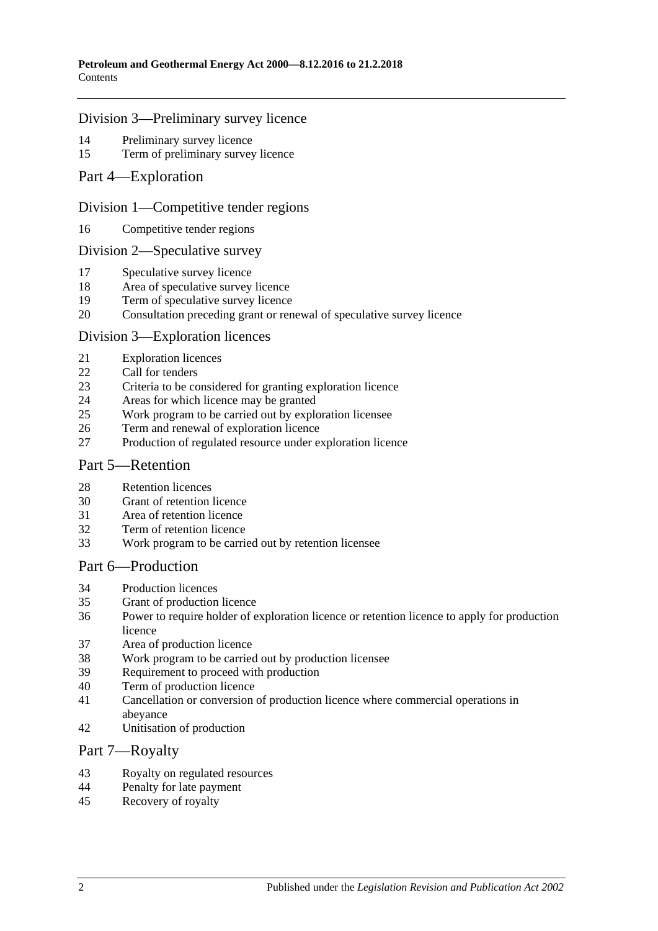#### [Division 3—Preliminary survey licence](#page-15-1)

- [Preliminary survey licence](#page-15-2)<br>15 Term of preliminary survey
- [Term of preliminary survey licence](#page-15-3)
- [Part 4—Exploration](#page-15-4)

#### [Division 1—Competitive tender regions](#page-15-5)

[Competitive tender regions](#page-15-6)

#### [Division 2—Speculative survey](#page-15-7)

- [Speculative survey licence](#page-15-8)
- [Area of speculative survey licence](#page-16-0)
- [Term of speculative survey licence](#page-16-1)
- [Consultation preceding grant or renewal of speculative survey licence](#page-16-2)

#### [Division 3—Exploration licences](#page-16-3)

- [Exploration licences](#page-16-4)
- [Call for tenders](#page-17-0)
- [Criteria to be considered for granting exploration licence](#page-17-1)
- [Areas for which licence may be granted](#page-17-2)
- [Work program to be carried out by exploration licensee](#page-18-0)
- [Term and renewal of exploration licence](#page-18-1)
- [Production of regulated resource under exploration licence](#page-19-0)

#### [Part 5—Retention](#page-19-1)

- [Retention licences](#page-19-2)
- [Grant of retention licence](#page-20-0)
- [Area of retention](#page-21-0) licence
- [Term of retention licence](#page-21-1)
- [Work program to be carried out by retention licensee](#page-21-2)

#### [Part 6—Production](#page-22-0)

- [Production licences](#page-22-1)
- [Grant of production licence](#page-22-2)
- [Power to require holder of exploration licence or retention licence to apply for production](#page-23-0) [licence](#page-23-0)
- [Area of production licence](#page-24-0)
- [Work program to be carried out by production licensee](#page-24-1)
- [Requirement to proceed with production](#page-24-2)
- [Term of production licence](#page-25-0)
- [Cancellation or conversion of production licence where commercial operations in](#page-25-1)  [abeyance](#page-25-1)
- [Unitisation of production](#page-25-2)

#### [Part 7—Royalty](#page-25-3)

- [Royalty on regulated resources](#page-25-4)<br>44 Penalty for late nayment
- [Penalty for late payment](#page-27-0)
- [Recovery of royalty](#page-27-1)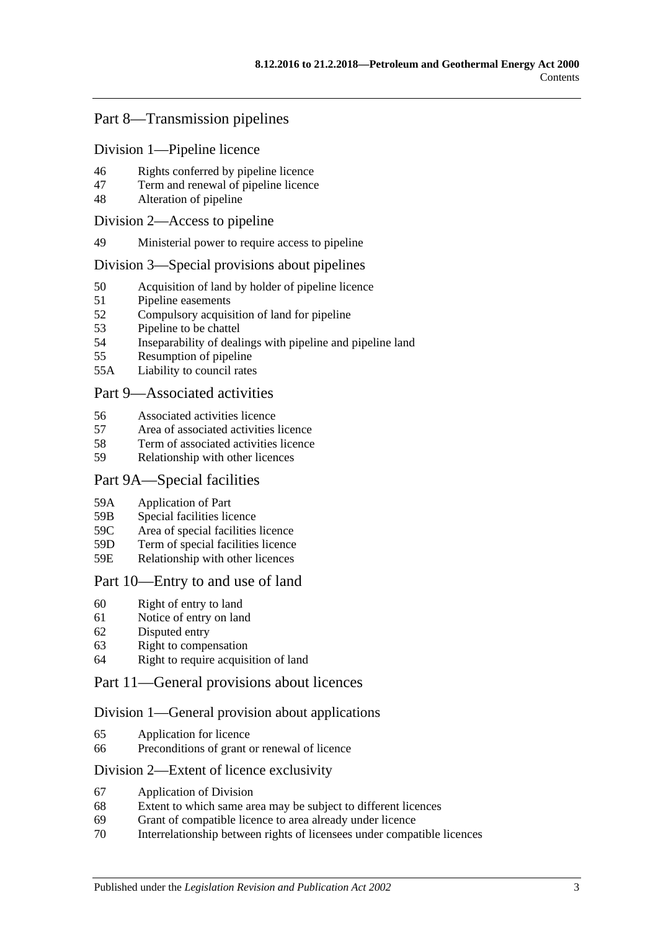# [Part 8—Transmission pipelines](#page-27-2)

[Division 1—Pipeline licence](#page-27-3)

- 46 [Rights conferred by pipeline licence](#page-27-4)
- 47 [Term and renewal of pipeline licence](#page-28-0)
- 48 [Alteration of pipeline](#page-28-1)

#### [Division 2—Access to pipeline](#page-28-2)

49 [Ministerial power to require access to pipeline](#page-28-3)

#### [Division 3—Special provisions about pipelines](#page-29-0)

- 50 [Acquisition of land by holder of pipeline licence](#page-29-1)<br>51 Pipeline easements
- [Pipeline easements](#page-29-2)
- 52 [Compulsory acquisition of land for pipeline](#page-29-3)
- 53 [Pipeline to be chattel](#page-29-4)
- 54 [Inseparability of dealings with pipeline and pipeline land](#page-29-5)
- 55 [Resumption of pipeline](#page-30-0)
- 55A [Liability to council rates](#page-30-1)

### [Part 9—Associated activities](#page-31-0)

- 56 [Associated activities licence](#page-31-1)
- 57 [Area of associated activities licence](#page-31-2)
- 58 [Term of associated activities licence](#page-31-3)
- 59 [Relationship with other licences](#page-32-0)

### [Part 9A—Special facilities](#page-33-0)

- 59A [Application of Part](#page-33-1)
- 59B [Special facilities licence](#page-33-2)
- 59C [Area of special facilities licence](#page-33-3)
- 59D [Term of special facilities licence](#page-33-4)
- 59E [Relationship with other licences](#page-34-0)

### [Part 10—Entry to and use of land](#page-34-1)

- 60 [Right of entry to land](#page-34-2)
- 61 [Notice of entry on land](#page-35-0)
- 62 [Disputed entry](#page-35-1)
- 63 [Right to compensation](#page-35-2)
- 64 [Right to require acquisition of land](#page-36-0)

### [Part 11—General provisions about licences](#page-37-0)

### [Division 1—General provision about applications](#page-37-1)

- 65 [Application for licence](#page-37-2)
- 66 [Preconditions of grant or renewal of licence](#page-38-0)

### [Division 2—Extent of licence exclusivity](#page-38-1)

- 67 [Application of Division](#page-38-2)
- 68 [Extent to which same area may be subject to different licences](#page-38-3)
- 69 [Grant of compatible licence to area already under licence](#page-39-0)
- 70 [Interrelationship between rights of licensees under compatible licences](#page-39-1)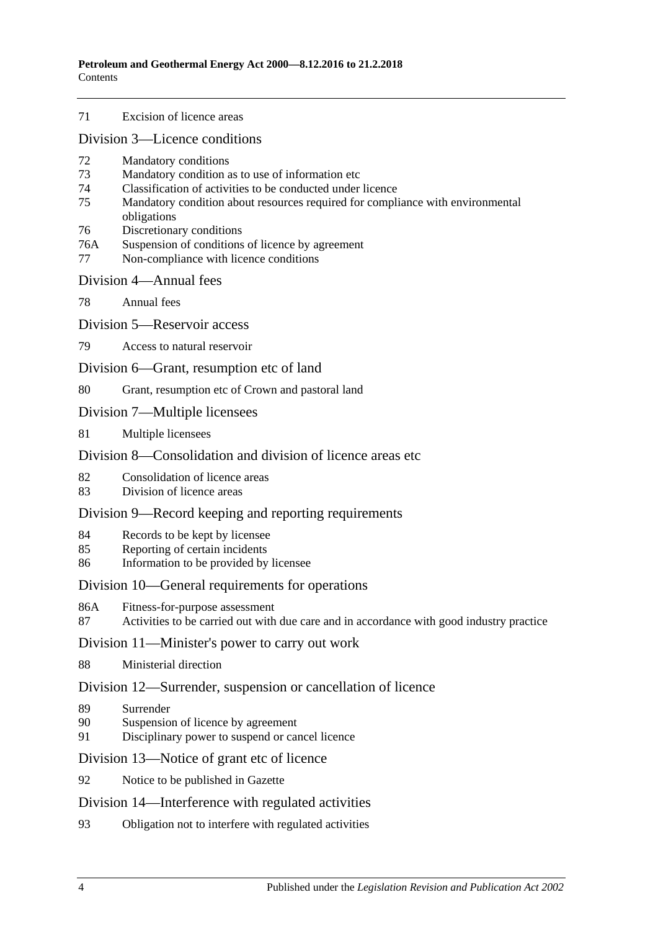71 [Excision of licence areas](#page-39-2)

[Division 3—Licence conditions](#page-39-3)

- 72 [Mandatory conditions](#page-39-4)
- 73 [Mandatory condition as to use of information etc](#page-39-5)
- 74 [Classification of activities to be conducted under licence](#page-40-0)
- 75 [Mandatory condition about resources required for compliance with environmental](#page-40-1)  [obligations](#page-40-1)
- 76 [Discretionary conditions](#page-40-2)
- 76A [Suspension of conditions of licence by agreement](#page-41-0)
- 77 [Non-compliance with licence conditions](#page-41-1)

#### [Division 4—Annual fees](#page-41-2)

78 [Annual fees](#page-41-3)

[Division 5—Reservoir access](#page-41-4)

79 [Access to natural reservoir](#page-41-5)

[Division 6—Grant, resumption etc of land](#page-42-0)

80 [Grant, resumption etc of Crown and pastoral land](#page-42-1)

- [Division 7—Multiple licensees](#page-43-0)
- 81 [Multiple licensees](#page-43-1)

### [Division 8—Consolidation and division of licence areas etc](#page-43-2).

- 82 [Consolidation of licence areas](#page-43-3)
- 83 [Division of licence areas](#page-43-4)

#### [Division 9—Record keeping and reporting requirements](#page-44-0)

- 84 [Records to be kept by licensee](#page-44-1)
- 85 [Reporting of certain incidents](#page-44-2)
- 86 [Information to be provided by licensee](#page-45-0)

#### [Division 10—General requirements for operations](#page-46-0)

- 86A [Fitness-for-purpose assessment](#page-46-1)
- 87 [Activities to be carried out with due care and in accordance with good industry practice](#page-46-2)

#### [Division 11—Minister's power to carry out work](#page-47-0)

88 [Ministerial direction](#page-47-1)

#### [Division 12—Surrender, suspension or cancellation of licence](#page-47-2)

- 89 [Surrender](#page-47-3)
- 90 [Suspension of licence by agreement](#page-47-4)
- 91 [Disciplinary power to suspend or cancel licence](#page-48-0)

[Division 13—Notice of grant etc of licence](#page-48-1)

92 [Notice to be published in Gazette](#page-48-2)

#### [Division 14—Interference with regulated activities](#page-48-3)

93 [Obligation not to interfere with regulated activities](#page-48-4)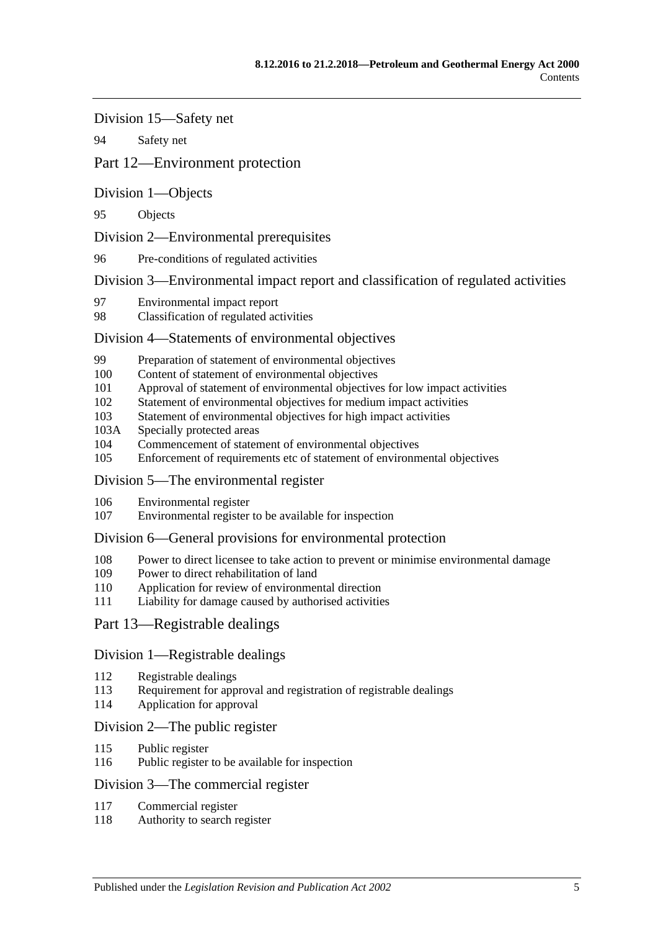[Division 15—Safety net](#page-48-5)

94 [Safety net](#page-48-6)

# [Part 12—Environment protection](#page-49-0)

[Division 1—Objects](#page-49-1)

95 [Objects](#page-49-2)

[Division 2—Environmental prerequisites](#page-49-3)

96 [Pre-conditions of regulated activities](#page-49-4)

[Division 3—Environmental impact report and classification of regulated activities](#page-49-5)

- 97 [Environmental impact report](#page-49-6)
- 98 [Classification of regulated activities](#page-50-0)

### [Division 4—Statements of environmental objectives](#page-50-1)

- 99 [Preparation of statement of environmental objectives](#page-50-2)
- 100 [Content of statement of environmental objectives](#page-50-3)
- 101 [Approval of statement of environmental objectives for low impact activities](#page-51-0)
- 102 [Statement of environmental objectives for medium impact activities](#page-51-1)
- 103 [Statement of environmental objectives for high impact activities](#page-52-0)
- 103A [Specially protected areas](#page-52-1)
- 104 [Commencement of statement of environmental objectives](#page-52-2)<br>105 Enforcement of requirements etc of statement of environments
- [Enforcement of requirements etc of statement of environmental objectives](#page-53-0)

### [Division 5—The environmental register](#page-53-1)

- 106 [Environmental register](#page-53-2)
- 107 [Environmental register to be available for inspection](#page-53-3)

### [Division 6—General provisions for environmental protection](#page-54-0)

- 108 [Power to direct licensee to take action to prevent or minimise environmental damage](#page-54-1)
- 109 [Power to direct rehabilitation of land](#page-54-2)
- 110 [Application for review of environmental direction](#page-55-0)
- 111 [Liability for damage caused by authorised activities](#page-55-1)

### [Part 13—Registrable dealings](#page-55-2)

### [Division 1—Registrable dealings](#page-55-3)

- 112 [Registrable dealings](#page-55-4)
- 113 [Requirement for approval and registration of registrable dealings](#page-56-0)
- 114 [Application for approval](#page-56-1)

### [Division 2—The public register](#page-56-2)

- 115 [Public register](#page-56-3)
- 116 [Public register to be available for inspection](#page-56-4)

### [Division 3—The commercial register](#page-57-0)

- 117 [Commercial register](#page-57-1)
- 118 [Authority to search register](#page-57-2)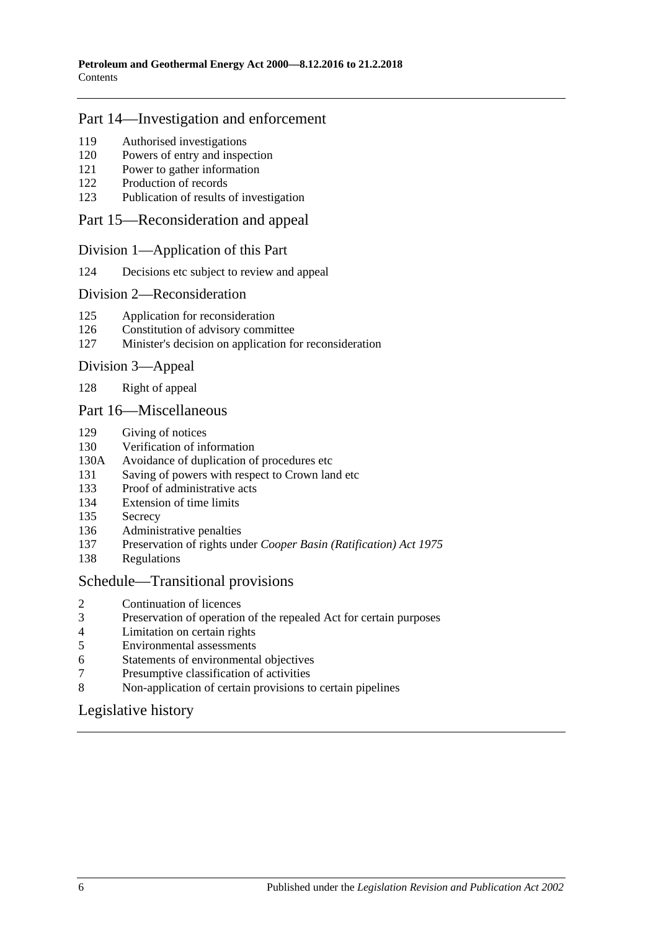## [Part 14—Investigation and enforcement](#page-57-3)

- [Authorised investigations](#page-57-4)
- [Powers of entry and inspection](#page-57-5)
- [Power to gather information](#page-58-0)
- [Production of records](#page-58-1)
- [Publication of results of investigation](#page-59-0)

#### [Part 15—Reconsideration and appeal](#page-59-1)

#### [Division 1—Application of this Part](#page-59-2)

[Decisions etc subject to review and appeal](#page-59-3)

#### [Division 2—Reconsideration](#page-59-4)

- [Application for reconsideration](#page-59-5)
- [Constitution of advisory committee](#page-60-0)
- [Minister's decision on application for reconsideration](#page-60-1)

#### [Division 3—Appeal](#page-60-2)

[Right of appeal](#page-60-3)

#### [Part 16—Miscellaneous](#page-60-4)

- [Giving of notices](#page-60-5)
- [Verification of information](#page-61-0)
- 130A [Avoidance of duplication of procedures etc](#page-61-1)
- [Saving of powers with respect to Crown land etc](#page-63-0)
- [Proof of administrative acts](#page-63-1)
- [Extension of time limits](#page-63-2)
- [Secrecy](#page-63-3)
- [Administrative penalties](#page-64-0)
- Preservation of rights under *[Cooper Basin \(Ratification\) Act](#page-64-1) 1975*
- [Regulations](#page-64-2)

#### [Schedule—Transitional provisions](#page-65-0)

- [Continuation of licences](#page-65-1)
- [Preservation of operation of the repealed Act for certain purposes](#page-65-2)
- [Limitation on certain rights](#page-65-3)
- [Environmental assessments](#page-66-0)<br>6 Statements of environmental
- [Statements of environmental objectives](#page-66-1)
- [Presumptive classification of activities](#page-66-2)
- [Non-application of certain provisions to certain pipelines](#page-66-3)

# [Legislative history](#page-67-0)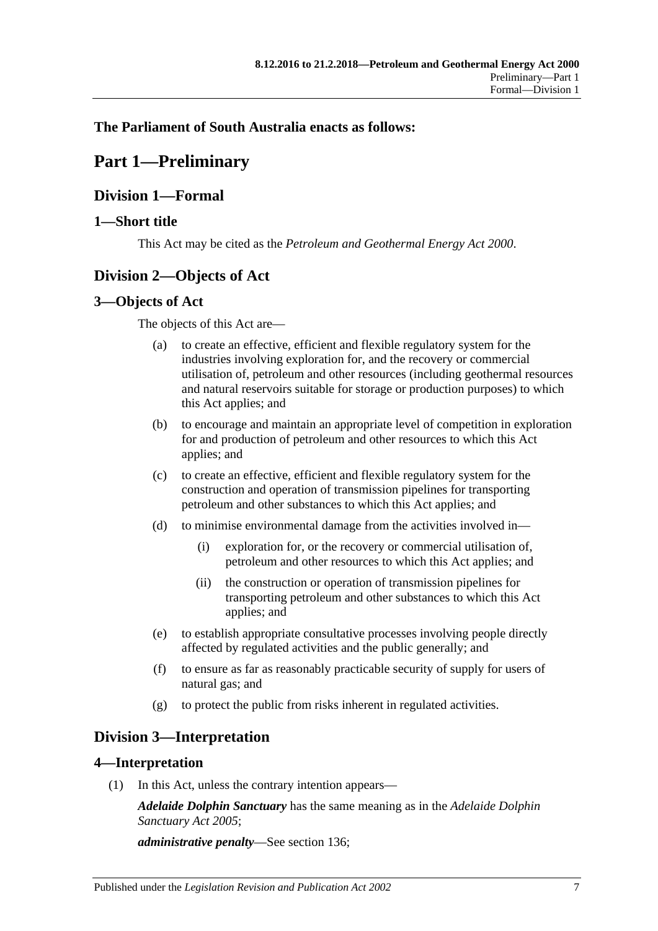# <span id="page-6-0"></span>**The Parliament of South Australia enacts as follows:**

# **Part 1—Preliminary**

# <span id="page-6-1"></span>**Division 1—Formal**

## <span id="page-6-2"></span>**1—Short title**

This Act may be cited as the *Petroleum and Geothermal Energy Act 2000*.

# <span id="page-6-3"></span>**Division 2—Objects of Act**

### <span id="page-6-4"></span>**3—Objects of Act**

The objects of this Act are—

- (a) to create an effective, efficient and flexible regulatory system for the industries involving exploration for, and the recovery or commercial utilisation of, petroleum and other resources (including geothermal resources and natural reservoirs suitable for storage or production purposes) to which this Act applies; and
- (b) to encourage and maintain an appropriate level of competition in exploration for and production of petroleum and other resources to which this Act applies; and
- (c) to create an effective, efficient and flexible regulatory system for the construction and operation of transmission pipelines for transporting petroleum and other substances to which this Act applies; and
- (d) to minimise environmental damage from the activities involved in—
	- (i) exploration for, or the recovery or commercial utilisation of, petroleum and other resources to which this Act applies; and
	- (ii) the construction or operation of transmission pipelines for transporting petroleum and other substances to which this Act applies; and
- (e) to establish appropriate consultative processes involving people directly affected by regulated activities and the public generally; and
- (f) to ensure as far as reasonably practicable security of supply for users of natural gas; and
- (g) to protect the public from risks inherent in regulated activities.

# <span id="page-6-5"></span>**Division 3—Interpretation**

### <span id="page-6-6"></span>**4—Interpretation**

(1) In this Act, unless the contrary intention appears—

*Adelaide Dolphin Sanctuary* has the same meaning as in the *[Adelaide Dolphin](http://www.legislation.sa.gov.au/index.aspx?action=legref&type=act&legtitle=Adelaide%20Dolphin%20Sanctuary%20Act%202005)  [Sanctuary Act](http://www.legislation.sa.gov.au/index.aspx?action=legref&type=act&legtitle=Adelaide%20Dolphin%20Sanctuary%20Act%202005) 2005*;

*administrative penalty*—See [section](#page-64-0) 136;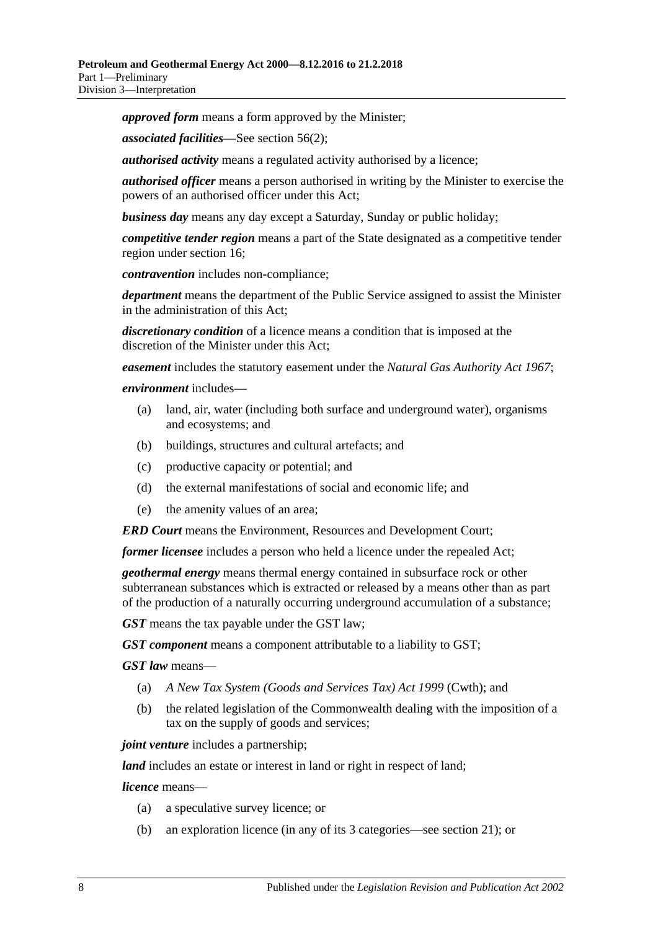*approved form* means a form approved by the Minister;

*associated facilities*—See [section](#page-31-4) 56(2);

*authorised activity* means a regulated activity authorised by a licence;

*authorised officer* means a person authorised in writing by the Minister to exercise the powers of an authorised officer under this Act;

*business day* means any day except a Saturday, Sunday or public holiday;

*competitive tender region* means a part of the State designated as a competitive tender region under [section](#page-15-6) 16;

*contravention* includes non-compliance;

*department* means the department of the Public Service assigned to assist the Minister in the administration of this Act;

*discretionary condition* of a licence means a condition that is imposed at the discretion of the Minister under this Act;

*easement* includes the statutory easement under the *[Natural Gas Authority Act](http://www.legislation.sa.gov.au/index.aspx?action=legref&type=act&legtitle=Natural%20Gas%20Authority%20Act%201967) 1967*;

#### *environment* includes—

- (a) land, air, water (including both surface and underground water), organisms and ecosystems; and
- (b) buildings, structures and cultural artefacts; and
- (c) productive capacity or potential; and
- (d) the external manifestations of social and economic life; and
- (e) the amenity values of an area;

*ERD Court* means the Environment, Resources and Development Court;

*former licensee* includes a person who held a licence under the repealed Act;

*geothermal energy* means thermal energy contained in subsurface rock or other subterranean substances which is extracted or released by a means other than as part of the production of a naturally occurring underground accumulation of a substance;

*GST* means the tax payable under the GST law;

*GST component* means a component attributable to a liability to GST;

*GST law* means—

- (a) *A New Tax System (Goods and Services Tax) Act 1999* (Cwth); and
- (b) the related legislation of the Commonwealth dealing with the imposition of a tax on the supply of goods and services;

*joint venture* includes a partnership;

*land* includes an estate or interest in land or right in respect of land;

*licence* means—

- (a) a speculative survey licence; or
- (b) an exploration licence (in any of its 3 categories—see [section](#page-16-4) 21); or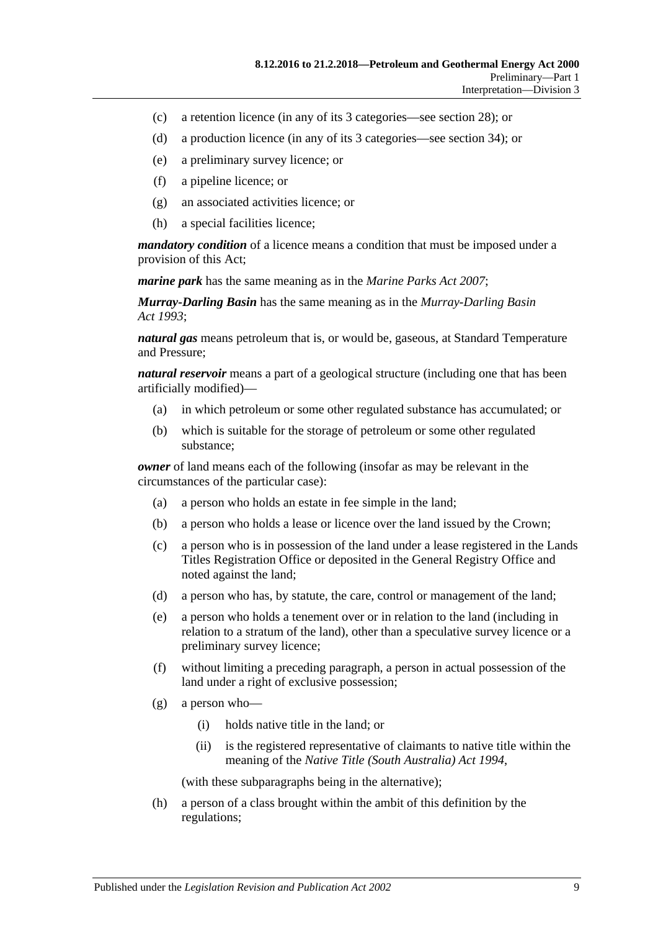- (c) a retention licence (in any of its 3 categories—see [section](#page-19-2) 28); or
- (d) a production licence (in any of its 3 categories—see [section](#page-22-1) 34); or
- (e) a preliminary survey licence; or
- (f) a pipeline licence; or
- (g) an associated activities licence; or
- (h) a special facilities licence;

*mandatory condition* of a licence means a condition that must be imposed under a provision of this Act;

*marine park* has the same meaning as in the *[Marine Parks Act](http://www.legislation.sa.gov.au/index.aspx?action=legref&type=act&legtitle=Marine%20Parks%20Act%202007) 2007*;

*Murray-Darling Basin* has the same meaning as in the *[Murray-Darling Basin](http://www.legislation.sa.gov.au/index.aspx?action=legref&type=act&legtitle=Murray-Darling%20Basin%20Act%201993)  Act [1993](http://www.legislation.sa.gov.au/index.aspx?action=legref&type=act&legtitle=Murray-Darling%20Basin%20Act%201993)*;

*natural gas* means petroleum that is, or would be, gaseous, at Standard Temperature and Pressure;

*natural reservoir* means a part of a geological structure (including one that has been artificially modified)—

- (a) in which petroleum or some other regulated substance has accumulated; or
- (b) which is suitable for the storage of petroleum or some other regulated substance;

*owner* of land means each of the following (insofar as may be relevant in the circumstances of the particular case):

- (a) a person who holds an estate in fee simple in the land;
- (b) a person who holds a lease or licence over the land issued by the Crown;
- (c) a person who is in possession of the land under a lease registered in the Lands Titles Registration Office or deposited in the General Registry Office and noted against the land;
- (d) a person who has, by statute, the care, control or management of the land;
- (e) a person who holds a tenement over or in relation to the land (including in relation to a stratum of the land), other than a speculative survey licence or a preliminary survey licence;
- (f) without limiting a preceding paragraph, a person in actual possession of the land under a right of exclusive possession;
- (g) a person who—
	- (i) holds native title in the land; or
	- (ii) is the registered representative of claimants to native title within the meaning of the *Native Title [\(South Australia\) Act](http://www.legislation.sa.gov.au/index.aspx?action=legref&type=act&legtitle=Native%20Title%20(South%20Australia)%20Act%201994) 1994*,

(with these subparagraphs being in the alternative);

(h) a person of a class brought within the ambit of this definition by the regulations;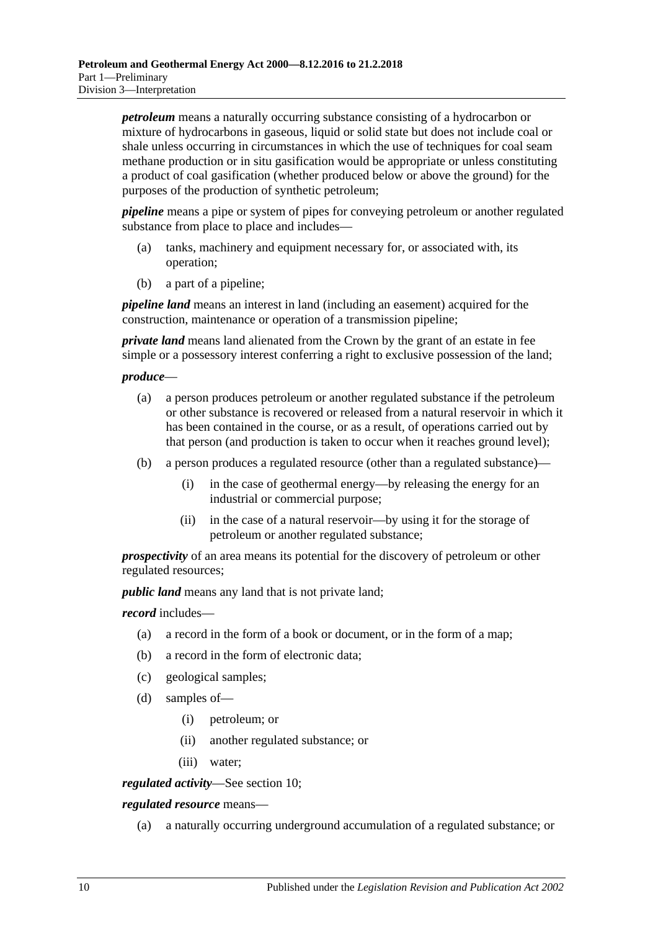*petroleum* means a naturally occurring substance consisting of a hydrocarbon or mixture of hydrocarbons in gaseous, liquid or solid state but does not include coal or shale unless occurring in circumstances in which the use of techniques for coal seam methane production or in situ gasification would be appropriate or unless constituting a product of coal gasification (whether produced below or above the ground) for the purposes of the production of synthetic petroleum;

*pipeline* means a pipe or system of pipes for conveying petroleum or another regulated substance from place to place and includes—

- (a) tanks, machinery and equipment necessary for, or associated with, its operation;
- (b) a part of a pipeline;

*pipeline land* means an interest in land (including an easement) acquired for the construction, maintenance or operation of a transmission pipeline;

*private land* means land alienated from the Crown by the grant of an estate in fee simple or a possessory interest conferring a right to exclusive possession of the land;

#### *produce*—

- (a) a person produces petroleum or another regulated substance if the petroleum or other substance is recovered or released from a natural reservoir in which it has been contained in the course, or as a result, of operations carried out by that person (and production is taken to occur when it reaches ground level);
- (b) a person produces a regulated resource (other than a regulated substance)—
	- (i) in the case of geothermal energy—by releasing the energy for an industrial or commercial purpose;
	- (ii) in the case of a natural reservoir—by using it for the storage of petroleum or another regulated substance;

*prospectivity* of an area means its potential for the discovery of petroleum or other regulated resources;

*public land* means any land that is not private land;

*record* includes—

- (a) a record in the form of a book or document, or in the form of a map;
- (b) a record in the form of electronic data;
- (c) geological samples;
- (d) samples of—
	- (i) petroleum; or
	- (ii) another regulated substance; or
	- (iii) water;

*regulated activity*—See [section](#page-13-3) 10;

*regulated resource* means—

(a) a naturally occurring underground accumulation of a regulated substance; or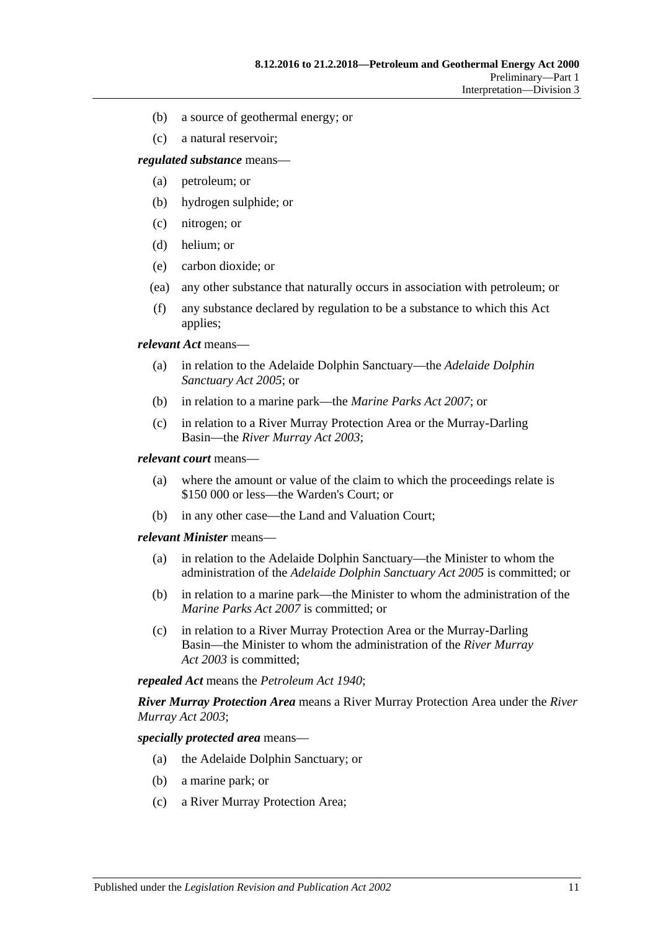- (b) a source of geothermal energy; or
- (c) a natural reservoir;

*regulated substance* means—

- (a) petroleum; or
- (b) hydrogen sulphide; or
- (c) nitrogen; or
- (d) helium; or
- (e) carbon dioxide; or
- (ea) any other substance that naturally occurs in association with petroleum; or
- (f) any substance declared by regulation to be a substance to which this Act applies;

*relevant Act* means—

- (a) in relation to the Adelaide Dolphin Sanctuary—the *[Adelaide Dolphin](http://www.legislation.sa.gov.au/index.aspx?action=legref&type=act&legtitle=Adelaide%20Dolphin%20Sanctuary%20Act%202005)  [Sanctuary Act](http://www.legislation.sa.gov.au/index.aspx?action=legref&type=act&legtitle=Adelaide%20Dolphin%20Sanctuary%20Act%202005) 2005*; or
- (b) in relation to a marine park—the *[Marine Parks Act](http://www.legislation.sa.gov.au/index.aspx?action=legref&type=act&legtitle=Marine%20Parks%20Act%202007) 2007*; or
- (c) in relation to a River Murray Protection Area or the Murray-Darling Basin—the *[River Murray Act](http://www.legislation.sa.gov.au/index.aspx?action=legref&type=act&legtitle=River%20Murray%20Act%202003) 2003*;

#### *relevant court* means—

- (a) where the amount or value of the claim to which the proceedings relate is \$150 000 or less—the Warden's Court; or
- (b) in any other case—the Land and Valuation Court;

#### *relevant Minister* means—

- (a) in relation to the Adelaide Dolphin Sanctuary—the Minister to whom the administration of the *[Adelaide Dolphin Sanctuary Act](http://www.legislation.sa.gov.au/index.aspx?action=legref&type=act&legtitle=Adelaide%20Dolphin%20Sanctuary%20Act%202005) 2005* is committed; or
- (b) in relation to a marine park—the Minister to whom the administration of the *[Marine Parks Act](http://www.legislation.sa.gov.au/index.aspx?action=legref&type=act&legtitle=Marine%20Parks%20Act%202007) 2007* is committed; or
- (c) in relation to a River Murray Protection Area or the Murray-Darling Basin—the Minister to whom the administration of the *[River Murray](http://www.legislation.sa.gov.au/index.aspx?action=legref&type=act&legtitle=River%20Murray%20Act%202003)  Act [2003](http://www.legislation.sa.gov.au/index.aspx?action=legref&type=act&legtitle=River%20Murray%20Act%202003)* is committed;

*repealed Act* means the *[Petroleum Act](http://www.legislation.sa.gov.au/index.aspx?action=legref&type=act&legtitle=Petroleum%20Act%201940) 1940*;

*River Murray Protection Area* means a River Murray Protection Area under the *[River](http://www.legislation.sa.gov.au/index.aspx?action=legref&type=act&legtitle=River%20Murray%20Act%202003)  [Murray Act](http://www.legislation.sa.gov.au/index.aspx?action=legref&type=act&legtitle=River%20Murray%20Act%202003) 2003*;

*specially protected area* means—

- (a) the Adelaide Dolphin Sanctuary; or
- (b) a marine park; or
- (c) a River Murray Protection Area;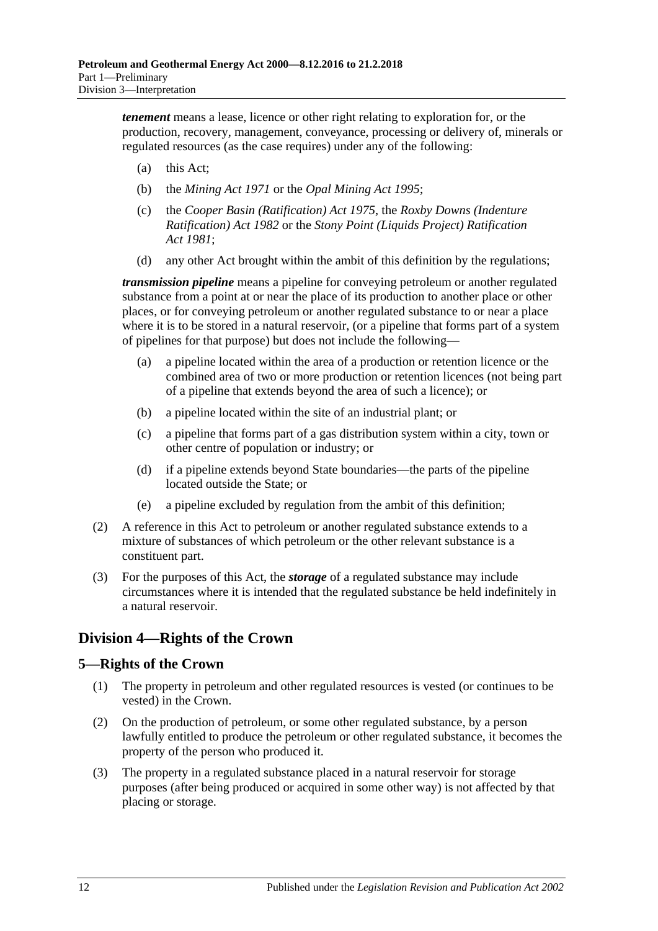*tenement* means a lease, licence or other right relating to exploration for, or the production, recovery, management, conveyance, processing or delivery of, minerals or regulated resources (as the case requires) under any of the following:

- (a) this Act;
- (b) the *[Mining Act](http://www.legislation.sa.gov.au/index.aspx?action=legref&type=act&legtitle=Mining%20Act%201971) 1971* or the *[Opal Mining Act](http://www.legislation.sa.gov.au/index.aspx?action=legref&type=act&legtitle=Opal%20Mining%20Act%201995) 1995*;
- (c) the *[Cooper Basin \(Ratification\) Act](http://www.legislation.sa.gov.au/index.aspx?action=legref&type=act&legtitle=Cooper%20Basin%20(Ratification)%20Act%201975) 1975*, the *[Roxby Downs \(Indenture](http://www.legislation.sa.gov.au/index.aspx?action=legref&type=act&legtitle=Roxby%20Downs%20(Indenture%20Ratification)%20Act%201982)  [Ratification\) Act](http://www.legislation.sa.gov.au/index.aspx?action=legref&type=act&legtitle=Roxby%20Downs%20(Indenture%20Ratification)%20Act%201982) 1982* or the *[Stony Point \(Liquids Project\) Ratification](http://www.legislation.sa.gov.au/index.aspx?action=legref&type=act&legtitle=Stony%20Point%20(Liquids%20Project)%20Ratification%20Act%201981)  Act [1981](http://www.legislation.sa.gov.au/index.aspx?action=legref&type=act&legtitle=Stony%20Point%20(Liquids%20Project)%20Ratification%20Act%201981)*;
- (d) any other Act brought within the ambit of this definition by the regulations;

*transmission pipeline* means a pipeline for conveying petroleum or another regulated substance from a point at or near the place of its production to another place or other places, or for conveying petroleum or another regulated substance to or near a place where it is to be stored in a natural reservoir, (or a pipeline that forms part of a system of pipelines for that purpose) but does not include the following—

- (a) a pipeline located within the area of a production or retention licence or the combined area of two or more production or retention licences (not being part of a pipeline that extends beyond the area of such a licence); or
- (b) a pipeline located within the site of an industrial plant; or
- (c) a pipeline that forms part of a gas distribution system within a city, town or other centre of population or industry; or
- (d) if a pipeline extends beyond State boundaries—the parts of the pipeline located outside the State; or
- (e) a pipeline excluded by regulation from the ambit of this definition;
- (2) A reference in this Act to petroleum or another regulated substance extends to a mixture of substances of which petroleum or the other relevant substance is a constituent part.
- (3) For the purposes of this Act, the *storage* of a regulated substance may include circumstances where it is intended that the regulated substance be held indefinitely in a natural reservoir.

# <span id="page-11-0"></span>**Division 4—Rights of the Crown**

# <span id="page-11-1"></span>**5—Rights of the Crown**

- (1) The property in petroleum and other regulated resources is vested (or continues to be vested) in the Crown.
- (2) On the production of petroleum, or some other regulated substance, by a person lawfully entitled to produce the petroleum or other regulated substance, it becomes the property of the person who produced it.
- (3) The property in a regulated substance placed in a natural reservoir for storage purposes (after being produced or acquired in some other way) is not affected by that placing or storage.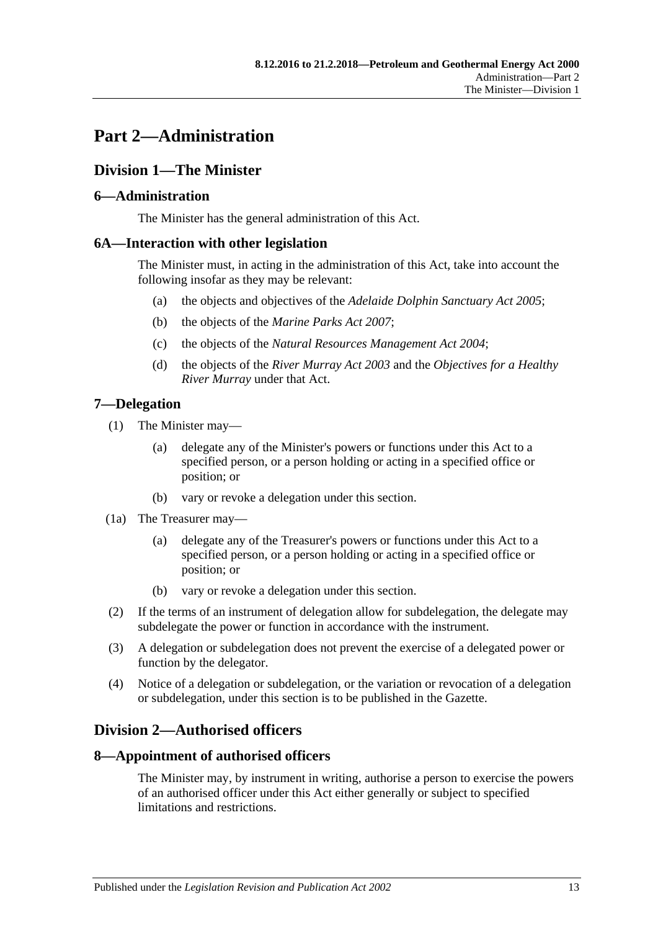# <span id="page-12-0"></span>**Part 2—Administration**

# <span id="page-12-1"></span>**Division 1—The Minister**

## <span id="page-12-2"></span>**6—Administration**

The Minister has the general administration of this Act.

## <span id="page-12-3"></span>**6A—Interaction with other legislation**

The Minister must, in acting in the administration of this Act, take into account the following insofar as they may be relevant:

- (a) the objects and objectives of the *[Adelaide Dolphin Sanctuary Act](http://www.legislation.sa.gov.au/index.aspx?action=legref&type=act&legtitle=Adelaide%20Dolphin%20Sanctuary%20Act%202005) 2005*;
- (b) the objects of the *[Marine Parks Act](http://www.legislation.sa.gov.au/index.aspx?action=legref&type=act&legtitle=Marine%20Parks%20Act%202007) 2007*;
- (c) the objects of the *[Natural Resources Management Act](http://www.legislation.sa.gov.au/index.aspx?action=legref&type=act&legtitle=Natural%20Resources%20Management%20Act%202004) 2004*;
- (d) the objects of the *[River Murray Act](http://www.legislation.sa.gov.au/index.aspx?action=legref&type=act&legtitle=River%20Murray%20Act%202003) 2003* and the *Objectives for a Healthy River Murray* under that Act.

## <span id="page-12-4"></span>**7—Delegation**

- (1) The Minister may—
	- (a) delegate any of the Minister's powers or functions under this Act to a specified person, or a person holding or acting in a specified office or position; or
	- (b) vary or revoke a delegation under this section.
- (1a) The Treasurer may—
	- (a) delegate any of the Treasurer's powers or functions under this Act to a specified person, or a person holding or acting in a specified office or position; or
	- (b) vary or revoke a delegation under this section.
- (2) If the terms of an instrument of delegation allow for subdelegation, the delegate may subdelegate the power or function in accordance with the instrument.
- (3) A delegation or subdelegation does not prevent the exercise of a delegated power or function by the delegator.
- (4) Notice of a delegation or subdelegation, or the variation or revocation of a delegation or subdelegation, under this section is to be published in the Gazette.

# <span id="page-12-5"></span>**Division 2—Authorised officers**

### <span id="page-12-6"></span>**8—Appointment of authorised officers**

The Minister may, by instrument in writing, authorise a person to exercise the powers of an authorised officer under this Act either generally or subject to specified limitations and restrictions.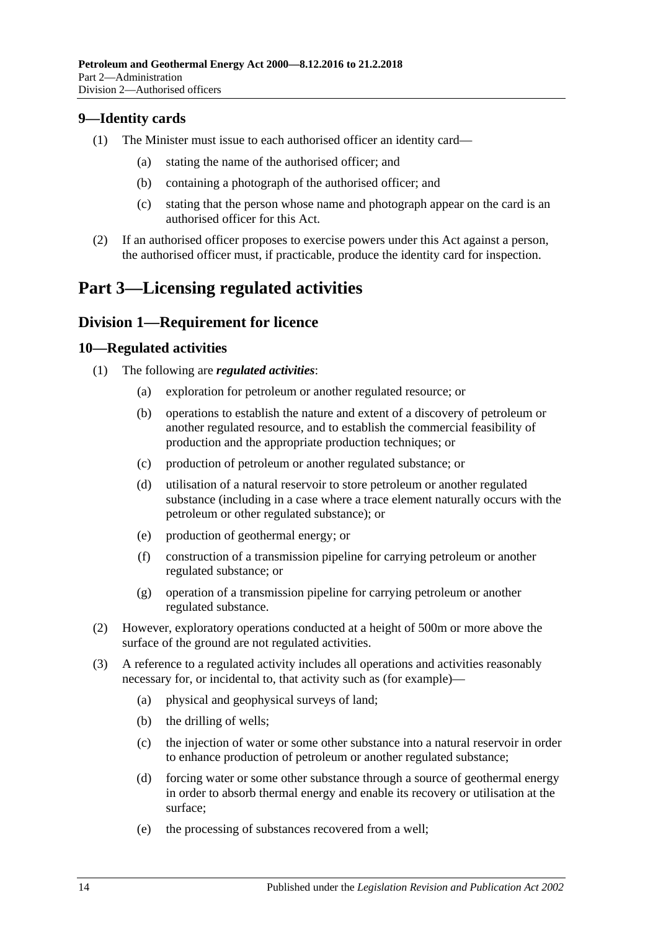## <span id="page-13-0"></span>**9—Identity cards**

- (1) The Minister must issue to each authorised officer an identity card—
	- (a) stating the name of the authorised officer; and
	- (b) containing a photograph of the authorised officer; and
	- (c) stating that the person whose name and photograph appear on the card is an authorised officer for this Act.
- (2) If an authorised officer proposes to exercise powers under this Act against a person, the authorised officer must, if practicable, produce the identity card for inspection.

# <span id="page-13-1"></span>**Part 3—Licensing regulated activities**

## <span id="page-13-2"></span>**Division 1—Requirement for licence**

#### <span id="page-13-3"></span>**10—Regulated activities**

- (1) The following are *regulated activities*:
	- (a) exploration for petroleum or another regulated resource; or
	- (b) operations to establish the nature and extent of a discovery of petroleum or another regulated resource, and to establish the commercial feasibility of production and the appropriate production techniques; or
	- (c) production of petroleum or another regulated substance; or
	- (d) utilisation of a natural reservoir to store petroleum or another regulated substance (including in a case where a trace element naturally occurs with the petroleum or other regulated substance); or
	- (e) production of geothermal energy; or
	- (f) construction of a transmission pipeline for carrying petroleum or another regulated substance; or
	- (g) operation of a transmission pipeline for carrying petroleum or another regulated substance.
- (2) However, exploratory operations conducted at a height of 500m or more above the surface of the ground are not regulated activities.
- (3) A reference to a regulated activity includes all operations and activities reasonably necessary for, or incidental to, that activity such as (for example)—
	- (a) physical and geophysical surveys of land;
	- (b) the drilling of wells;
	- (c) the injection of water or some other substance into a natural reservoir in order to enhance production of petroleum or another regulated substance;
	- (d) forcing water or some other substance through a source of geothermal energy in order to absorb thermal energy and enable its recovery or utilisation at the surface;
	- (e) the processing of substances recovered from a well;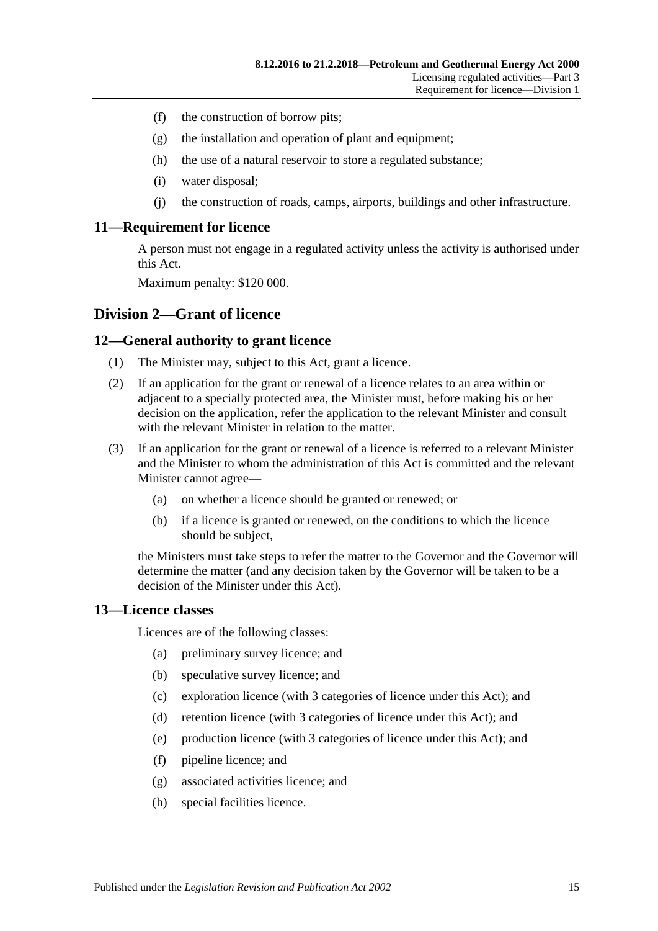- (f) the construction of borrow pits;
- (g) the installation and operation of plant and equipment;
- (h) the use of a natural reservoir to store a regulated substance;
- (i) water disposal;
- (j) the construction of roads, camps, airports, buildings and other infrastructure.

#### <span id="page-14-0"></span>**11—Requirement for licence**

A person must not engage in a regulated activity unless the activity is authorised under this Act.

Maximum penalty: \$120 000.

#### <span id="page-14-1"></span>**Division 2—Grant of licence**

#### <span id="page-14-2"></span>**12—General authority to grant licence**

- (1) The Minister may, subject to this Act, grant a licence.
- (2) If an application for the grant or renewal of a licence relates to an area within or adjacent to a specially protected area, the Minister must, before making his or her decision on the application, refer the application to the relevant Minister and consult with the relevant Minister in relation to the matter.
- (3) If an application for the grant or renewal of a licence is referred to a relevant Minister and the Minister to whom the administration of this Act is committed and the relevant Minister cannot agree—
	- (a) on whether a licence should be granted or renewed; or
	- (b) if a licence is granted or renewed, on the conditions to which the licence should be subject,

the Ministers must take steps to refer the matter to the Governor and the Governor will determine the matter (and any decision taken by the Governor will be taken to be a decision of the Minister under this Act).

#### <span id="page-14-3"></span>**13—Licence classes**

Licences are of the following classes:

- (a) preliminary survey licence; and
- (b) speculative survey licence; and
- (c) exploration licence (with 3 categories of licence under this Act); and
- (d) retention licence (with 3 categories of licence under this Act); and
- (e) production licence (with 3 categories of licence under this Act); and
- (f) pipeline licence; and
- (g) associated activities licence; and
- (h) special facilities licence.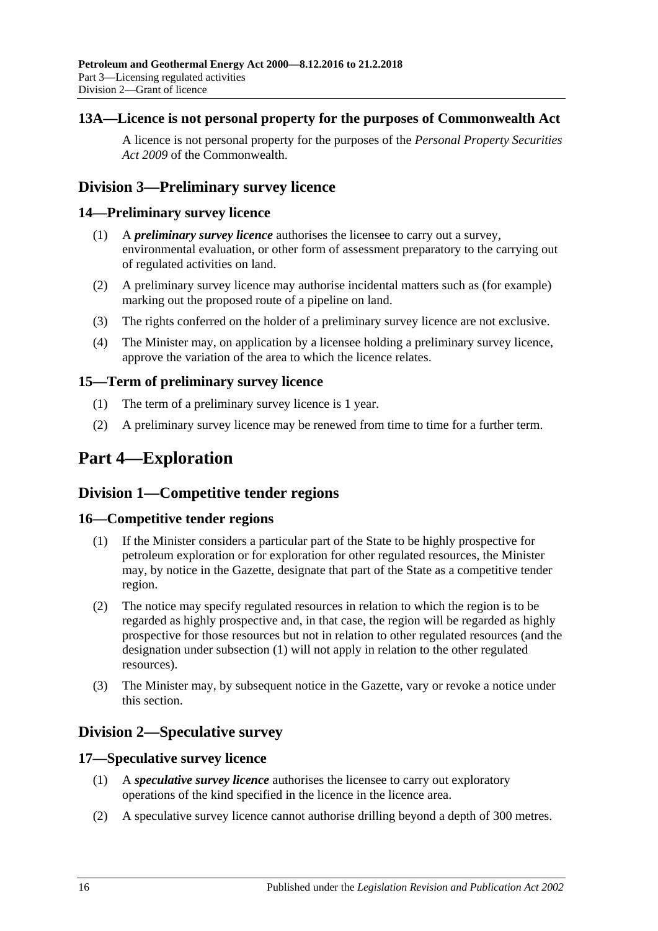## <span id="page-15-0"></span>**13A—Licence is not personal property for the purposes of Commonwealth Act**

A licence is not personal property for the purposes of the *Personal Property Securities Act 2009* of the Commonwealth.

# <span id="page-15-1"></span>**Division 3—Preliminary survey licence**

### <span id="page-15-2"></span>**14—Preliminary survey licence**

- (1) A *preliminary survey licence* authorises the licensee to carry out a survey, environmental evaluation, or other form of assessment preparatory to the carrying out of regulated activities on land.
- (2) A preliminary survey licence may authorise incidental matters such as (for example) marking out the proposed route of a pipeline on land.
- (3) The rights conferred on the holder of a preliminary survey licence are not exclusive.
- (4) The Minister may, on application by a licensee holding a preliminary survey licence, approve the variation of the area to which the licence relates.

### <span id="page-15-3"></span>**15—Term of preliminary survey licence**

- (1) The term of a preliminary survey licence is 1 year.
- (2) A preliminary survey licence may be renewed from time to time for a further term.

# <span id="page-15-4"></span>**Part 4—Exploration**

# <span id="page-15-5"></span>**Division 1—Competitive tender regions**

### <span id="page-15-9"></span><span id="page-15-6"></span>**16—Competitive tender regions**

- (1) If the Minister considers a particular part of the State to be highly prospective for petroleum exploration or for exploration for other regulated resources, the Minister may, by notice in the Gazette, designate that part of the State as a competitive tender region.
- (2) The notice may specify regulated resources in relation to which the region is to be regarded as highly prospective and, in that case, the region will be regarded as highly prospective for those resources but not in relation to other regulated resources (and the designation under [subsection](#page-15-9) (1) will not apply in relation to the other regulated resources).
- (3) The Minister may, by subsequent notice in the Gazette, vary or revoke a notice under this section.

# <span id="page-15-7"></span>**Division 2—Speculative survey**

### <span id="page-15-8"></span>**17—Speculative survey licence**

- (1) A *speculative survey licence* authorises the licensee to carry out exploratory operations of the kind specified in the licence in the licence area.
- (2) A speculative survey licence cannot authorise drilling beyond a depth of 300 metres.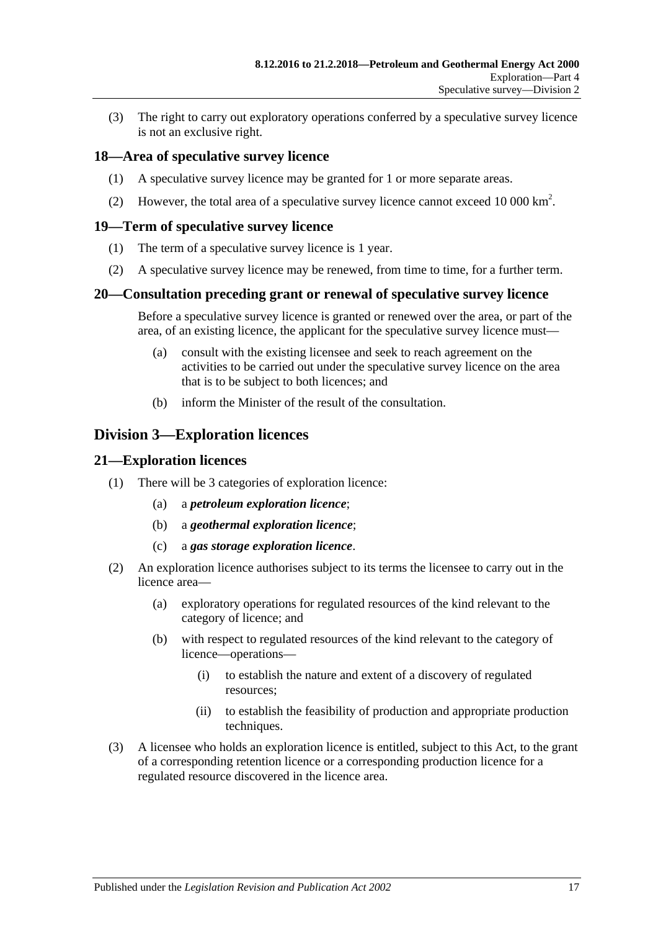(3) The right to carry out exploratory operations conferred by a speculative survey licence is not an exclusive right.

#### <span id="page-16-0"></span>**18—Area of speculative survey licence**

- (1) A speculative survey licence may be granted for 1 or more separate areas.
- (2) However, the total area of a speculative survey licence cannot exceed 10 000  $\text{km}^2$ .

#### <span id="page-16-1"></span>**19—Term of speculative survey licence**

- (1) The term of a speculative survey licence is 1 year.
- (2) A speculative survey licence may be renewed, from time to time, for a further term.

#### <span id="page-16-2"></span>**20—Consultation preceding grant or renewal of speculative survey licence**

Before a speculative survey licence is granted or renewed over the area, or part of the area, of an existing licence, the applicant for the speculative survey licence must—

- (a) consult with the existing licensee and seek to reach agreement on the activities to be carried out under the speculative survey licence on the area that is to be subject to both licences; and
- (b) inform the Minister of the result of the consultation.

# <span id="page-16-3"></span>**Division 3—Exploration licences**

#### <span id="page-16-4"></span>**21—Exploration licences**

- (1) There will be 3 categories of exploration licence:
	- (a) a *petroleum exploration licence*;
	- (b) a *geothermal exploration licence*;
	- (c) a *gas storage exploration licence*.
- (2) An exploration licence authorises subject to its terms the licensee to carry out in the licence area—
	- (a) exploratory operations for regulated resources of the kind relevant to the category of licence; and
	- (b) with respect to regulated resources of the kind relevant to the category of licence—operations—
		- (i) to establish the nature and extent of a discovery of regulated resources;
		- (ii) to establish the feasibility of production and appropriate production techniques.
- (3) A licensee who holds an exploration licence is entitled, subject to this Act, to the grant of a corresponding retention licence or a corresponding production licence for a regulated resource discovered in the licence area.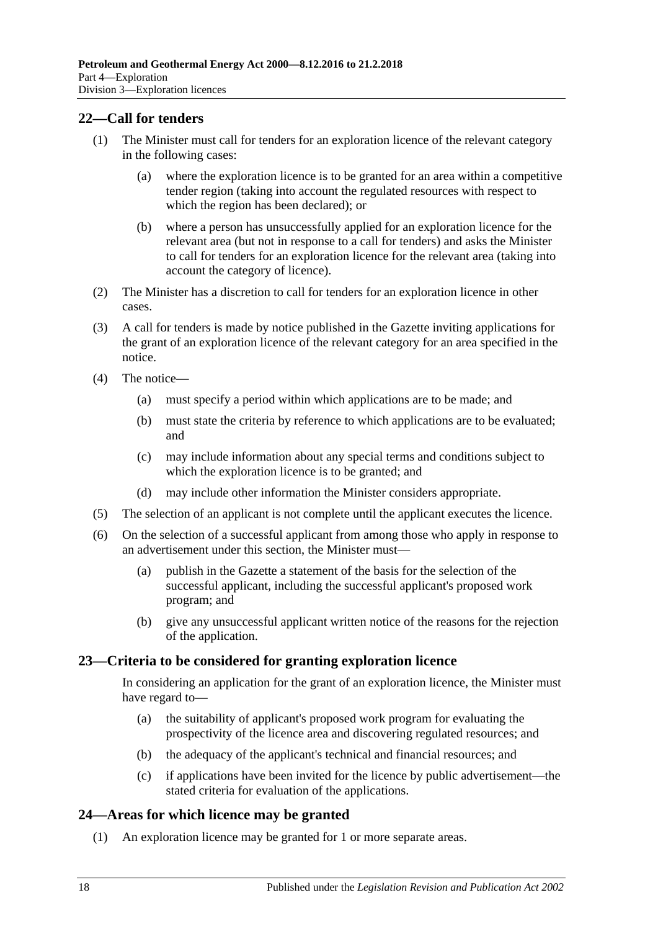## <span id="page-17-0"></span>**22—Call for tenders**

- (1) The Minister must call for tenders for an exploration licence of the relevant category in the following cases:
	- (a) where the exploration licence is to be granted for an area within a competitive tender region (taking into account the regulated resources with respect to which the region has been declared); or
	- (b) where a person has unsuccessfully applied for an exploration licence for the relevant area (but not in response to a call for tenders) and asks the Minister to call for tenders for an exploration licence for the relevant area (taking into account the category of licence).
- (2) The Minister has a discretion to call for tenders for an exploration licence in other cases.
- (3) A call for tenders is made by notice published in the Gazette inviting applications for the grant of an exploration licence of the relevant category for an area specified in the notice.
- (4) The notice—
	- (a) must specify a period within which applications are to be made; and
	- (b) must state the criteria by reference to which applications are to be evaluated; and
	- (c) may include information about any special terms and conditions subject to which the exploration licence is to be granted; and
	- (d) may include other information the Minister considers appropriate.
- (5) The selection of an applicant is not complete until the applicant executes the licence.
- (6) On the selection of a successful applicant from among those who apply in response to an advertisement under this section, the Minister must—
	- (a) publish in the Gazette a statement of the basis for the selection of the successful applicant, including the successful applicant's proposed work program; and
	- (b) give any unsuccessful applicant written notice of the reasons for the rejection of the application.

#### <span id="page-17-1"></span>**23—Criteria to be considered for granting exploration licence**

In considering an application for the grant of an exploration licence, the Minister must have regard to—

- (a) the suitability of applicant's proposed work program for evaluating the prospectivity of the licence area and discovering regulated resources; and
- (b) the adequacy of the applicant's technical and financial resources; and
- (c) if applications have been invited for the licence by public advertisement—the stated criteria for evaluation of the applications.

### <span id="page-17-2"></span>**24—Areas for which licence may be granted**

(1) An exploration licence may be granted for 1 or more separate areas.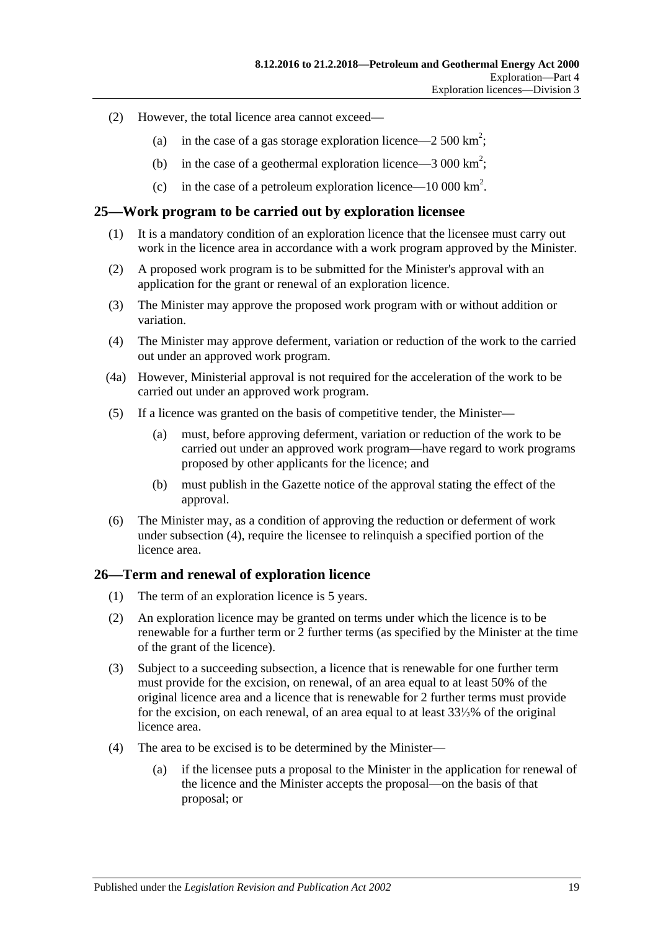- (2) However, the total licence area cannot exceed—
	- (a) in the case of a gas storage exploration licence—2 500 km<sup>2</sup>;
	- (b) in the case of a geothermal exploration licence  $-3000 \text{ km}^2$ ;
	- (c) in the case of a petroleum exploration licence—10 000 km<sup>2</sup>.

#### <span id="page-18-0"></span>**25—Work program to be carried out by exploration licensee**

- (1) It is a mandatory condition of an exploration licence that the licensee must carry out work in the licence area in accordance with a work program approved by the Minister.
- (2) A proposed work program is to be submitted for the Minister's approval with an application for the grant or renewal of an exploration licence.
- (3) The Minister may approve the proposed work program with or without addition or variation.
- <span id="page-18-2"></span>(4) The Minister may approve deferment, variation or reduction of the work to the carried out under an approved work program.
- (4a) However, Ministerial approval is not required for the acceleration of the work to be carried out under an approved work program.
- (5) If a licence was granted on the basis of competitive tender, the Minister—
	- (a) must, before approving deferment, variation or reduction of the work to be carried out under an approved work program—have regard to work programs proposed by other applicants for the licence; and
	- (b) must publish in the Gazette notice of the approval stating the effect of the approval.
- (6) The Minister may, as a condition of approving the reduction or deferment of work under [subsection](#page-18-2) (4), require the licensee to relinquish a specified portion of the licence area.

#### <span id="page-18-1"></span>**26—Term and renewal of exploration licence**

- (1) The term of an exploration licence is 5 years.
- (2) An exploration licence may be granted on terms under which the licence is to be renewable for a further term or 2 further terms (as specified by the Minister at the time of the grant of the licence).
- <span id="page-18-4"></span>(3) Subject to a succeeding subsection, a licence that is renewable for one further term must provide for the excision, on renewal, of an area equal to at least 50% of the original licence area and a licence that is renewable for 2 further terms must provide for the excision, on each renewal, of an area equal to at least 33⅓% of the original licence area.
- <span id="page-18-5"></span><span id="page-18-3"></span>(4) The area to be excised is to be determined by the Minister—
	- (a) if the licensee puts a proposal to the Minister in the application for renewal of the licence and the Minister accepts the proposal—on the basis of that proposal; or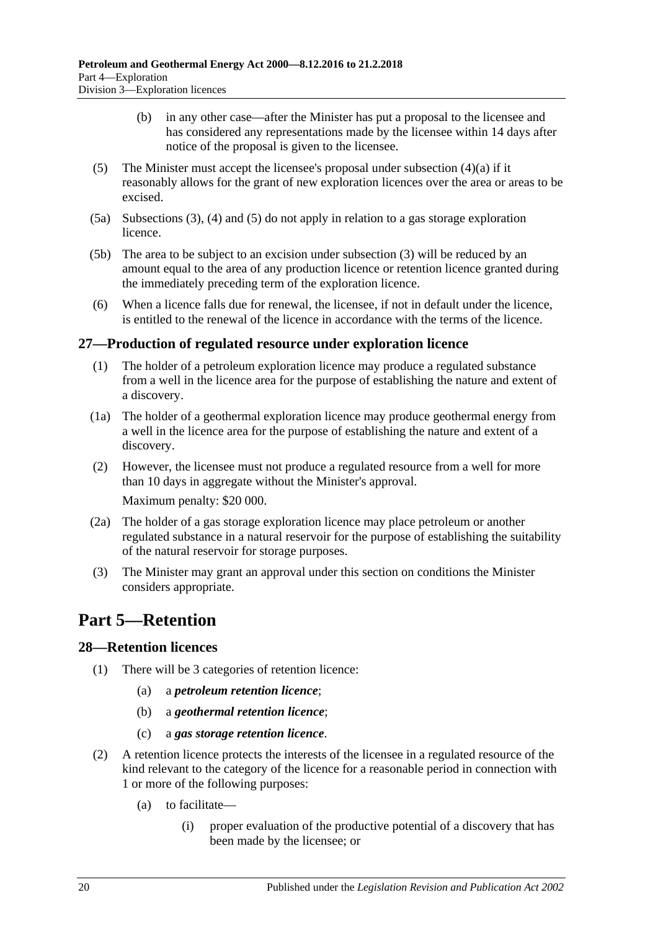- (b) in any other case—after the Minister has put a proposal to the licensee and has considered any representations made by the licensee within 14 days after notice of the proposal is given to the licensee.
- <span id="page-19-3"></span>(5) The Minister must accept the licensee's proposal under [subsection](#page-18-3)  $(4)(a)$  if it reasonably allows for the grant of new exploration licences over the area or areas to be excised.
- (5a) [Subsections](#page-18-4) (3), [\(4\)](#page-18-5) and [\(5\)](#page-19-3) do not apply in relation to a gas storage exploration licence.
- (5b) The area to be subject to an excision under [subsection](#page-18-4) (3) will be reduced by an amount equal to the area of any production licence or retention licence granted during the immediately preceding term of the exploration licence.
- (6) When a licence falls due for renewal, the licensee, if not in default under the licence, is entitled to the renewal of the licence in accordance with the terms of the licence.

### <span id="page-19-0"></span>**27—Production of regulated resource under exploration licence**

- (1) The holder of a petroleum exploration licence may produce a regulated substance from a well in the licence area for the purpose of establishing the nature and extent of a discovery.
- (1a) The holder of a geothermal exploration licence may produce geothermal energy from a well in the licence area for the purpose of establishing the nature and extent of a discovery.
- (2) However, the licensee must not produce a regulated resource from a well for more than 10 days in aggregate without the Minister's approval. Maximum penalty: \$20 000.
- (2a) The holder of a gas storage exploration licence may place petroleum or another regulated substance in a natural reservoir for the purpose of establishing the suitability of the natural reservoir for storage purposes.
- (3) The Minister may grant an approval under this section on conditions the Minister considers appropriate.

# <span id="page-19-1"></span>**Part 5—Retention**

### <span id="page-19-2"></span>**28—Retention licences**

- (1) There will be 3 categories of retention licence:
	- (a) a *petroleum retention licence*;
	- (b) a *geothermal retention licence*;
	- (c) a *gas storage retention licence*.
- <span id="page-19-4"></span>(2) A retention licence protects the interests of the licensee in a regulated resource of the kind relevant to the category of the licence for a reasonable period in connection with 1 or more of the following purposes:
	- (a) to facilitate—
		- (i) proper evaluation of the productive potential of a discovery that has been made by the licensee; or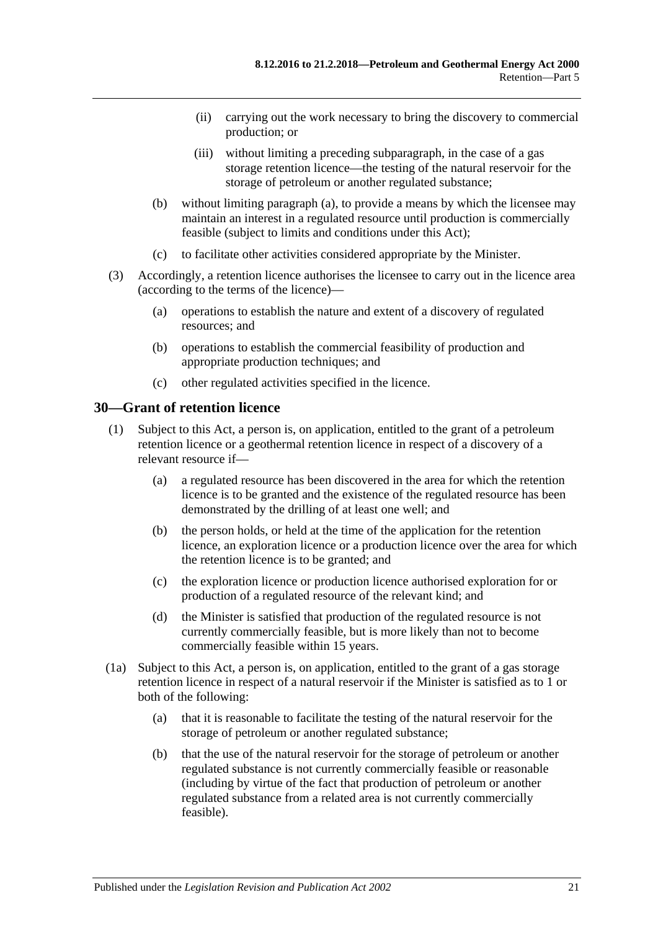- (ii) carrying out the work necessary to bring the discovery to commercial production; or
- (iii) without limiting a preceding subparagraph, in the case of a gas storage retention licence—the testing of the natural reservoir for the storage of petroleum or another regulated substance;
- (b) without limiting [paragraph](#page-19-4) (a), to provide a means by which the licensee may maintain an interest in a regulated resource until production is commercially feasible (subject to limits and conditions under this Act);
- (c) to facilitate other activities considered appropriate by the Minister.
- (3) Accordingly, a retention licence authorises the licensee to carry out in the licence area (according to the terms of the licence)—
	- (a) operations to establish the nature and extent of a discovery of regulated resources; and
	- (b) operations to establish the commercial feasibility of production and appropriate production techniques; and
	- (c) other regulated activities specified in the licence.

#### <span id="page-20-0"></span>**30—Grant of retention licence**

- (1) Subject to this Act, a person is, on application, entitled to the grant of a petroleum retention licence or a geothermal retention licence in respect of a discovery of a relevant resource if—
	- (a) a regulated resource has been discovered in the area for which the retention licence is to be granted and the existence of the regulated resource has been demonstrated by the drilling of at least one well; and
	- (b) the person holds, or held at the time of the application for the retention licence, an exploration licence or a production licence over the area for which the retention licence is to be granted; and
	- (c) the exploration licence or production licence authorised exploration for or production of a regulated resource of the relevant kind; and
	- (d) the Minister is satisfied that production of the regulated resource is not currently commercially feasible, but is more likely than not to become commercially feasible within 15 years.
- (1a) Subject to this Act, a person is, on application, entitled to the grant of a gas storage retention licence in respect of a natural reservoir if the Minister is satisfied as to 1 or both of the following:
	- (a) that it is reasonable to facilitate the testing of the natural reservoir for the storage of petroleum or another regulated substance;
	- (b) that the use of the natural reservoir for the storage of petroleum or another regulated substance is not currently commercially feasible or reasonable (including by virtue of the fact that production of petroleum or another regulated substance from a related area is not currently commercially feasible).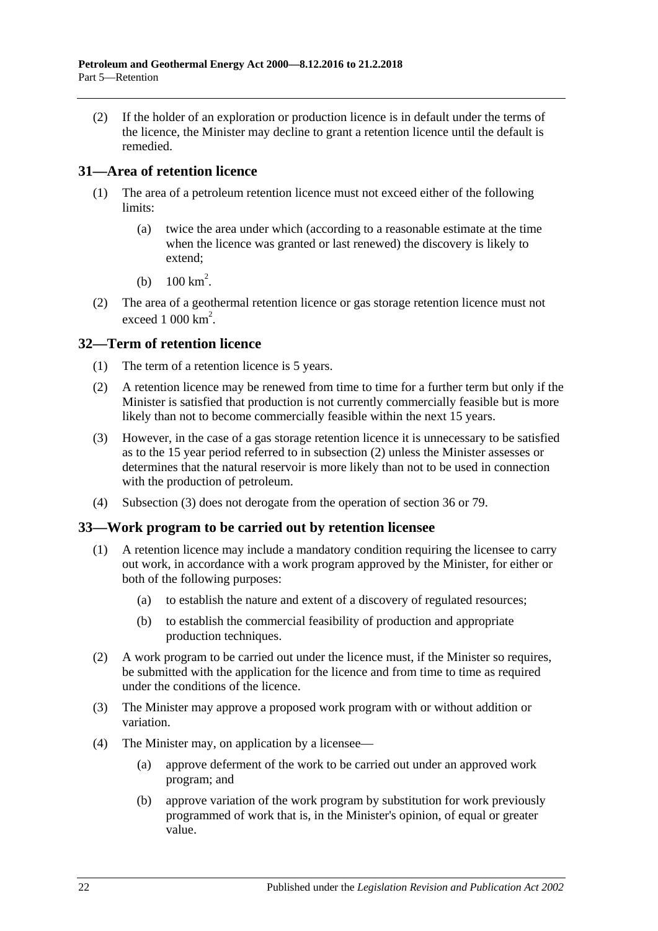(2) If the holder of an exploration or production licence is in default under the terms of the licence, the Minister may decline to grant a retention licence until the default is remedied.

## <span id="page-21-0"></span>**31—Area of retention licence**

- (1) The area of a petroleum retention licence must not exceed either of the following limits:
	- (a) twice the area under which (according to a reasonable estimate at the time when the licence was granted or last renewed) the discovery is likely to extend;
	- (b)  $100 \text{ km}^2$ .
- (2) The area of a geothermal retention licence or gas storage retention licence must not exceed  $1000 \text{ km}^2$ .

## <span id="page-21-1"></span>**32—Term of retention licence**

- (1) The term of a retention licence is 5 years.
- <span id="page-21-3"></span>(2) A retention licence may be renewed from time to time for a further term but only if the Minister is satisfied that production is not currently commercially feasible but is more likely than not to become commercially feasible within the next 15 years.
- <span id="page-21-4"></span>(3) However, in the case of a gas storage retention licence it is unnecessary to be satisfied as to the 15 year period referred to in [subsection](#page-21-3) (2) unless the Minister assesses or determines that the natural reservoir is more likely than not to be used in connection with the production of petroleum.
- (4) [Subsection](#page-21-4) (3) does not derogate from the operation of [section](#page-23-0) 36 or [79.](#page-41-5)

### <span id="page-21-2"></span>**33—Work program to be carried out by retention licensee**

- (1) A retention licence may include a mandatory condition requiring the licensee to carry out work, in accordance with a work program approved by the Minister, for either or both of the following purposes:
	- (a) to establish the nature and extent of a discovery of regulated resources;
	- (b) to establish the commercial feasibility of production and appropriate production techniques.
- (2) A work program to be carried out under the licence must, if the Minister so requires, be submitted with the application for the licence and from time to time as required under the conditions of the licence.
- (3) The Minister may approve a proposed work program with or without addition or variation.
- (4) The Minister may, on application by a licensee—
	- (a) approve deferment of the work to be carried out under an approved work program; and
	- (b) approve variation of the work program by substitution for work previously programmed of work that is, in the Minister's opinion, of equal or greater value.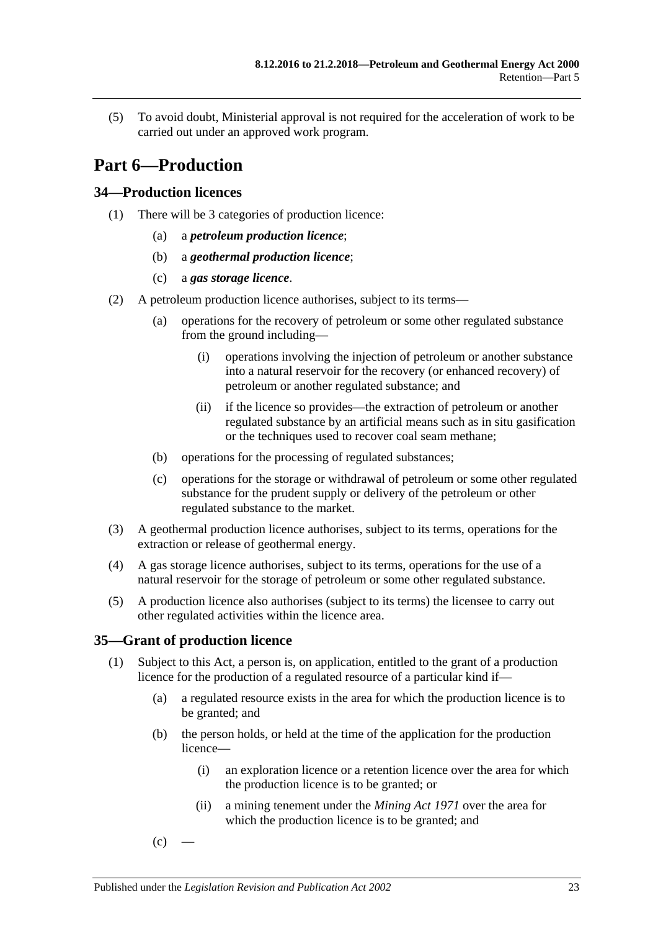(5) To avoid doubt, Ministerial approval is not required for the acceleration of work to be carried out under an approved work program.

# <span id="page-22-0"></span>**Part 6—Production**

## <span id="page-22-1"></span>**34—Production licences**

- (1) There will be 3 categories of production licence:
	- (a) a *petroleum production licence*;
	- (b) a *geothermal production licence*;
	- (c) a *gas storage licence*.
- (2) A petroleum production licence authorises, subject to its terms—
	- (a) operations for the recovery of petroleum or some other regulated substance from the ground including—
		- (i) operations involving the injection of petroleum or another substance into a natural reservoir for the recovery (or enhanced recovery) of petroleum or another regulated substance; and
		- (ii) if the licence so provides—the extraction of petroleum or another regulated substance by an artificial means such as in situ gasification or the techniques used to recover coal seam methane;
	- (b) operations for the processing of regulated substances;
	- (c) operations for the storage or withdrawal of petroleum or some other regulated substance for the prudent supply or delivery of the petroleum or other regulated substance to the market.
- (3) A geothermal production licence authorises, subject to its terms, operations for the extraction or release of geothermal energy.
- (4) A gas storage licence authorises, subject to its terms, operations for the use of a natural reservoir for the storage of petroleum or some other regulated substance.
- (5) A production licence also authorises (subject to its terms) the licensee to carry out other regulated activities within the licence area.

### <span id="page-22-5"></span><span id="page-22-2"></span>**35—Grant of production licence**

- <span id="page-22-7"></span><span id="page-22-6"></span><span id="page-22-4"></span><span id="page-22-3"></span>(1) Subject to this Act, a person is, on application, entitled to the grant of a production licence for the production of a regulated resource of a particular kind if—
	- (a) a regulated resource exists in the area for which the production licence is to be granted; and
	- (b) the person holds, or held at the time of the application for the production licence—
		- (i) an exploration licence or a retention licence over the area for which the production licence is to be granted; or
		- (ii) a mining tenement under the *[Mining Act](http://www.legislation.sa.gov.au/index.aspx?action=legref&type=act&legtitle=Mining%20Act%201971) 1971* over the area for which the production licence is to be granted; and
	- $(c)$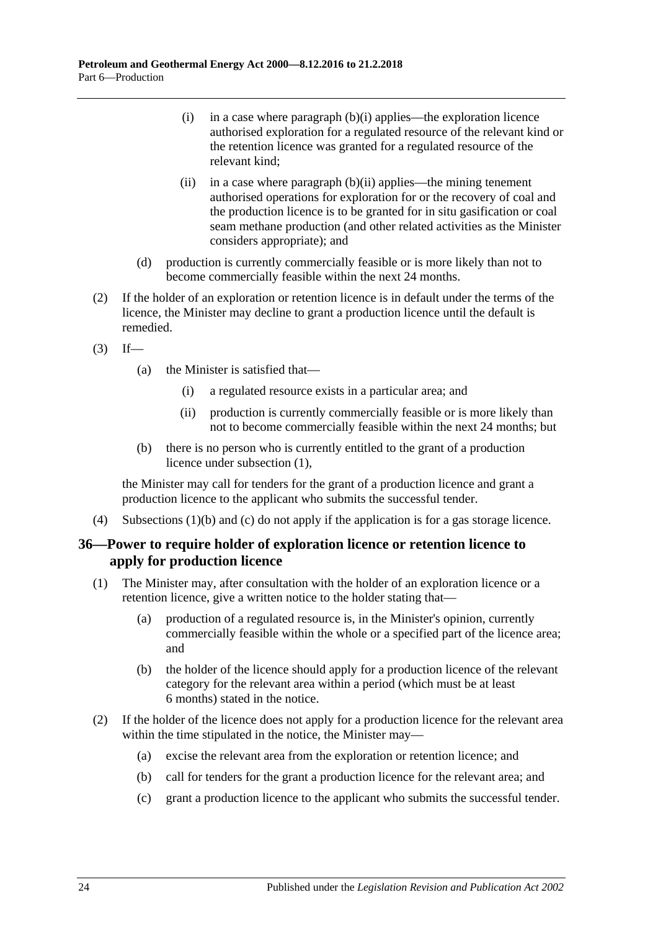- (i) in a case where [paragraph](#page-22-3) (b)(i) applies—the exploration licence authorised exploration for a regulated resource of the relevant kind or the retention licence was granted for a regulated resource of the relevant kind;
- (ii) in a case where [paragraph](#page-22-4)  $(b)(ii)$  applies—the mining tenement authorised operations for exploration for or the recovery of coal and the production licence is to be granted for in situ gasification or coal seam methane production (and other related activities as the Minister considers appropriate); and
- (d) production is currently commercially feasible or is more likely than not to become commercially feasible within the next 24 months.
- (2) If the holder of an exploration or retention licence is in default under the terms of the licence, the Minister may decline to grant a production licence until the default is remedied.
- $(3)$  If—
	- (a) the Minister is satisfied that—
		- (i) a regulated resource exists in a particular area; and
		- (ii) production is currently commercially feasible or is more likely than not to become commercially feasible within the next 24 months; but
	- (b) there is no person who is currently entitled to the grant of a production licence under [subsection](#page-22-5) (1),

the Minister may call for tenders for the grant of a production licence and grant a production licence to the applicant who submits the successful tender.

(4) [Subsections](#page-22-6) (1)(b) and [\(c\)](#page-22-7) do not apply if the application is for a gas storage licence.

## <span id="page-23-0"></span>**36—Power to require holder of exploration licence or retention licence to apply for production licence**

- (1) The Minister may, after consultation with the holder of an exploration licence or a retention licence, give a written notice to the holder stating that—
	- (a) production of a regulated resource is, in the Minister's opinion, currently commercially feasible within the whole or a specified part of the licence area; and
	- (b) the holder of the licence should apply for a production licence of the relevant category for the relevant area within a period (which must be at least 6 months) stated in the notice.
- (2) If the holder of the licence does not apply for a production licence for the relevant area within the time stipulated in the notice, the Minister may—
	- (a) excise the relevant area from the exploration or retention licence; and
	- (b) call for tenders for the grant a production licence for the relevant area; and
	- (c) grant a production licence to the applicant who submits the successful tender.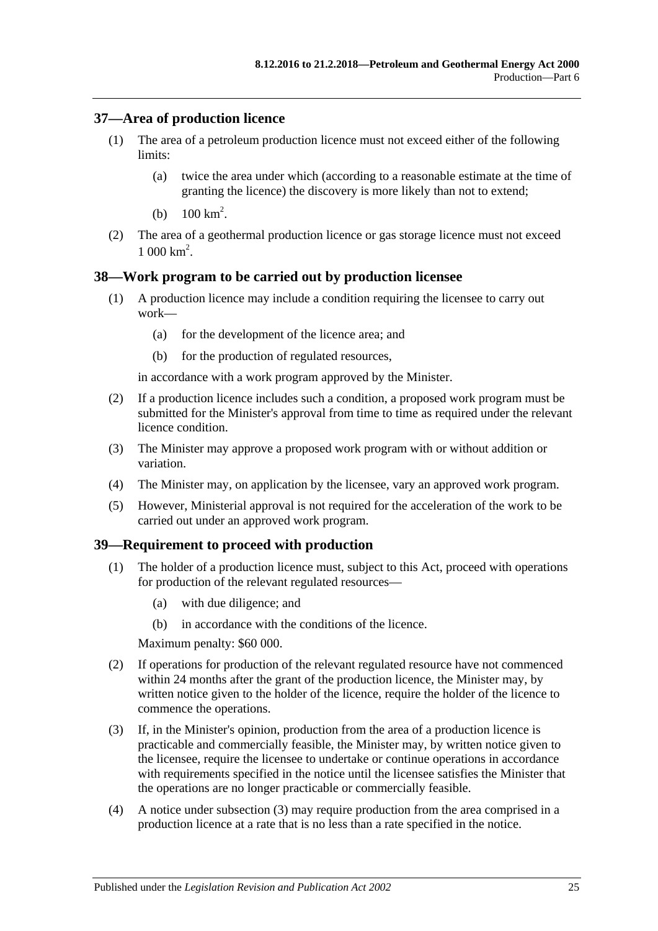## <span id="page-24-0"></span>**37—Area of production licence**

- (1) The area of a petroleum production licence must not exceed either of the following limits:
	- (a) twice the area under which (according to a reasonable estimate at the time of granting the licence) the discovery is more likely than not to extend;
	- (b)  $100 \text{ km}^2$ .
- (2) The area of a geothermal production licence or gas storage licence must not exceed  $1000 \text{ km}^2$ .

### <span id="page-24-1"></span>**38—Work program to be carried out by production licensee**

- (1) A production licence may include a condition requiring the licensee to carry out work—
	- (a) for the development of the licence area; and
	- (b) for the production of regulated resources,

in accordance with a work program approved by the Minister.

- (2) If a production licence includes such a condition, a proposed work program must be submitted for the Minister's approval from time to time as required under the relevant licence condition.
- (3) The Minister may approve a proposed work program with or without addition or variation.
- (4) The Minister may, on application by the licensee, vary an approved work program.
- (5) However, Ministerial approval is not required for the acceleration of the work to be carried out under an approved work program.

#### <span id="page-24-2"></span>**39—Requirement to proceed with production**

- (1) The holder of a production licence must, subject to this Act, proceed with operations for production of the relevant regulated resources—
	- (a) with due diligence; and
	- (b) in accordance with the conditions of the licence.

Maximum penalty: \$60 000.

- (2) If operations for production of the relevant regulated resource have not commenced within 24 months after the grant of the production licence, the Minister may, by written notice given to the holder of the licence, require the holder of the licence to commence the operations.
- <span id="page-24-3"></span>(3) If, in the Minister's opinion, production from the area of a production licence is practicable and commercially feasible, the Minister may, by written notice given to the licensee, require the licensee to undertake or continue operations in accordance with requirements specified in the notice until the licensee satisfies the Minister that the operations are no longer practicable or commercially feasible.
- (4) A notice under [subsection](#page-24-3) (3) may require production from the area comprised in a production licence at a rate that is no less than a rate specified in the notice.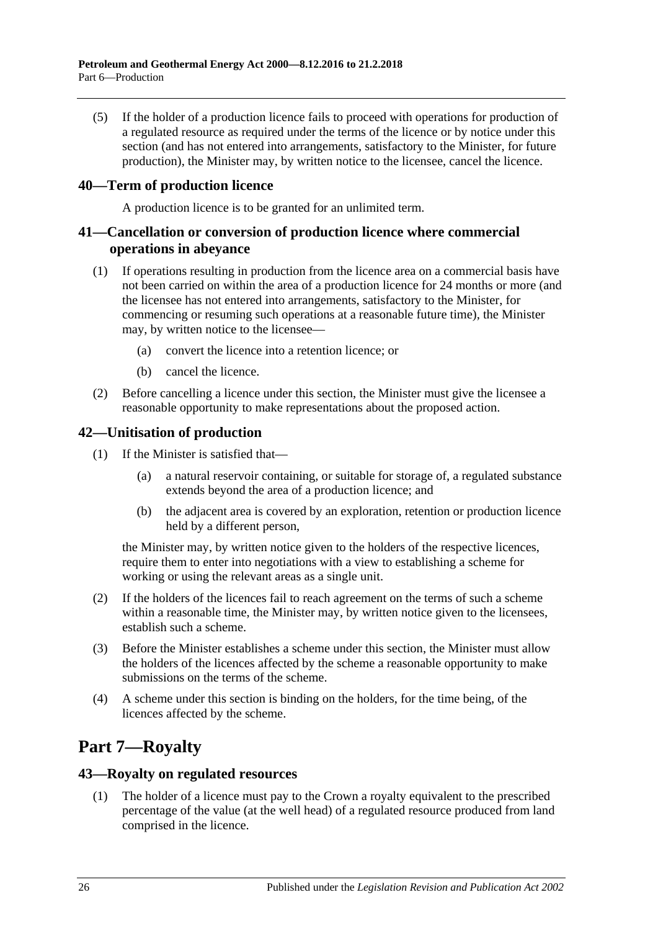(5) If the holder of a production licence fails to proceed with operations for production of a regulated resource as required under the terms of the licence or by notice under this section (and has not entered into arrangements, satisfactory to the Minister, for future production), the Minister may, by written notice to the licensee, cancel the licence.

## <span id="page-25-0"></span>**40—Term of production licence**

A production licence is to be granted for an unlimited term.

## <span id="page-25-1"></span>**41—Cancellation or conversion of production licence where commercial operations in abeyance**

- (1) If operations resulting in production from the licence area on a commercial basis have not been carried on within the area of a production licence for 24 months or more (and the licensee has not entered into arrangements, satisfactory to the Minister, for commencing or resuming such operations at a reasonable future time), the Minister may, by written notice to the licensee—
	- (a) convert the licence into a retention licence; or
	- (b) cancel the licence.
- (2) Before cancelling a licence under this section, the Minister must give the licensee a reasonable opportunity to make representations about the proposed action.

## <span id="page-25-2"></span>**42—Unitisation of production**

- (1) If the Minister is satisfied that—
	- (a) a natural reservoir containing, or suitable for storage of, a regulated substance extends beyond the area of a production licence; and
	- (b) the adjacent area is covered by an exploration, retention or production licence held by a different person,

the Minister may, by written notice given to the holders of the respective licences, require them to enter into negotiations with a view to establishing a scheme for working or using the relevant areas as a single unit.

- (2) If the holders of the licences fail to reach agreement on the terms of such a scheme within a reasonable time, the Minister may, by written notice given to the licensees, establish such a scheme.
- (3) Before the Minister establishes a scheme under this section, the Minister must allow the holders of the licences affected by the scheme a reasonable opportunity to make submissions on the terms of the scheme.
- (4) A scheme under this section is binding on the holders, for the time being, of the licences affected by the scheme.

# <span id="page-25-3"></span>**Part 7—Royalty**

### <span id="page-25-4"></span>**43—Royalty on regulated resources**

(1) The holder of a licence must pay to the Crown a royalty equivalent to the prescribed percentage of the value (at the well head) of a regulated resource produced from land comprised in the licence.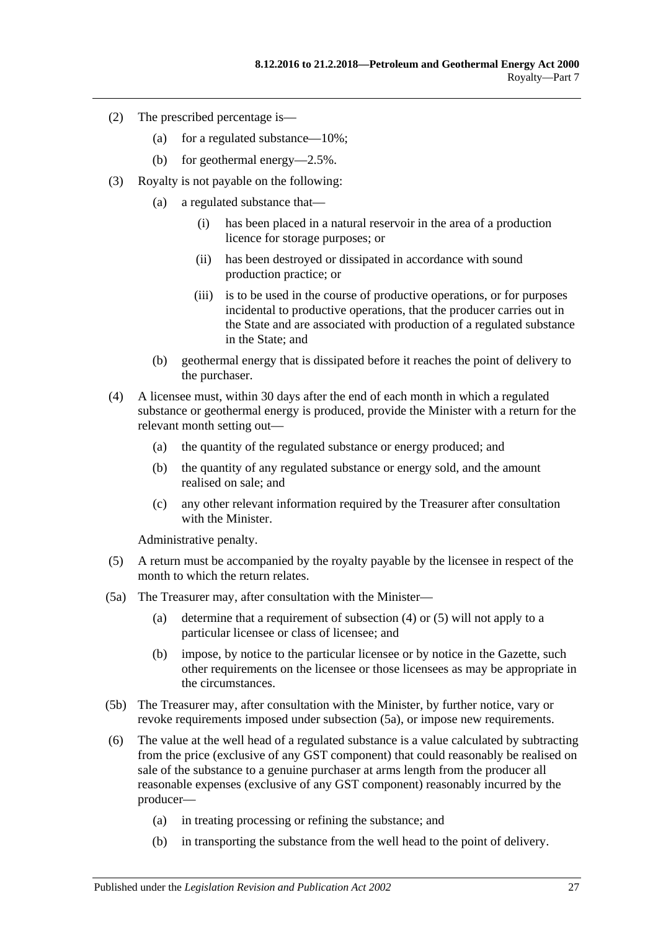- (2) The prescribed percentage is—
	- (a) for a regulated substance—10%;
	- (b) for geothermal energy—2.5%.
- (3) Royalty is not payable on the following:
	- (a) a regulated substance that—
		- (i) has been placed in a natural reservoir in the area of a production licence for storage purposes; or
		- (ii) has been destroyed or dissipated in accordance with sound production practice; or
		- (iii) is to be used in the course of productive operations, or for purposes incidental to productive operations, that the producer carries out in the State and are associated with production of a regulated substance in the State; and
	- (b) geothermal energy that is dissipated before it reaches the point of delivery to the purchaser.
- <span id="page-26-0"></span>(4) A licensee must, within 30 days after the end of each month in which a regulated substance or geothermal energy is produced, provide the Minister with a return for the relevant month setting out—
	- (a) the quantity of the regulated substance or energy produced; and
	- (b) the quantity of any regulated substance or energy sold, and the amount realised on sale; and
	- (c) any other relevant information required by the Treasurer after consultation with the Minister.

Administrative penalty.

- <span id="page-26-1"></span>(5) A return must be accompanied by the royalty payable by the licensee in respect of the month to which the return relates.
- <span id="page-26-2"></span>(5a) The Treasurer may, after consultation with the Minister—
	- (a) determine that a requirement of [subsection](#page-26-0) (4) or [\(5\)](#page-26-1) will not apply to a particular licensee or class of licensee; and
	- (b) impose, by notice to the particular licensee or by notice in the Gazette, such other requirements on the licensee or those licensees as may be appropriate in the circumstances.
- (5b) The Treasurer may, after consultation with the Minister, by further notice, vary or revoke requirements imposed under [subsection](#page-26-2) (5a), or impose new requirements.
- <span id="page-26-3"></span>(6) The value at the well head of a regulated substance is a value calculated by subtracting from the price (exclusive of any GST component) that could reasonably be realised on sale of the substance to a genuine purchaser at arms length from the producer all reasonable expenses (exclusive of any GST component) reasonably incurred by the producer—
	- (a) in treating processing or refining the substance; and
	- (b) in transporting the substance from the well head to the point of delivery.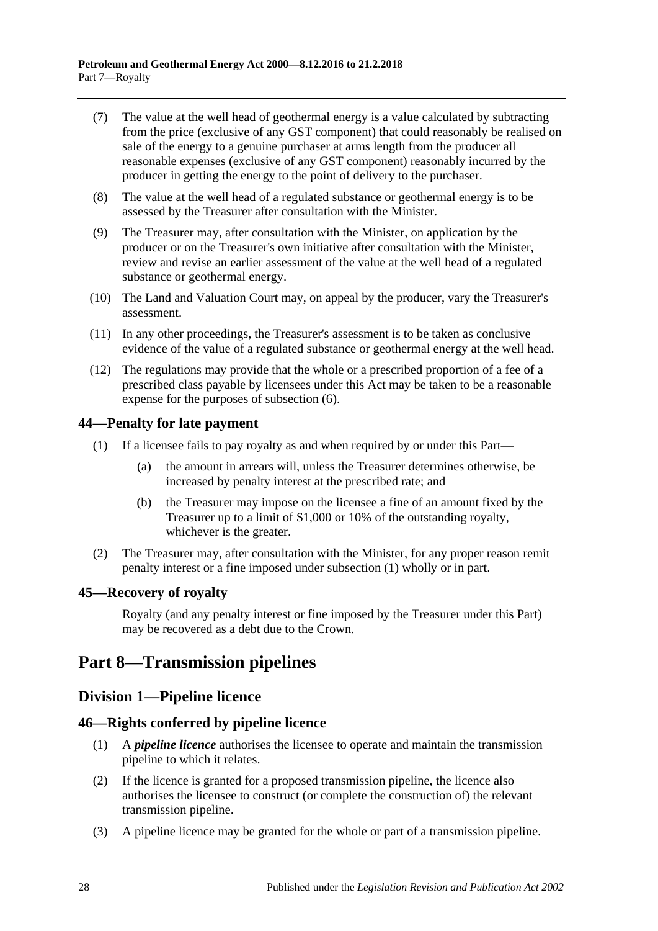- (7) The value at the well head of geothermal energy is a value calculated by subtracting from the price (exclusive of any GST component) that could reasonably be realised on sale of the energy to a genuine purchaser at arms length from the producer all reasonable expenses (exclusive of any GST component) reasonably incurred by the producer in getting the energy to the point of delivery to the purchaser.
- (8) The value at the well head of a regulated substance or geothermal energy is to be assessed by the Treasurer after consultation with the Minister.
- (9) The Treasurer may, after consultation with the Minister, on application by the producer or on the Treasurer's own initiative after consultation with the Minister, review and revise an earlier assessment of the value at the well head of a regulated substance or geothermal energy.
- (10) The Land and Valuation Court may, on appeal by the producer, vary the Treasurer's assessment.
- (11) In any other proceedings, the Treasurer's assessment is to be taken as conclusive evidence of the value of a regulated substance or geothermal energy at the well head.
- (12) The regulations may provide that the whole or a prescribed proportion of a fee of a prescribed class payable by licensees under this Act may be taken to be a reasonable expense for the purposes of [subsection](#page-26-3) (6).

## <span id="page-27-5"></span><span id="page-27-0"></span>**44—Penalty for late payment**

- (1) If a licensee fails to pay royalty as and when required by or under this Part—
	- (a) the amount in arrears will, unless the Treasurer determines otherwise, be increased by penalty interest at the prescribed rate; and
	- (b) the Treasurer may impose on the licensee a fine of an amount fixed by the Treasurer up to a limit of \$1,000 or 10% of the outstanding royalty, whichever is the greater.
- (2) The Treasurer may, after consultation with the Minister, for any proper reason remit penalty interest or a fine imposed under [subsection](#page-27-5) (1) wholly or in part.

### <span id="page-27-1"></span>**45—Recovery of royalty**

Royalty (and any penalty interest or fine imposed by the Treasurer under this Part) may be recovered as a debt due to the Crown.

# <span id="page-27-2"></span>**Part 8—Transmission pipelines**

# <span id="page-27-3"></span>**Division 1—Pipeline licence**

### <span id="page-27-4"></span>**46—Rights conferred by pipeline licence**

- (1) A *pipeline licence* authorises the licensee to operate and maintain the transmission pipeline to which it relates.
- (2) If the licence is granted for a proposed transmission pipeline, the licence also authorises the licensee to construct (or complete the construction of) the relevant transmission pipeline.
- (3) A pipeline licence may be granted for the whole or part of a transmission pipeline.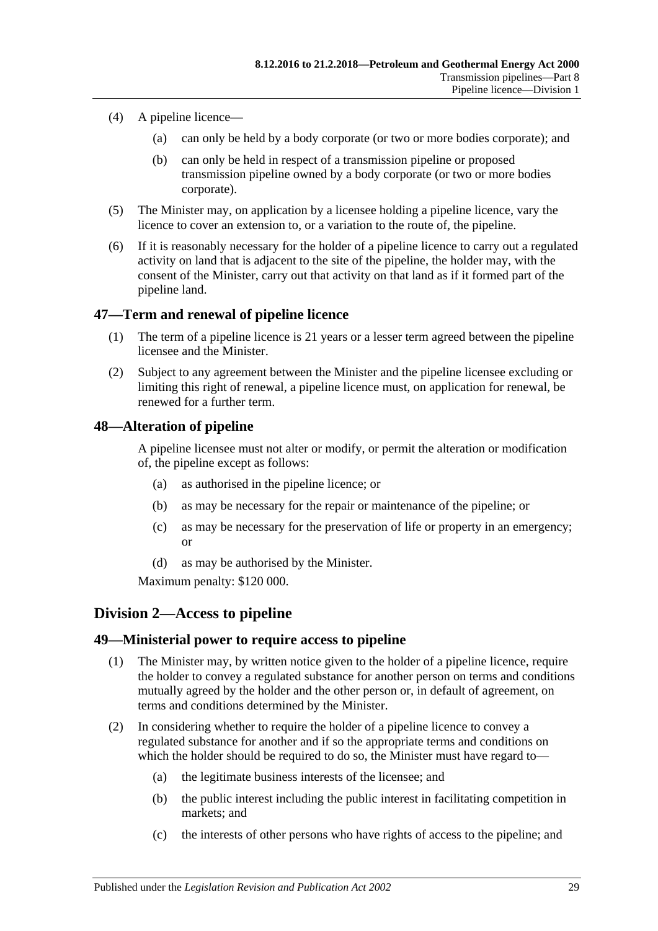- (4) A pipeline licence—
	- (a) can only be held by a body corporate (or two or more bodies corporate); and
	- (b) can only be held in respect of a transmission pipeline or proposed transmission pipeline owned by a body corporate (or two or more bodies corporate).
- (5) The Minister may, on application by a licensee holding a pipeline licence, vary the licence to cover an extension to, or a variation to the route of, the pipeline.
- (6) If it is reasonably necessary for the holder of a pipeline licence to carry out a regulated activity on land that is adjacent to the site of the pipeline, the holder may, with the consent of the Minister, carry out that activity on that land as if it formed part of the pipeline land.

## <span id="page-28-0"></span>**47—Term and renewal of pipeline licence**

- (1) The term of a pipeline licence is 21 years or a lesser term agreed between the pipeline licensee and the Minister.
- (2) Subject to any agreement between the Minister and the pipeline licensee excluding or limiting this right of renewal, a pipeline licence must, on application for renewal, be renewed for a further term.

## <span id="page-28-1"></span>**48—Alteration of pipeline**

A pipeline licensee must not alter or modify, or permit the alteration or modification of, the pipeline except as follows:

- (a) as authorised in the pipeline licence; or
- (b) as may be necessary for the repair or maintenance of the pipeline; or
- (c) as may be necessary for the preservation of life or property in an emergency; or
- (d) as may be authorised by the Minister.

Maximum penalty: \$120 000.

# <span id="page-28-2"></span>**Division 2—Access to pipeline**

### <span id="page-28-3"></span>**49—Ministerial power to require access to pipeline**

- (1) The Minister may, by written notice given to the holder of a pipeline licence, require the holder to convey a regulated substance for another person on terms and conditions mutually agreed by the holder and the other person or, in default of agreement, on terms and conditions determined by the Minister.
- (2) In considering whether to require the holder of a pipeline licence to convey a regulated substance for another and if so the appropriate terms and conditions on which the holder should be required to do so, the Minister must have regard to—
	- (a) the legitimate business interests of the licensee; and
	- (b) the public interest including the public interest in facilitating competition in markets; and
	- (c) the interests of other persons who have rights of access to the pipeline; and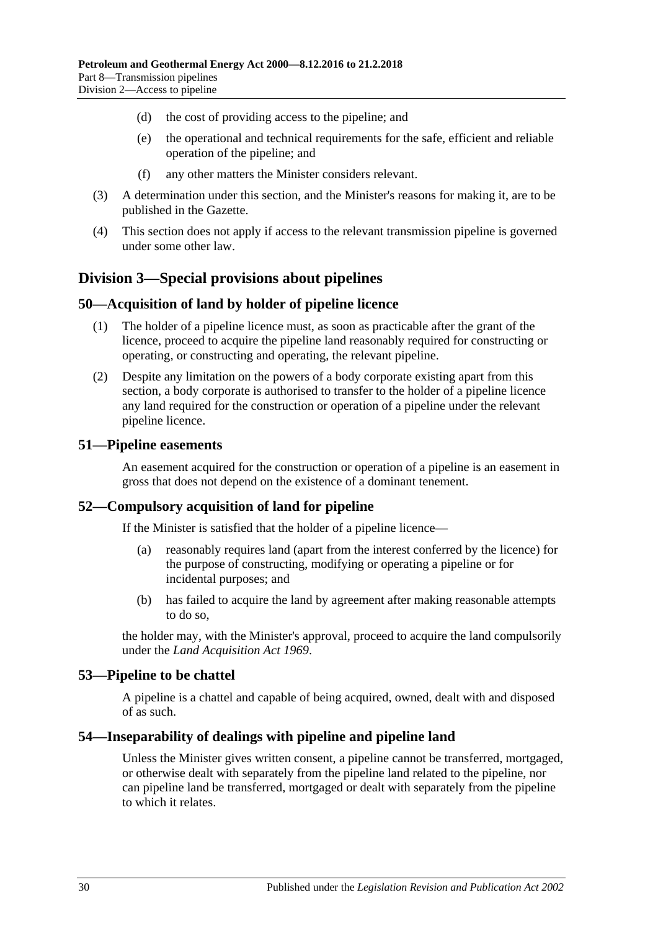- (d) the cost of providing access to the pipeline; and
- (e) the operational and technical requirements for the safe, efficient and reliable operation of the pipeline; and
- (f) any other matters the Minister considers relevant.
- (3) A determination under this section, and the Minister's reasons for making it, are to be published in the Gazette.
- (4) This section does not apply if access to the relevant transmission pipeline is governed under some other law.

# <span id="page-29-0"></span>**Division 3—Special provisions about pipelines**

#### <span id="page-29-1"></span>**50—Acquisition of land by holder of pipeline licence**

- (1) The holder of a pipeline licence must, as soon as practicable after the grant of the licence, proceed to acquire the pipeline land reasonably required for constructing or operating, or constructing and operating, the relevant pipeline.
- (2) Despite any limitation on the powers of a body corporate existing apart from this section, a body corporate is authorised to transfer to the holder of a pipeline licence any land required for the construction or operation of a pipeline under the relevant pipeline licence.

#### <span id="page-29-2"></span>**51—Pipeline easements**

An easement acquired for the construction or operation of a pipeline is an easement in gross that does not depend on the existence of a dominant tenement.

### <span id="page-29-3"></span>**52—Compulsory acquisition of land for pipeline**

If the Minister is satisfied that the holder of a pipeline licence—

- (a) reasonably requires land (apart from the interest conferred by the licence) for the purpose of constructing, modifying or operating a pipeline or for incidental purposes; and
- (b) has failed to acquire the land by agreement after making reasonable attempts to do so,

the holder may, with the Minister's approval, proceed to acquire the land compulsorily under the *[Land Acquisition Act](http://www.legislation.sa.gov.au/index.aspx?action=legref&type=act&legtitle=Land%20Acquisition%20Act%201969) 1969*.

#### <span id="page-29-4"></span>**53—Pipeline to be chattel**

A pipeline is a chattel and capable of being acquired, owned, dealt with and disposed of as such.

#### <span id="page-29-5"></span>**54—Inseparability of dealings with pipeline and pipeline land**

Unless the Minister gives written consent, a pipeline cannot be transferred, mortgaged, or otherwise dealt with separately from the pipeline land related to the pipeline, nor can pipeline land be transferred, mortgaged or dealt with separately from the pipeline to which it relates.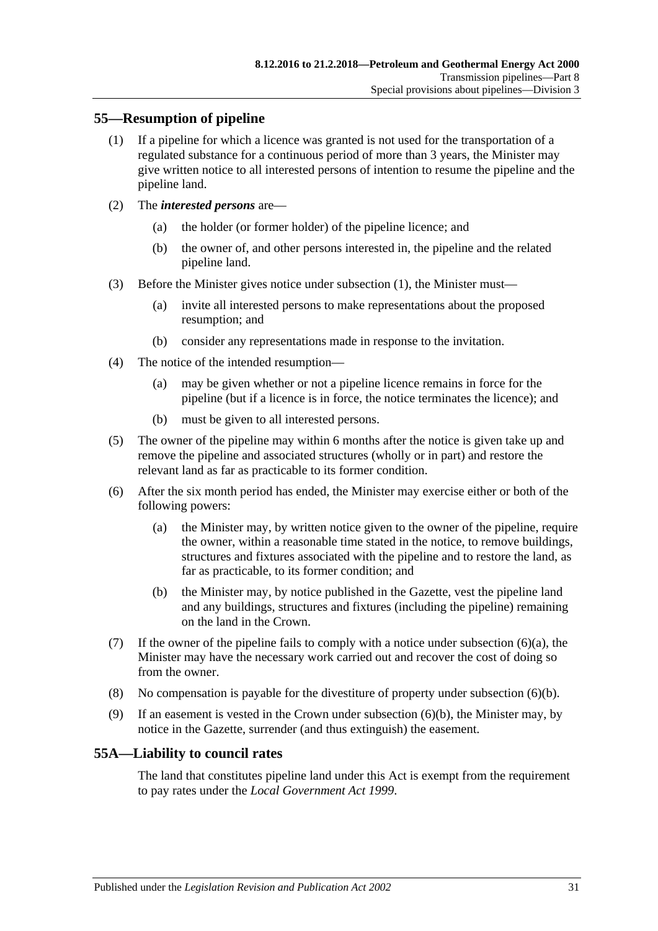## <span id="page-30-2"></span><span id="page-30-0"></span>**55—Resumption of pipeline**

- (1) If a pipeline for which a licence was granted is not used for the transportation of a regulated substance for a continuous period of more than 3 years, the Minister may give written notice to all interested persons of intention to resume the pipeline and the pipeline land.
- (2) The *interested persons* are—
	- (a) the holder (or former holder) of the pipeline licence; and
	- (b) the owner of, and other persons interested in, the pipeline and the related pipeline land.
- (3) Before the Minister gives notice under [subsection](#page-30-2) (1), the Minister must—
	- (a) invite all interested persons to make representations about the proposed resumption; and
	- (b) consider any representations made in response to the invitation.
- (4) The notice of the intended resumption—
	- (a) may be given whether or not a pipeline licence remains in force for the pipeline (but if a licence is in force, the notice terminates the licence); and
	- (b) must be given to all interested persons.
- (5) The owner of the pipeline may within 6 months after the notice is given take up and remove the pipeline and associated structures (wholly or in part) and restore the relevant land as far as practicable to its former condition.
- <span id="page-30-3"></span>(6) After the six month period has ended, the Minister may exercise either or both of the following powers:
	- (a) the Minister may, by written notice given to the owner of the pipeline, require the owner, within a reasonable time stated in the notice, to remove buildings, structures and fixtures associated with the pipeline and to restore the land, as far as practicable, to its former condition; and
	- (b) the Minister may, by notice published in the Gazette, vest the pipeline land and any buildings, structures and fixtures (including the pipeline) remaining on the land in the Crown.
- <span id="page-30-4"></span>(7) If the owner of the pipeline fails to comply with a notice under [subsection](#page-30-3)  $(6)(a)$ , the Minister may have the necessary work carried out and recover the cost of doing so from the owner.
- (8) No compensation is payable for the divestiture of property under [subsection](#page-30-4) (6)(b).
- (9) If an easement is vested in the Crown under [subsection](#page-30-4) (6)(b), the Minister may, by notice in the Gazette, surrender (and thus extinguish) the easement.

# <span id="page-30-1"></span>**55A—Liability to council rates**

The land that constitutes pipeline land under this Act is exempt from the requirement to pay rates under the *[Local Government Act](http://www.legislation.sa.gov.au/index.aspx?action=legref&type=act&legtitle=Local%20Government%20Act%201999) 1999*.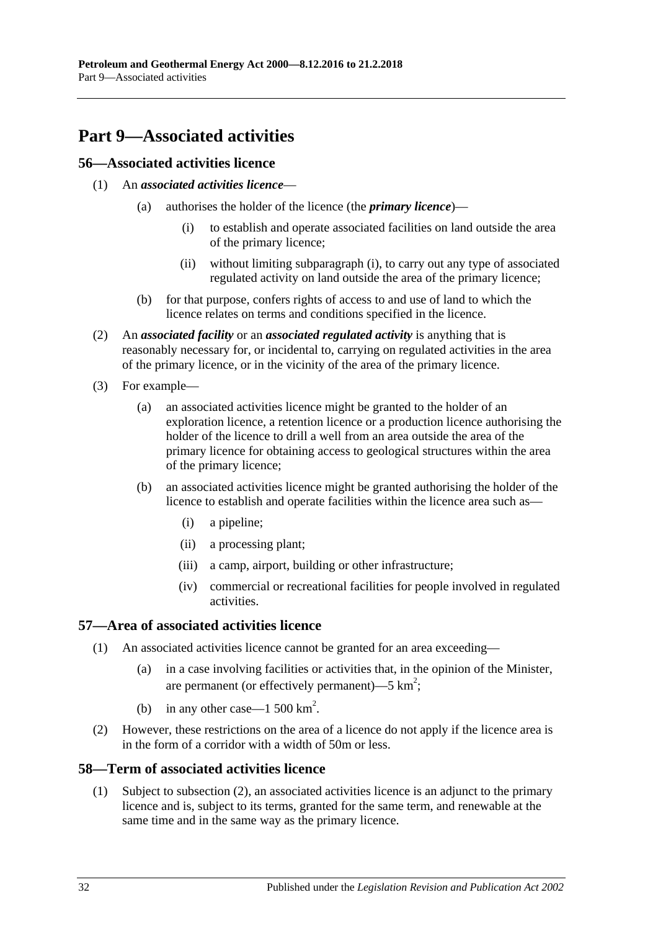# <span id="page-31-0"></span>**Part 9—Associated activities**

## <span id="page-31-1"></span>**56—Associated activities licence**

- <span id="page-31-5"></span>(1) An *associated activities licence*—
	- (a) authorises the holder of the licence (the *primary licence*)—
		- (i) to establish and operate associated facilities on land outside the area of the primary licence;
		- (ii) without limiting [subparagraph](#page-31-5) (i), to carry out any type of associated regulated activity on land outside the area of the primary licence;
	- (b) for that purpose, confers rights of access to and use of land to which the licence relates on terms and conditions specified in the licence.
- <span id="page-31-4"></span>(2) An *associated facility* or an *associated regulated activity* is anything that is reasonably necessary for, or incidental to, carrying on regulated activities in the area of the primary licence, or in the vicinity of the area of the primary licence.
- (3) For example—
	- (a) an associated activities licence might be granted to the holder of an exploration licence, a retention licence or a production licence authorising the holder of the licence to drill a well from an area outside the area of the primary licence for obtaining access to geological structures within the area of the primary licence;
	- (b) an associated activities licence might be granted authorising the holder of the licence to establish and operate facilities within the licence area such as—
		- (i) a pipeline;
		- (ii) a processing plant;
		- (iii) a camp, airport, building or other infrastructure;
		- (iv) commercial or recreational facilities for people involved in regulated activities.

# <span id="page-31-2"></span>**57—Area of associated activities licence**

- (1) An associated activities licence cannot be granted for an area exceeding—
	- (a) in a case involving facilities or activities that, in the opinion of the Minister, are permanent (or effectively permanent)—5  $km^2$ ;
	- (b) in any other case—1 500  $\text{km}^2$ .
- (2) However, these restrictions on the area of a licence do not apply if the licence area is in the form of a corridor with a width of 50m or less.

### <span id="page-31-3"></span>**58—Term of associated activities licence**

(1) Subject to [subsection](#page-32-1) (2), an associated activities licence is an adjunct to the primary licence and is, subject to its terms, granted for the same term, and renewable at the same time and in the same way as the primary licence.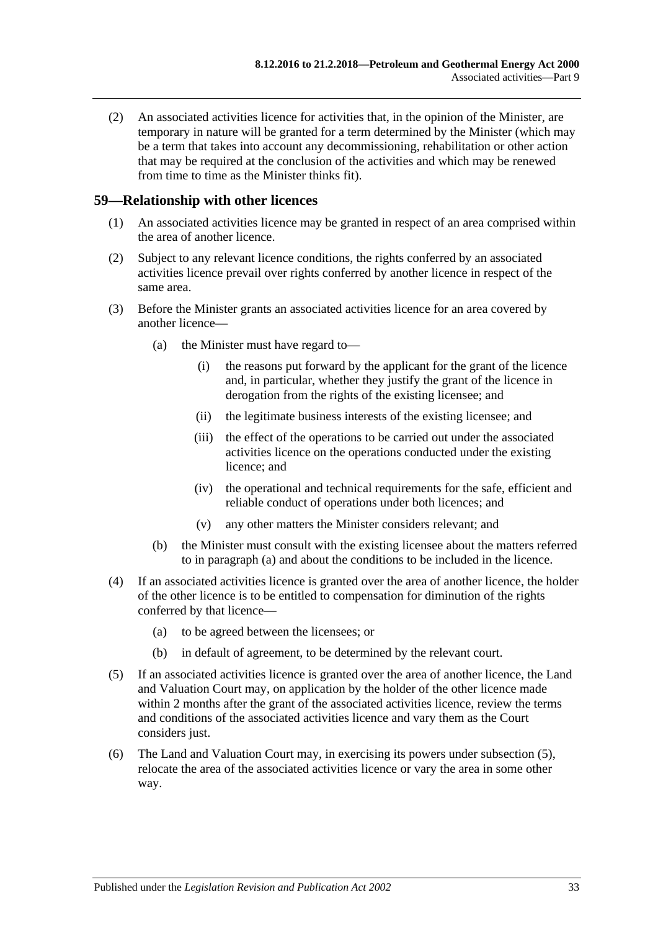<span id="page-32-1"></span>(2) An associated activities licence for activities that, in the opinion of the Minister, are temporary in nature will be granted for a term determined by the Minister (which may be a term that takes into account any decommissioning, rehabilitation or other action that may be required at the conclusion of the activities and which may be renewed from time to time as the Minister thinks fit).

#### <span id="page-32-0"></span>**59—Relationship with other licences**

- (1) An associated activities licence may be granted in respect of an area comprised within the area of another licence.
- (2) Subject to any relevant licence conditions, the rights conferred by an associated activities licence prevail over rights conferred by another licence in respect of the same area.
- <span id="page-32-2"></span>(3) Before the Minister grants an associated activities licence for an area covered by another licence—
	- (a) the Minister must have regard to—
		- (i) the reasons put forward by the applicant for the grant of the licence and, in particular, whether they justify the grant of the licence in derogation from the rights of the existing licensee; and
		- (ii) the legitimate business interests of the existing licensee; and
		- (iii) the effect of the operations to be carried out under the associated activities licence on the operations conducted under the existing licence; and
		- (iv) the operational and technical requirements for the safe, efficient and reliable conduct of operations under both licences; and
		- (v) any other matters the Minister considers relevant; and
	- (b) the Minister must consult with the existing licensee about the matters referred to in [paragraph](#page-32-2) (a) and about the conditions to be included in the licence.
- (4) If an associated activities licence is granted over the area of another licence, the holder of the other licence is to be entitled to compensation for diminution of the rights conferred by that licence—
	- (a) to be agreed between the licensees; or
	- (b) in default of agreement, to be determined by the relevant court.
- <span id="page-32-3"></span>(5) If an associated activities licence is granted over the area of another licence, the Land and Valuation Court may, on application by the holder of the other licence made within 2 months after the grant of the associated activities licence, review the terms and conditions of the associated activities licence and vary them as the Court considers just.
- (6) The Land and Valuation Court may, in exercising its powers under [subsection](#page-32-3) (5), relocate the area of the associated activities licence or vary the area in some other way.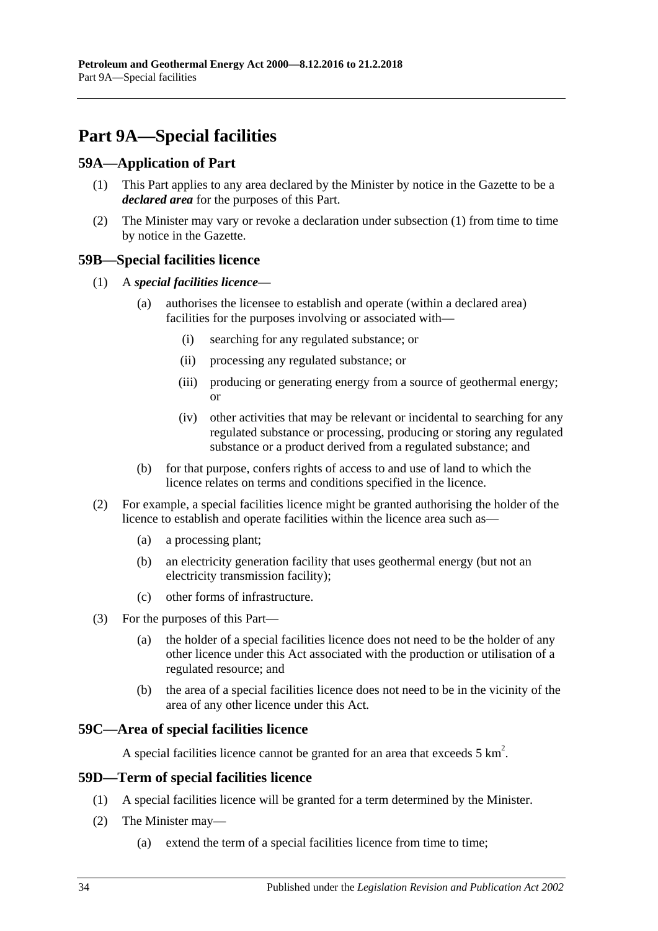# <span id="page-33-0"></span>**Part 9A—Special facilities**

## <span id="page-33-5"></span><span id="page-33-1"></span>**59A—Application of Part**

- (1) This Part applies to any area declared by the Minister by notice in the Gazette to be a *declared area* for the purposes of this Part.
- (2) The Minister may vary or revoke a declaration under [subsection](#page-33-5) (1) from time to time by notice in the Gazette.

## <span id="page-33-2"></span>**59B—Special facilities licence**

- (1) A *special facilities licence*
	- (a) authorises the licensee to establish and operate (within a declared area) facilities for the purposes involving or associated with—
		- (i) searching for any regulated substance; or
		- (ii) processing any regulated substance; or
		- (iii) producing or generating energy from a source of geothermal energy; or
		- (iv) other activities that may be relevant or incidental to searching for any regulated substance or processing, producing or storing any regulated substance or a product derived from a regulated substance; and
	- (b) for that purpose, confers rights of access to and use of land to which the licence relates on terms and conditions specified in the licence.
- (2) For example, a special facilities licence might be granted authorising the holder of the licence to establish and operate facilities within the licence area such as—
	- (a) a processing plant;
	- (b) an electricity generation facility that uses geothermal energy (but not an electricity transmission facility);
	- (c) other forms of infrastructure.
- (3) For the purposes of this Part—
	- (a) the holder of a special facilities licence does not need to be the holder of any other licence under this Act associated with the production or utilisation of a regulated resource; and
	- (b) the area of a special facilities licence does not need to be in the vicinity of the area of any other licence under this Act.

### <span id="page-33-3"></span>**59C—Area of special facilities licence**

A special facilities licence cannot be granted for an area that exceeds  $5 \text{ km}^2$ .

### <span id="page-33-4"></span>**59D—Term of special facilities licence**

- (1) A special facilities licence will be granted for a term determined by the Minister.
- (2) The Minister may—
	- (a) extend the term of a special facilities licence from time to time;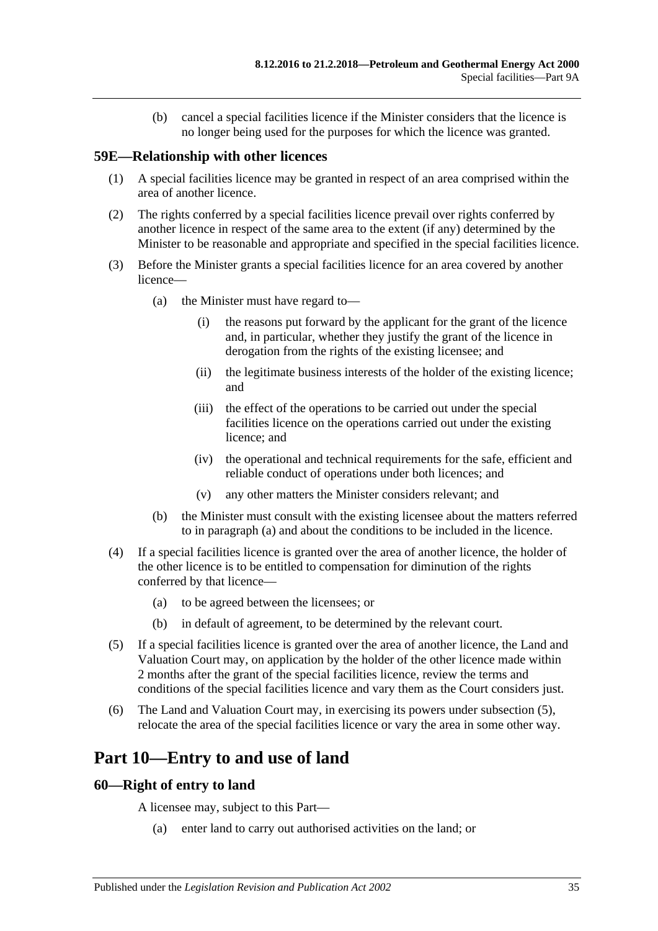(b) cancel a special facilities licence if the Minister considers that the licence is no longer being used for the purposes for which the licence was granted.

### <span id="page-34-0"></span>**59E—Relationship with other licences**

- (1) A special facilities licence may be granted in respect of an area comprised within the area of another licence.
- (2) The rights conferred by a special facilities licence prevail over rights conferred by another licence in respect of the same area to the extent (if any) determined by the Minister to be reasonable and appropriate and specified in the special facilities licence.
- <span id="page-34-3"></span>(3) Before the Minister grants a special facilities licence for an area covered by another licence—
	- (a) the Minister must have regard to—
		- (i) the reasons put forward by the applicant for the grant of the licence and, in particular, whether they justify the grant of the licence in derogation from the rights of the existing licensee; and
		- (ii) the legitimate business interests of the holder of the existing licence; and
		- (iii) the effect of the operations to be carried out under the special facilities licence on the operations carried out under the existing licence; and
		- (iv) the operational and technical requirements for the safe, efficient and reliable conduct of operations under both licences; and
		- (v) any other matters the Minister considers relevant; and
	- (b) the Minister must consult with the existing licensee about the matters referred to in [paragraph](#page-34-3) (a) and about the conditions to be included in the licence.
- (4) If a special facilities licence is granted over the area of another licence, the holder of the other licence is to be entitled to compensation for diminution of the rights conferred by that licence—
	- (a) to be agreed between the licensees; or
	- (b) in default of agreement, to be determined by the relevant court.
- <span id="page-34-4"></span>(5) If a special facilities licence is granted over the area of another licence, the Land and Valuation Court may, on application by the holder of the other licence made within 2 months after the grant of the special facilities licence, review the terms and conditions of the special facilities licence and vary them as the Court considers just.
- (6) The Land and Valuation Court may, in exercising its powers under [subsection](#page-34-4) (5), relocate the area of the special facilities licence or vary the area in some other way.

# <span id="page-34-1"></span>**Part 10—Entry to and use of land**

#### <span id="page-34-2"></span>**60—Right of entry to land**

A licensee may, subject to this Part—

(a) enter land to carry out authorised activities on the land; or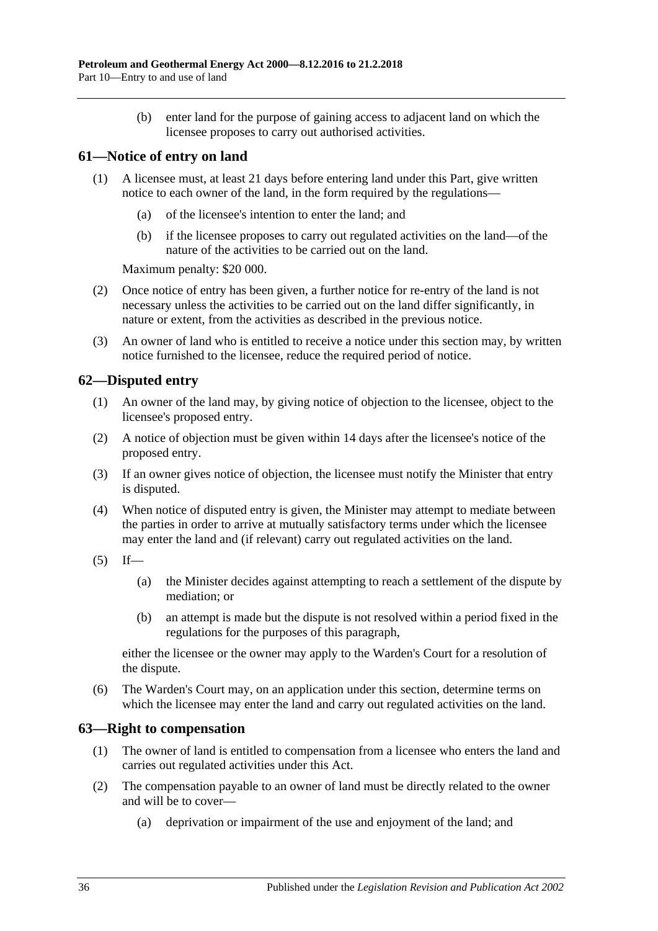(b) enter land for the purpose of gaining access to adjacent land on which the licensee proposes to carry out authorised activities.

## <span id="page-35-0"></span>**61—Notice of entry on land**

- (1) A licensee must, at least 21 days before entering land under this Part, give written notice to each owner of the land, in the form required by the regulations—
	- (a) of the licensee's intention to enter the land; and
	- (b) if the licensee proposes to carry out regulated activities on the land—of the nature of the activities to be carried out on the land.

Maximum penalty: \$20 000.

- (2) Once notice of entry has been given, a further notice for re-entry of the land is not necessary unless the activities to be carried out on the land differ significantly, in nature or extent, from the activities as described in the previous notice.
- (3) An owner of land who is entitled to receive a notice under this section may, by written notice furnished to the licensee, reduce the required period of notice.

### <span id="page-35-1"></span>**62—Disputed entry**

- (1) An owner of the land may, by giving notice of objection to the licensee, object to the licensee's proposed entry.
- (2) A notice of objection must be given within 14 days after the licensee's notice of the proposed entry.
- (3) If an owner gives notice of objection, the licensee must notify the Minister that entry is disputed.
- (4) When notice of disputed entry is given, the Minister may attempt to mediate between the parties in order to arrive at mutually satisfactory terms under which the licensee may enter the land and (if relevant) carry out regulated activities on the land.
- $(5)$  If—
	- (a) the Minister decides against attempting to reach a settlement of the dispute by mediation; or
	- (b) an attempt is made but the dispute is not resolved within a period fixed in the regulations for the purposes of this paragraph,

either the licensee or the owner may apply to the Warden's Court for a resolution of the dispute.

(6) The Warden's Court may, on an application under this section, determine terms on which the licensee may enter the land and carry out regulated activities on the land.

### <span id="page-35-2"></span>**63—Right to compensation**

- (1) The owner of land is entitled to compensation from a licensee who enters the land and carries out regulated activities under this Act.
- (2) The compensation payable to an owner of land must be directly related to the owner and will be to cover—
	- (a) deprivation or impairment of the use and enjoyment of the land; and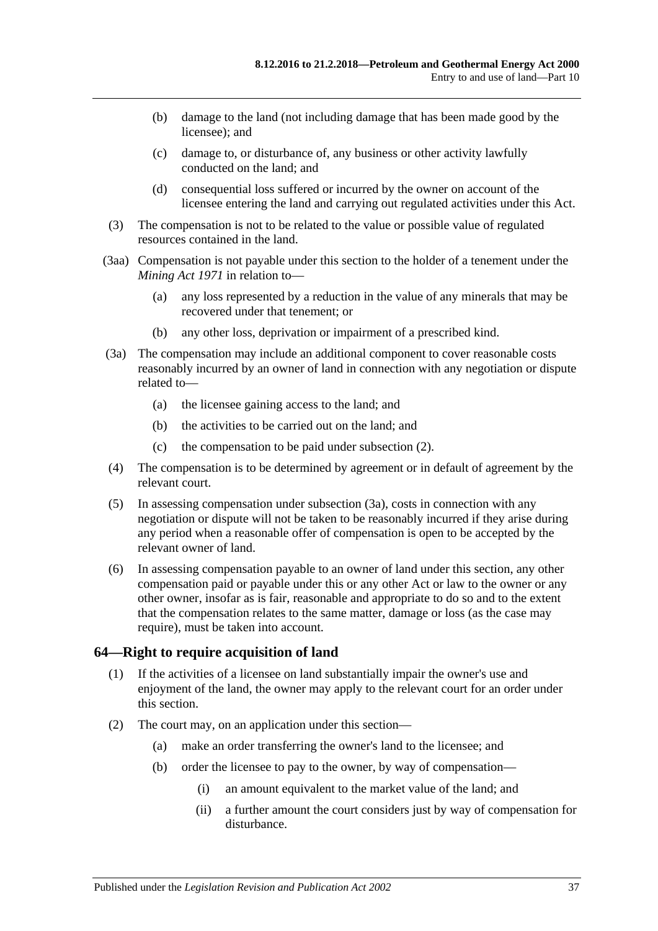- (b) damage to the land (not including damage that has been made good by the licensee); and
- (c) damage to, or disturbance of, any business or other activity lawfully conducted on the land; and
- (d) consequential loss suffered or incurred by the owner on account of the licensee entering the land and carrying out regulated activities under this Act.
- (3) The compensation is not to be related to the value or possible value of regulated resources contained in the land.
- (3aa) Compensation is not payable under this section to the holder of a tenement under the *[Mining Act](http://www.legislation.sa.gov.au/index.aspx?action=legref&type=act&legtitle=Mining%20Act%201971) 1971* in relation to—
	- (a) any loss represented by a reduction in the value of any minerals that may be recovered under that tenement; or
	- (b) any other loss, deprivation or impairment of a prescribed kind.
- <span id="page-36-0"></span>(3a) The compensation may include an additional component to cover reasonable costs reasonably incurred by an owner of land in connection with any negotiation or dispute related to—
	- (a) the licensee gaining access to the land; and
	- (b) the activities to be carried out on the land; and
	- (c) the compensation to be paid under [subsection](#page-35-0) (2).
- (4) The compensation is to be determined by agreement or in default of agreement by the relevant court.
- (5) In assessing compensation under [subsection](#page-36-0) (3a), costs in connection with any negotiation or dispute will not be taken to be reasonably incurred if they arise during any period when a reasonable offer of compensation is open to be accepted by the relevant owner of land.
- (6) In assessing compensation payable to an owner of land under this section, any other compensation paid or payable under this or any other Act or law to the owner or any other owner, insofar as is fair, reasonable and appropriate to do so and to the extent that the compensation relates to the same matter, damage or loss (as the case may require), must be taken into account.

## **64—Right to require acquisition of land**

- (1) If the activities of a licensee on land substantially impair the owner's use and enjoyment of the land, the owner may apply to the relevant court for an order under this section.
- (2) The court may, on an application under this section—
	- (a) make an order transferring the owner's land to the licensee; and
	- (b) order the licensee to pay to the owner, by way of compensation—
		- (i) an amount equivalent to the market value of the land; and
		- (ii) a further amount the court considers just by way of compensation for disturbance.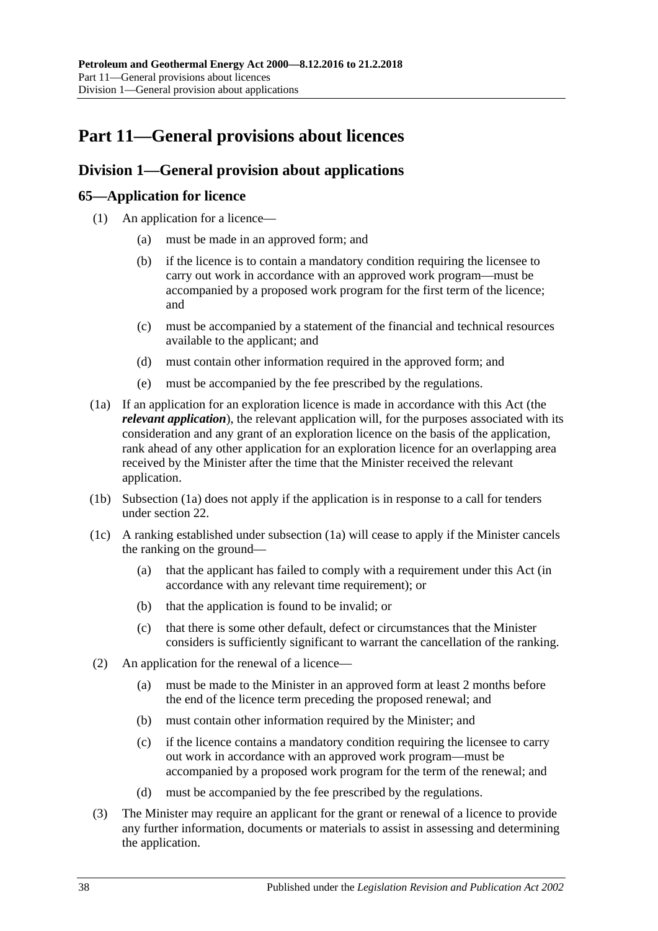# **Part 11—General provisions about licences**

# **Division 1—General provision about applications**

# **65—Application for licence**

- (1) An application for a licence—
	- (a) must be made in an approved form; and
	- (b) if the licence is to contain a mandatory condition requiring the licensee to carry out work in accordance with an approved work program—must be accompanied by a proposed work program for the first term of the licence; and
	- (c) must be accompanied by a statement of the financial and technical resources available to the applicant; and
	- (d) must contain other information required in the approved form; and
	- (e) must be accompanied by the fee prescribed by the regulations.
- <span id="page-37-0"></span>(1a) If an application for an exploration licence is made in accordance with this Act (the *relevant application*), the relevant application will, for the purposes associated with its consideration and any grant of an exploration licence on the basis of the application, rank ahead of any other application for an exploration licence for an overlapping area received by the Minister after the time that the Minister received the relevant application.
- (1b) [Subsection](#page-37-0) (1a) does not apply if the application is in response to a call for tenders under [section](#page-17-0) 22.
- (1c) A ranking established under [subsection](#page-37-0) (1a) will cease to apply if the Minister cancels the ranking on the ground—
	- (a) that the applicant has failed to comply with a requirement under this Act (in accordance with any relevant time requirement); or
	- (b) that the application is found to be invalid; or
	- (c) that there is some other default, defect or circumstances that the Minister considers is sufficiently significant to warrant the cancellation of the ranking.
- (2) An application for the renewal of a licence—
	- (a) must be made to the Minister in an approved form at least 2 months before the end of the licence term preceding the proposed renewal; and
	- (b) must contain other information required by the Minister; and
	- (c) if the licence contains a mandatory condition requiring the licensee to carry out work in accordance with an approved work program—must be accompanied by a proposed work program for the term of the renewal; and
	- (d) must be accompanied by the fee prescribed by the regulations.
- <span id="page-37-1"></span>(3) The Minister may require an applicant for the grant or renewal of a licence to provide any further information, documents or materials to assist in assessing and determining the application.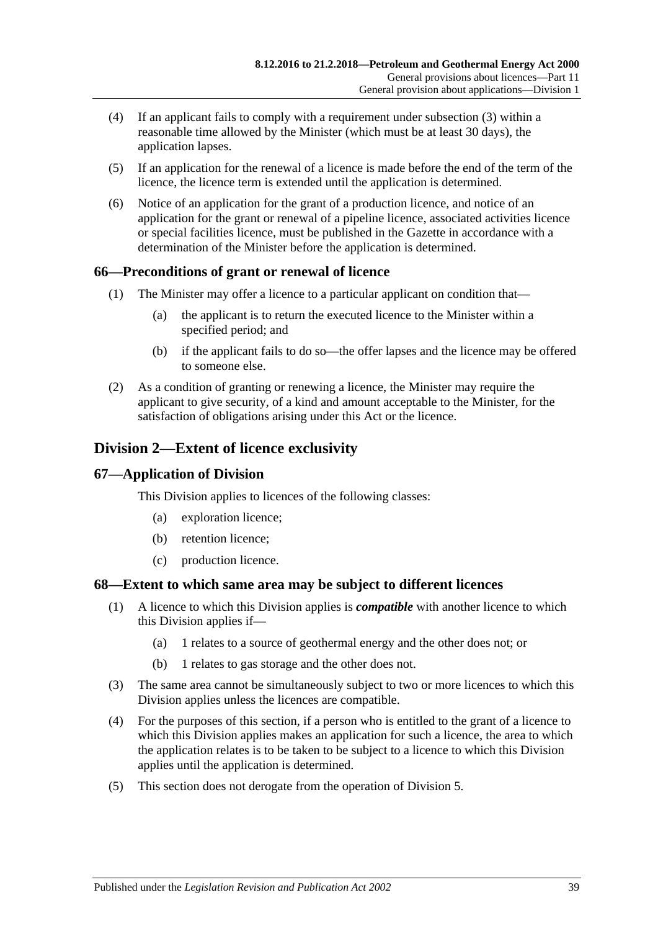- (4) If an applicant fails to comply with a requirement under [subsection](#page-37-1) (3) within a reasonable time allowed by the Minister (which must be at least 30 days), the application lapses.
- (5) If an application for the renewal of a licence is made before the end of the term of the licence, the licence term is extended until the application is determined.
- (6) Notice of an application for the grant of a production licence, and notice of an application for the grant or renewal of a pipeline licence, associated activities licence or special facilities licence, must be published in the Gazette in accordance with a determination of the Minister before the application is determined.

## **66—Preconditions of grant or renewal of licence**

- (1) The Minister may offer a licence to a particular applicant on condition that—
	- (a) the applicant is to return the executed licence to the Minister within a specified period; and
	- (b) if the applicant fails to do so—the offer lapses and the licence may be offered to someone else.
- (2) As a condition of granting or renewing a licence, the Minister may require the applicant to give security, of a kind and amount acceptable to the Minister, for the satisfaction of obligations arising under this Act or the licence.

# **Division 2—Extent of licence exclusivity**

## **67—Application of Division**

This Division applies to licences of the following classes:

- (a) exploration licence;
- (b) retention licence;
- (c) production licence.

## **68—Extent to which same area may be subject to different licences**

- (1) A licence to which this Division applies is *compatible* with another licence to which this Division applies if—
	- (a) 1 relates to a source of geothermal energy and the other does not; or
	- (b) 1 relates to gas storage and the other does not.
- (3) The same area cannot be simultaneously subject to two or more licences to which this Division applies unless the licences are compatible.
- (4) For the purposes of this section, if a person who is entitled to the grant of a licence to which this Division applies makes an application for such a licence, the area to which the application relates is to be taken to be subject to a licence to which this Division applies until the application is determined.
- (5) This section does not derogate from the operation of [Division 5.](#page-41-0)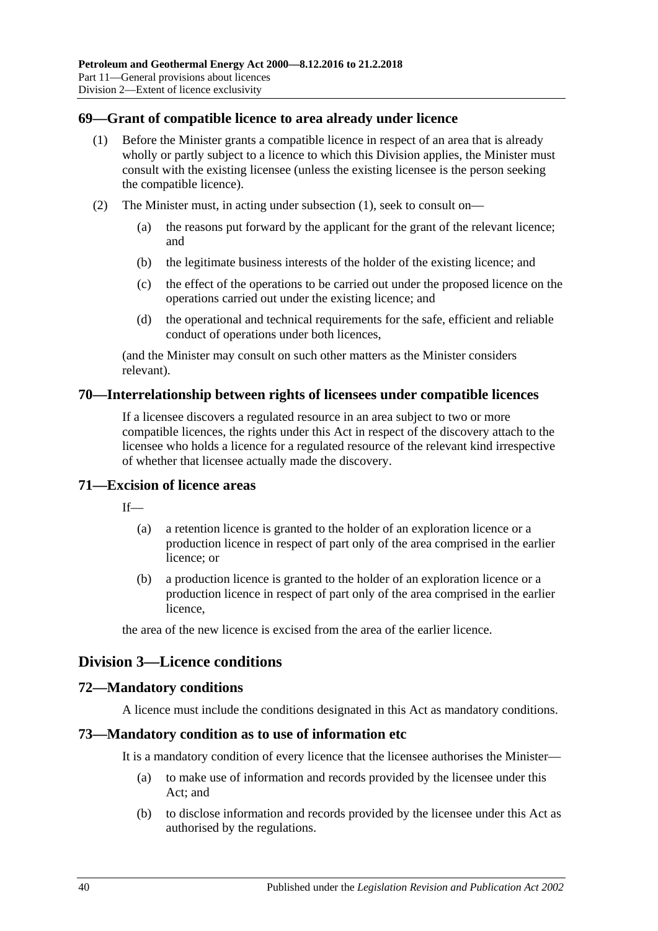#### <span id="page-39-0"></span>**69—Grant of compatible licence to area already under licence**

- (1) Before the Minister grants a compatible licence in respect of an area that is already wholly or partly subject to a licence to which this Division applies, the Minister must consult with the existing licensee (unless the existing licensee is the person seeking the compatible licence).
- (2) The Minister must, in acting under [subsection](#page-39-0) (1), seek to consult on—
	- (a) the reasons put forward by the applicant for the grant of the relevant licence; and
	- (b) the legitimate business interests of the holder of the existing licence; and
	- (c) the effect of the operations to be carried out under the proposed licence on the operations carried out under the existing licence; and
	- (d) the operational and technical requirements for the safe, efficient and reliable conduct of operations under both licences,

(and the Minister may consult on such other matters as the Minister considers relevant).

#### **70—Interrelationship between rights of licensees under compatible licences**

If a licensee discovers a regulated resource in an area subject to two or more compatible licences, the rights under this Act in respect of the discovery attach to the licensee who holds a licence for a regulated resource of the relevant kind irrespective of whether that licensee actually made the discovery.

#### **71—Excision of licence areas**

 $If$ <sub>—</sub>

- (a) a retention licence is granted to the holder of an exploration licence or a production licence in respect of part only of the area comprised in the earlier licence; or
- (b) a production licence is granted to the holder of an exploration licence or a production licence in respect of part only of the area comprised in the earlier licence,

the area of the new licence is excised from the area of the earlier licence.

## **Division 3—Licence conditions**

#### **72—Mandatory conditions**

A licence must include the conditions designated in this Act as mandatory conditions.

#### **73—Mandatory condition as to use of information etc**

It is a mandatory condition of every licence that the licensee authorises the Minister—

- (a) to make use of information and records provided by the licensee under this Act; and
- (b) to disclose information and records provided by the licensee under this Act as authorised by the regulations.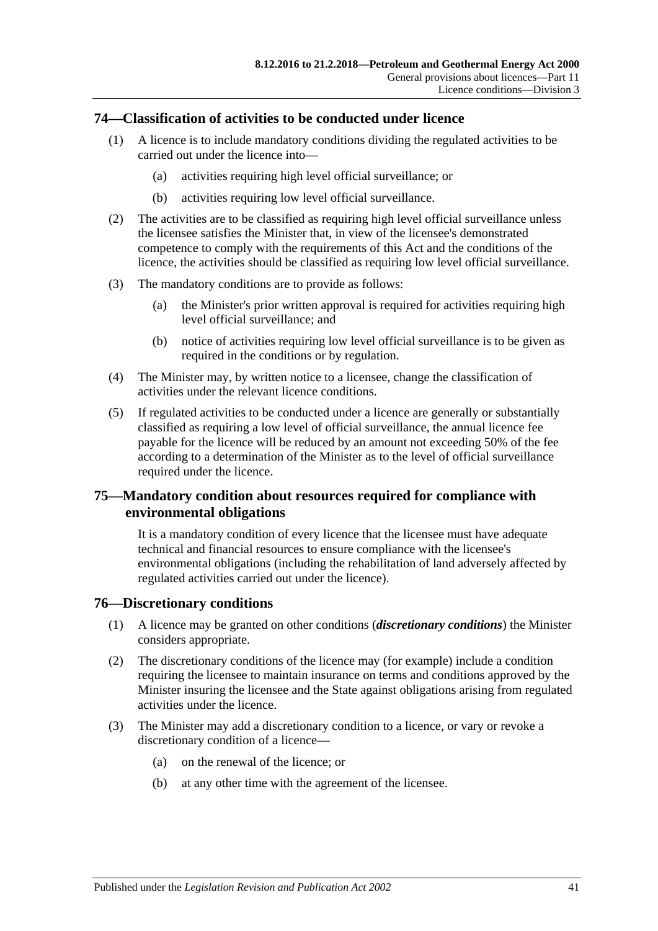#### <span id="page-40-0"></span>**74—Classification of activities to be conducted under licence**

- (1) A licence is to include mandatory conditions dividing the regulated activities to be carried out under the licence into—
	- (a) activities requiring high level official surveillance; or
	- (b) activities requiring low level official surveillance.
- (2) The activities are to be classified as requiring high level official surveillance unless the licensee satisfies the Minister that, in view of the licensee's demonstrated competence to comply with the requirements of this Act and the conditions of the licence, the activities should be classified as requiring low level official surveillance.
- (3) The mandatory conditions are to provide as follows:
	- (a) the Minister's prior written approval is required for activities requiring high level official surveillance; and
	- (b) notice of activities requiring low level official surveillance is to be given as required in the conditions or by regulation.
- <span id="page-40-1"></span>(4) The Minister may, by written notice to a licensee, change the classification of activities under the relevant licence conditions.
- (5) If regulated activities to be conducted under a licence are generally or substantially classified as requiring a low level of official surveillance, the annual licence fee payable for the licence will be reduced by an amount not exceeding 50% of the fee according to a determination of the Minister as to the level of official surveillance required under the licence.

## **75—Mandatory condition about resources required for compliance with environmental obligations**

It is a mandatory condition of every licence that the licensee must have adequate technical and financial resources to ensure compliance with the licensee's environmental obligations (including the rehabilitation of land adversely affected by regulated activities carried out under the licence).

#### **76—Discretionary conditions**

- (1) A licence may be granted on other conditions (*discretionary conditions*) the Minister considers appropriate.
- (2) The discretionary conditions of the licence may (for example) include a condition requiring the licensee to maintain insurance on terms and conditions approved by the Minister insuring the licensee and the State against obligations arising from regulated activities under the licence.
- (3) The Minister may add a discretionary condition to a licence, or vary or revoke a discretionary condition of a licence—
	- (a) on the renewal of the licence; or
	- (b) at any other time with the agreement of the licensee.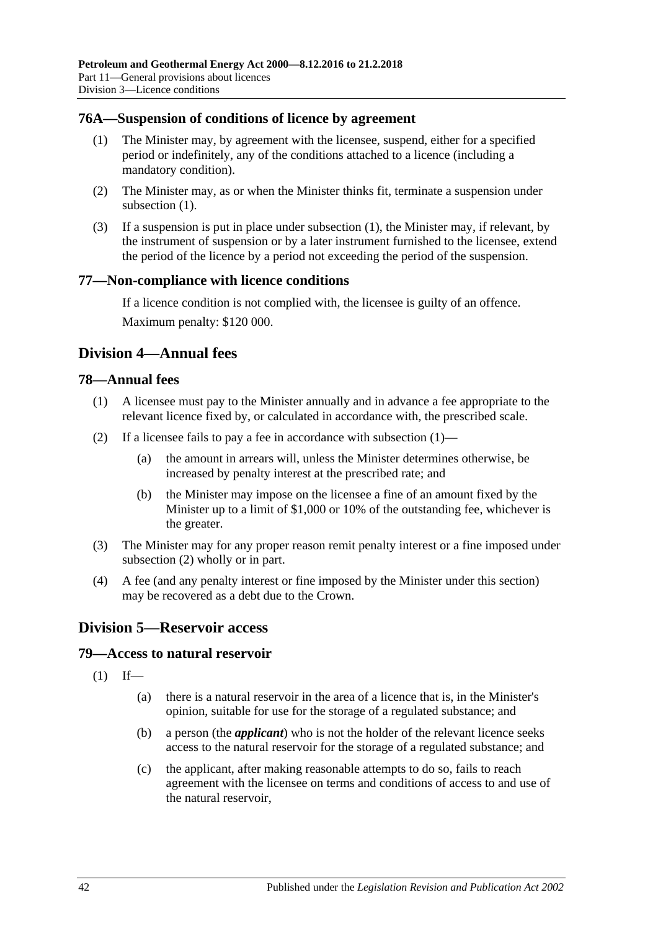#### <span id="page-41-1"></span>**76A—Suspension of conditions of licence by agreement**

- (1) The Minister may, by agreement with the licensee, suspend, either for a specified period or indefinitely, any of the conditions attached to a licence (including a mandatory condition).
- (2) The Minister may, as or when the Minister thinks fit, terminate a suspension under [subsection](#page-41-1)  $(1)$ .
- (3) If a suspension is put in place under [subsection](#page-41-1) (1), the Minister may, if relevant, by the instrument of suspension or by a later instrument furnished to the licensee, extend the period of the licence by a period not exceeding the period of the suspension.

#### **77—Non-compliance with licence conditions**

If a licence condition is not complied with, the licensee is guilty of an offence. Maximum penalty: \$120 000.

## **Division 4—Annual fees**

#### <span id="page-41-2"></span>**78—Annual fees**

- (1) A licensee must pay to the Minister annually and in advance a fee appropriate to the relevant licence fixed by, or calculated in accordance with, the prescribed scale.
- <span id="page-41-3"></span>(2) If a licensee fails to pay a fee in accordance with [subsection](#page-41-2)  $(1)$ —
	- (a) the amount in arrears will, unless the Minister determines otherwise, be increased by penalty interest at the prescribed rate; and
	- (b) the Minister may impose on the licensee a fine of an amount fixed by the Minister up to a limit of \$1,000 or 10% of the outstanding fee, whichever is the greater.
- (3) The Minister may for any proper reason remit penalty interest or a fine imposed under [subsection](#page-41-3) (2) wholly or in part.
- (4) A fee (and any penalty interest or fine imposed by the Minister under this section) may be recovered as a debt due to the Crown.

# <span id="page-41-0"></span>**Division 5—Reservoir access**

#### **79—Access to natural reservoir**

- $(1)$  If—
	- (a) there is a natural reservoir in the area of a licence that is, in the Minister's opinion, suitable for use for the storage of a regulated substance; and
	- (b) a person (the *applicant*) who is not the holder of the relevant licence seeks access to the natural reservoir for the storage of a regulated substance; and
	- (c) the applicant, after making reasonable attempts to do so, fails to reach agreement with the licensee on terms and conditions of access to and use of the natural reservoir,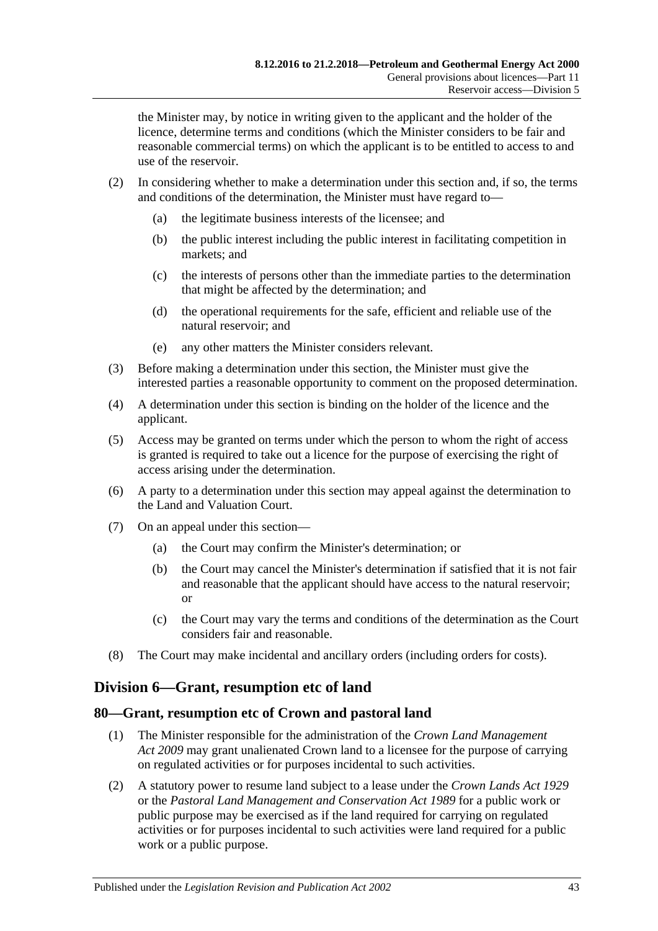the Minister may, by notice in writing given to the applicant and the holder of the licence, determine terms and conditions (which the Minister considers to be fair and reasonable commercial terms) on which the applicant is to be entitled to access to and use of the reservoir.

- (2) In considering whether to make a determination under this section and, if so, the terms and conditions of the determination, the Minister must have regard to—
	- (a) the legitimate business interests of the licensee; and
	- (b) the public interest including the public interest in facilitating competition in markets; and
	- (c) the interests of persons other than the immediate parties to the determination that might be affected by the determination; and
	- (d) the operational requirements for the safe, efficient and reliable use of the natural reservoir; and
	- (e) any other matters the Minister considers relevant.
- (3) Before making a determination under this section, the Minister must give the interested parties a reasonable opportunity to comment on the proposed determination.
- (4) A determination under this section is binding on the holder of the licence and the applicant.
- (5) Access may be granted on terms under which the person to whom the right of access is granted is required to take out a licence for the purpose of exercising the right of access arising under the determination.
- (6) A party to a determination under this section may appeal against the determination to the Land and Valuation Court.
- (7) On an appeal under this section—
	- (a) the Court may confirm the Minister's determination; or
	- (b) the Court may cancel the Minister's determination if satisfied that it is not fair and reasonable that the applicant should have access to the natural reservoir; or
	- (c) the Court may vary the terms and conditions of the determination as the Court considers fair and reasonable.
- (8) The Court may make incidental and ancillary orders (including orders for costs).

## **Division 6—Grant, resumption etc of land**

#### **80—Grant, resumption etc of Crown and pastoral land**

- (1) The Minister responsible for the administration of the *[Crown Land Management](http://www.legislation.sa.gov.au/index.aspx?action=legref&type=act&legtitle=Crown%20Land%20Management%20Act%202009)  Act [2009](http://www.legislation.sa.gov.au/index.aspx?action=legref&type=act&legtitle=Crown%20Land%20Management%20Act%202009)* may grant unalienated Crown land to a licensee for the purpose of carrying on regulated activities or for purposes incidental to such activities.
- (2) A statutory power to resume land subject to a lease under the *[Crown Lands Act](http://www.legislation.sa.gov.au/index.aspx?action=legref&type=act&legtitle=Crown%20Lands%20Act%201929) 1929* or the *[Pastoral Land Management and Conservation Act](http://www.legislation.sa.gov.au/index.aspx?action=legref&type=act&legtitle=Pastoral%20Land%20Management%20and%20Conservation%20Act%201989) 1989* for a public work or public purpose may be exercised as if the land required for carrying on regulated activities or for purposes incidental to such activities were land required for a public work or a public purpose.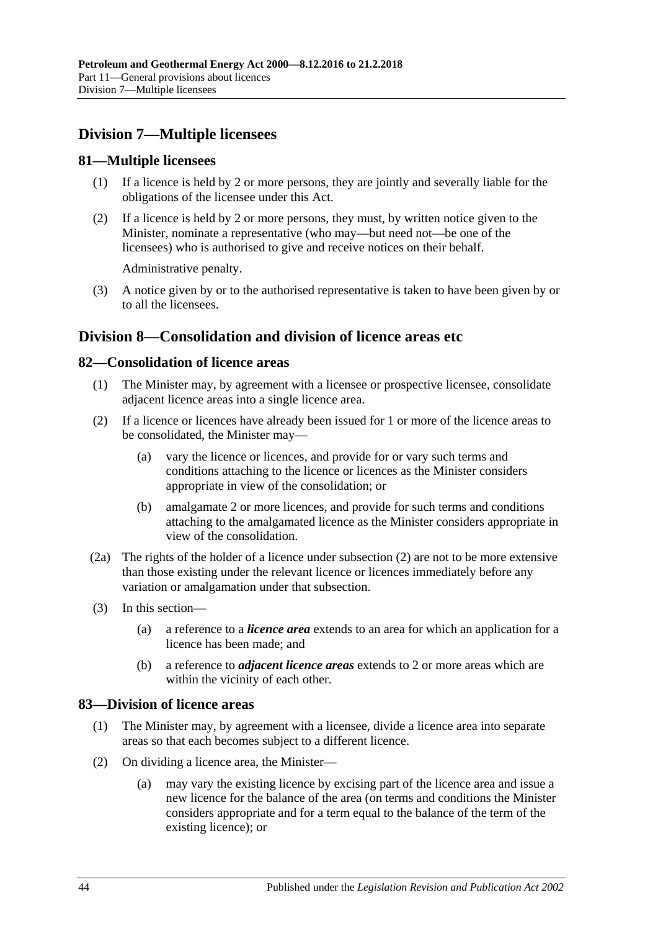# **Division 7—Multiple licensees**

## **81—Multiple licensees**

- (1) If a licence is held by 2 or more persons, they are jointly and severally liable for the obligations of the licensee under this Act.
- (2) If a licence is held by 2 or more persons, they must, by written notice given to the Minister, nominate a representative (who may—but need not—be one of the licensees) who is authorised to give and receive notices on their behalf.

Administrative penalty.

(3) A notice given by or to the authorised representative is taken to have been given by or to all the licensees.

# **Division 8—Consolidation and division of licence areas etc**

## <span id="page-43-2"></span>**82—Consolidation of licence areas**

- (1) The Minister may, by agreement with a licensee or prospective licensee, consolidate adjacent licence areas into a single licence area.
- (2) If a licence or licences have already been issued for 1 or more of the licence areas to be consolidated, the Minister may—
	- (a) vary the licence or licences, and provide for or vary such terms and conditions attaching to the licence or licences as the Minister considers appropriate in view of the consolidation; or
	- (b) amalgamate 2 or more licences, and provide for such terms and conditions attaching to the amalgamated licence as the Minister considers appropriate in view of the consolidation.
- (2a) The rights of the holder of a licence under subsection (2) are not to be more extensive than those existing under the relevant licence or licences immediately before any variation or amalgamation under that subsection.
- (3) In this section—
	- (a) a reference to a *licence area* extends to an area for which an application for a licence has been made; and
	- (b) a reference to *adjacent licence areas* extends to 2 or more areas which are within the vicinity of each other.

## <span id="page-43-3"></span>**83—Division of licence areas**

- (1) The Minister may, by agreement with a licensee, divide a licence area into separate areas so that each becomes subject to a different licence.
- <span id="page-43-1"></span><span id="page-43-0"></span>(2) On dividing a licence area, the Minister—
	- (a) may vary the existing licence by excising part of the licence area and issue a new licence for the balance of the area (on terms and conditions the Minister considers appropriate and for a term equal to the balance of the term of the existing licence); or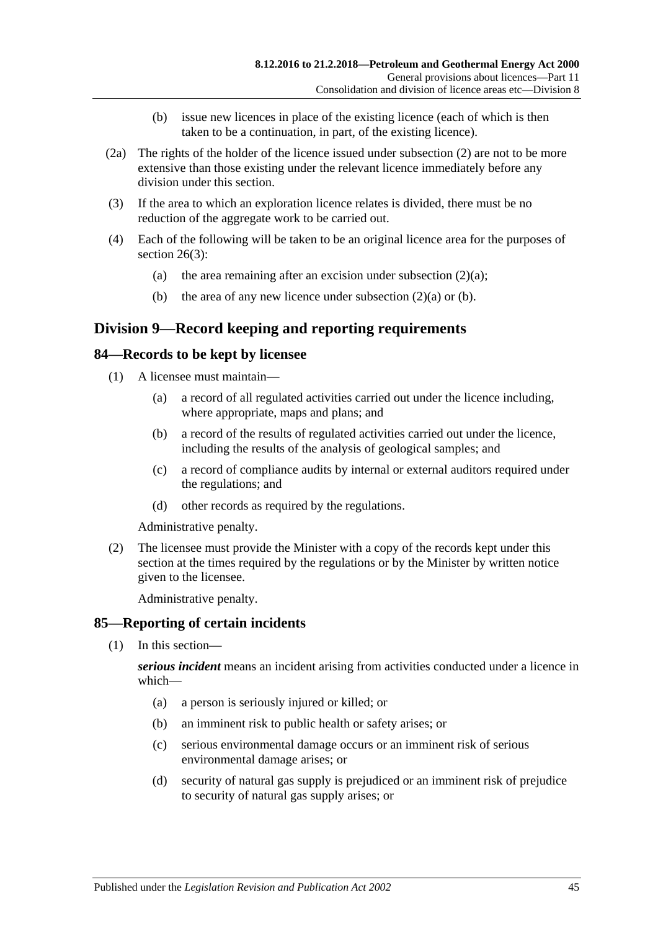- (b) issue new licences in place of the existing licence (each of which is then taken to be a continuation, in part, of the existing licence).
- <span id="page-44-0"></span>(2a) The rights of the holder of the licence issued under [subsection](#page-43-0) (2) are not to be more extensive than those existing under the relevant licence immediately before any division under this section.
- (3) If the area to which an exploration licence relates is divided, there must be no reduction of the aggregate work to be carried out.
- (4) Each of the following will be taken to be an original licence area for the purposes of [section](#page-18-0) 26(3):
	- (a) the area remaining after an excision under [subsection](#page-43-1)  $(2)(a)$ ;
	- (b) the area of any new licence under [subsection](#page-43-1)  $(2)(a)$  or [\(b\).](#page-44-0)

# **Division 9—Record keeping and reporting requirements**

#### **84—Records to be kept by licensee**

- (1) A licensee must maintain—
	- (a) a record of all regulated activities carried out under the licence including, where appropriate, maps and plans; and
	- (b) a record of the results of regulated activities carried out under the licence, including the results of the analysis of geological samples; and
	- (c) a record of compliance audits by internal or external auditors required under the regulations; and
	- (d) other records as required by the regulations.

Administrative penalty.

(2) The licensee must provide the Minister with a copy of the records kept under this section at the times required by the regulations or by the Minister by written notice given to the licensee.

Administrative penalty.

## <span id="page-44-1"></span>**85—Reporting of certain incidents**

(1) In this section—

*serious incident* means an incident arising from activities conducted under a licence in which—

- (a) a person is seriously injured or killed; or
- (b) an imminent risk to public health or safety arises; or
- (c) serious environmental damage occurs or an imminent risk of serious environmental damage arises; or
- (d) security of natural gas supply is prejudiced or an imminent risk of prejudice to security of natural gas supply arises; or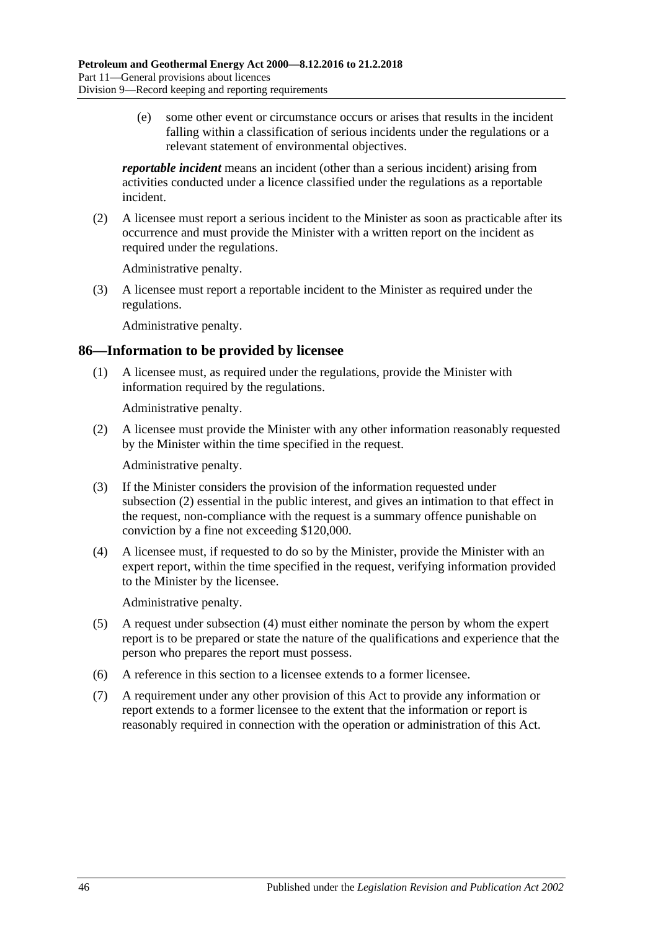(e) some other event or circumstance occurs or arises that results in the incident falling within a classification of serious incidents under the regulations or a relevant statement of environmental objectives.

*reportable incident* means an incident (other than a serious incident) arising from activities conducted under a licence classified under the regulations as a reportable incident.

(2) A licensee must report a serious incident to the Minister as soon as practicable after its occurrence and must provide the Minister with a written report on the incident as required under the regulations.

Administrative penalty.

(3) A licensee must report a reportable incident to the Minister as required under the regulations.

Administrative penalty.

#### **86—Information to be provided by licensee**

(1) A licensee must, as required under the regulations, provide the Minister with information required by the regulations.

Administrative penalty.

<span id="page-45-0"></span>(2) A licensee must provide the Minister with any other information reasonably requested by the Minister within the time specified in the request.

Administrative penalty.

- (3) If the Minister considers the provision of the information requested under [subsection](#page-45-0) (2) essential in the public interest, and gives an intimation to that effect in the request, non-compliance with the request is a summary offence punishable on conviction by a fine not exceeding \$120,000.
- <span id="page-45-1"></span>(4) A licensee must, if requested to do so by the Minister, provide the Minister with an expert report, within the time specified in the request, verifying information provided to the Minister by the licensee.

Administrative penalty.

- (5) A request under [subsection](#page-45-1) (4) must either nominate the person by whom the expert report is to be prepared or state the nature of the qualifications and experience that the person who prepares the report must possess.
- (6) A reference in this section to a licensee extends to a former licensee.
- (7) A requirement under any other provision of this Act to provide any information or report extends to a former licensee to the extent that the information or report is reasonably required in connection with the operation or administration of this Act.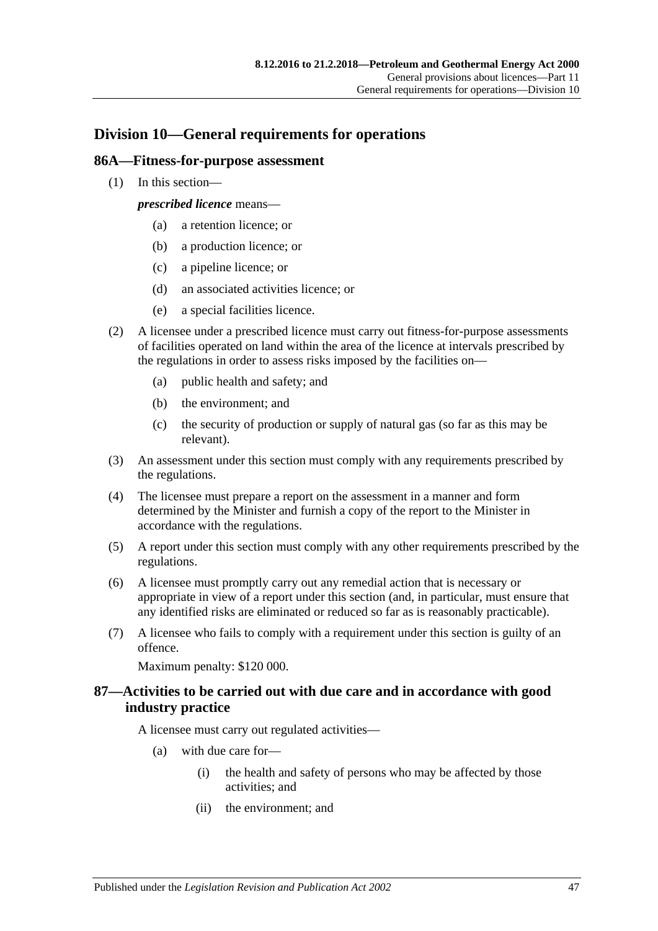# **Division 10—General requirements for operations**

#### **86A—Fitness-for-purpose assessment**

(1) In this section—

*prescribed licence* means—

- (a) a retention licence; or
- (b) a production licence; or
- (c) a pipeline licence; or
- (d) an associated activities licence; or
- (e) a special facilities licence.
- (2) A licensee under a prescribed licence must carry out fitness-for-purpose assessments of facilities operated on land within the area of the licence at intervals prescribed by the regulations in order to assess risks imposed by the facilities on—
	- (a) public health and safety; and
	- (b) the environment; and
	- (c) the security of production or supply of natural gas (so far as this may be relevant).
- (3) An assessment under this section must comply with any requirements prescribed by the regulations.
- (4) The licensee must prepare a report on the assessment in a manner and form determined by the Minister and furnish a copy of the report to the Minister in accordance with the regulations.
- (5) A report under this section must comply with any other requirements prescribed by the regulations.
- (6) A licensee must promptly carry out any remedial action that is necessary or appropriate in view of a report under this section (and, in particular, must ensure that any identified risks are eliminated or reduced so far as is reasonably practicable).
- (7) A licensee who fails to comply with a requirement under this section is guilty of an offence.

Maximum penalty: \$120 000.

## **87—Activities to be carried out with due care and in accordance with good industry practice**

A licensee must carry out regulated activities—

- (a) with due care for—
	- (i) the health and safety of persons who may be affected by those activities; and
	- (ii) the environment; and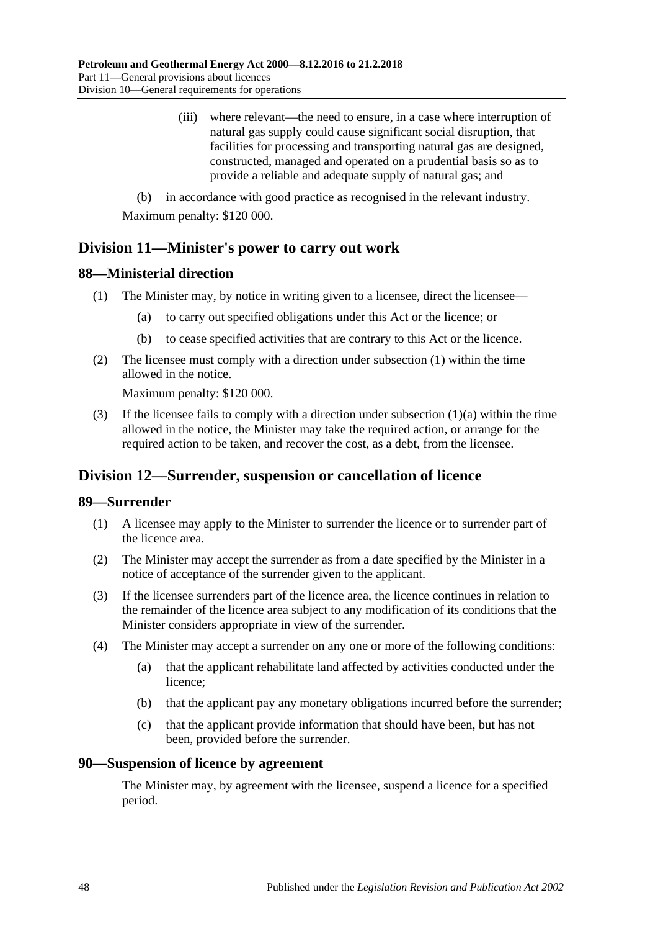(iii) where relevant—the need to ensure, in a case where interruption of natural gas supply could cause significant social disruption, that facilities for processing and transporting natural gas are designed, constructed, managed and operated on a prudential basis so as to provide a reliable and adequate supply of natural gas; and

(b) in accordance with good practice as recognised in the relevant industry. Maximum penalty: \$120 000.

# **Division 11—Minister's power to carry out work**

## <span id="page-47-0"></span>**88—Ministerial direction**

- <span id="page-47-1"></span>(1) The Minister may, by notice in writing given to a licensee, direct the licensee—
	- (a) to carry out specified obligations under this Act or the licence; or
	- (b) to cease specified activities that are contrary to this Act or the licence.
- (2) The licensee must comply with a direction under [subsection](#page-47-0) (1) within the time allowed in the notice.

Maximum penalty: \$120 000.

(3) If the licensee fails to comply with a direction under [subsection](#page-47-1)  $(1)(a)$  within the time allowed in the notice, the Minister may take the required action, or arrange for the required action to be taken, and recover the cost, as a debt, from the licensee.

# **Division 12—Surrender, suspension or cancellation of licence**

## **89—Surrender**

- (1) A licensee may apply to the Minister to surrender the licence or to surrender part of the licence area.
- (2) The Minister may accept the surrender as from a date specified by the Minister in a notice of acceptance of the surrender given to the applicant.
- (3) If the licensee surrenders part of the licence area, the licence continues in relation to the remainder of the licence area subject to any modification of its conditions that the Minister considers appropriate in view of the surrender.
- (4) The Minister may accept a surrender on any one or more of the following conditions:
	- (a) that the applicant rehabilitate land affected by activities conducted under the licence;
	- (b) that the applicant pay any monetary obligations incurred before the surrender;
	- (c) that the applicant provide information that should have been, but has not been, provided before the surrender.

#### **90—Suspension of licence by agreement**

The Minister may, by agreement with the licensee, suspend a licence for a specified period.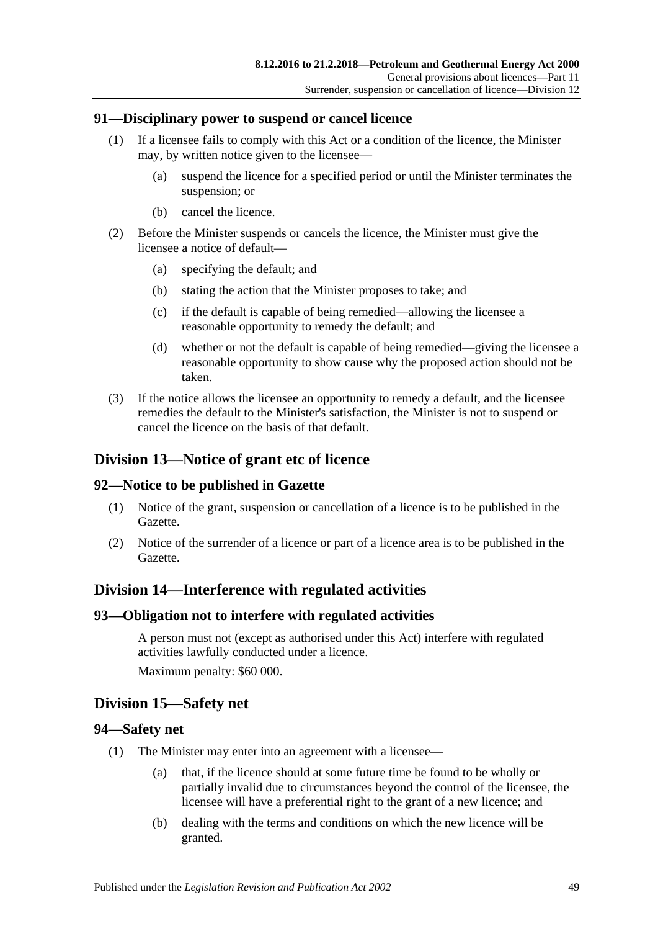#### **91—Disciplinary power to suspend or cancel licence**

- (1) If a licensee fails to comply with this Act or a condition of the licence, the Minister may, by written notice given to the licensee—
	- (a) suspend the licence for a specified period or until the Minister terminates the suspension; or
	- (b) cancel the licence.
- (2) Before the Minister suspends or cancels the licence, the Minister must give the licensee a notice of default—
	- (a) specifying the default; and
	- (b) stating the action that the Minister proposes to take; and
	- (c) if the default is capable of being remedied—allowing the licensee a reasonable opportunity to remedy the default; and
	- (d) whether or not the default is capable of being remedied—giving the licensee a reasonable opportunity to show cause why the proposed action should not be taken.
- (3) If the notice allows the licensee an opportunity to remedy a default, and the licensee remedies the default to the Minister's satisfaction, the Minister is not to suspend or cancel the licence on the basis of that default.

# **Division 13—Notice of grant etc of licence**

#### **92—Notice to be published in Gazette**

- (1) Notice of the grant, suspension or cancellation of a licence is to be published in the Gazette.
- (2) Notice of the surrender of a licence or part of a licence area is to be published in the Gazette.

# **Division 14—Interference with regulated activities**

#### **93—Obligation not to interfere with regulated activities**

A person must not (except as authorised under this Act) interfere with regulated activities lawfully conducted under a licence. Maximum penalty: \$60 000.

## **Division 15—Safety net**

#### **94—Safety net**

- (1) The Minister may enter into an agreement with a licensee—
	- (a) that, if the licence should at some future time be found to be wholly or partially invalid due to circumstances beyond the control of the licensee, the licensee will have a preferential right to the grant of a new licence; and
	- (b) dealing with the terms and conditions on which the new licence will be granted.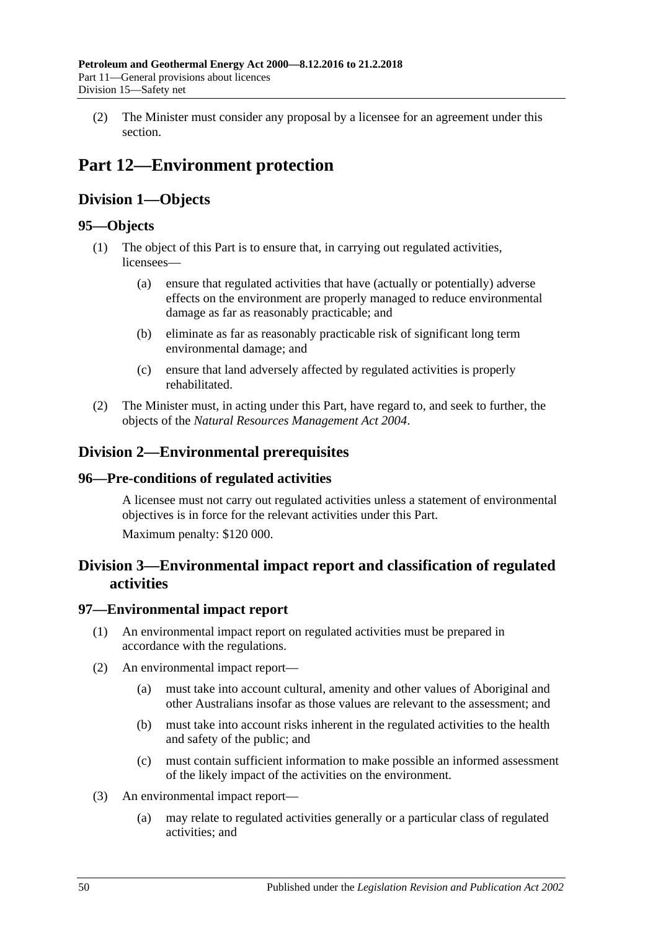(2) The Minister must consider any proposal by a licensee for an agreement under this section.

# **Part 12—Environment protection**

# **Division 1—Objects**

# **95—Objects**

- (1) The object of this Part is to ensure that, in carrying out regulated activities, licensees—
	- (a) ensure that regulated activities that have (actually or potentially) adverse effects on the environment are properly managed to reduce environmental damage as far as reasonably practicable; and
	- (b) eliminate as far as reasonably practicable risk of significant long term environmental damage; and
	- (c) ensure that land adversely affected by regulated activities is properly rehabilitated.
- (2) The Minister must, in acting under this Part, have regard to, and seek to further, the objects of the *[Natural Resources Management Act](http://www.legislation.sa.gov.au/index.aspx?action=legref&type=act&legtitle=Natural%20Resources%20Management%20Act%202004) 2004*.

# **Division 2—Environmental prerequisites**

# **96—Pre-conditions of regulated activities**

A licensee must not carry out regulated activities unless a statement of environmental objectives is in force for the relevant activities under this Part.

Maximum penalty: \$120 000.

# **Division 3—Environmental impact report and classification of regulated activities**

# **97—Environmental impact report**

- (1) An environmental impact report on regulated activities must be prepared in accordance with the regulations.
- (2) An environmental impact report—
	- (a) must take into account cultural, amenity and other values of Aboriginal and other Australians insofar as those values are relevant to the assessment; and
	- (b) must take into account risks inherent in the regulated activities to the health and safety of the public; and
	- (c) must contain sufficient information to make possible an informed assessment of the likely impact of the activities on the environment.
- (3) An environmental impact report—
	- (a) may relate to regulated activities generally or a particular class of regulated activities; and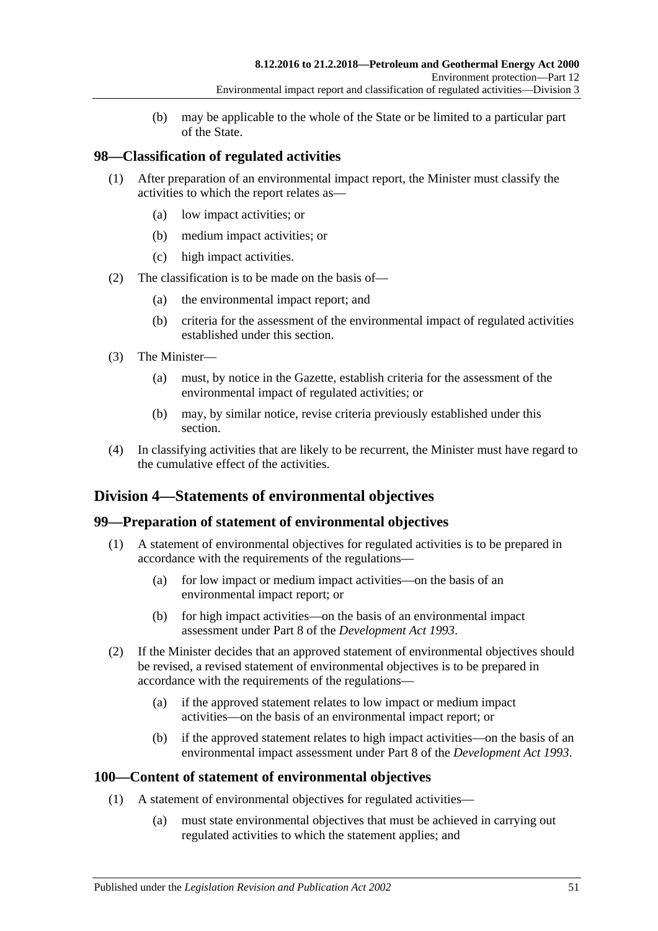(b) may be applicable to the whole of the State or be limited to a particular part of the State.

## **98—Classification of regulated activities**

- (1) After preparation of an environmental impact report, the Minister must classify the activities to which the report relates as—
	- (a) low impact activities; or
	- (b) medium impact activities; or
	- (c) high impact activities.
- (2) The classification is to be made on the basis of—
	- (a) the environmental impact report; and
	- (b) criteria for the assessment of the environmental impact of regulated activities established under this section.
- (3) The Minister—
	- (a) must, by notice in the Gazette, establish criteria for the assessment of the environmental impact of regulated activities; or
	- (b) may, by similar notice, revise criteria previously established under this section.
- (4) In classifying activities that are likely to be recurrent, the Minister must have regard to the cumulative effect of the activities.

# **Division 4—Statements of environmental objectives**

## **99—Preparation of statement of environmental objectives**

- (1) A statement of environmental objectives for regulated activities is to be prepared in accordance with the requirements of the regulations—
	- (a) for low impact or medium impact activities—on the basis of an environmental impact report; or
	- (b) for high impact activities—on the basis of an environmental impact assessment under Part 8 of the *[Development Act](http://www.legislation.sa.gov.au/index.aspx?action=legref&type=act&legtitle=Development%20Act%201993) 1993*.
- (2) If the Minister decides that an approved statement of environmental objectives should be revised, a revised statement of environmental objectives is to be prepared in accordance with the requirements of the regulations—
	- (a) if the approved statement relates to low impact or medium impact activities—on the basis of an environmental impact report; or
	- (b) if the approved statement relates to high impact activities—on the basis of an environmental impact assessment under Part 8 of the *[Development Act](http://www.legislation.sa.gov.au/index.aspx?action=legref&type=act&legtitle=Development%20Act%201993) 1993*.

## **100—Content of statement of environmental objectives**

- (1) A statement of environmental objectives for regulated activities—
	- (a) must state environmental objectives that must be achieved in carrying out regulated activities to which the statement applies; and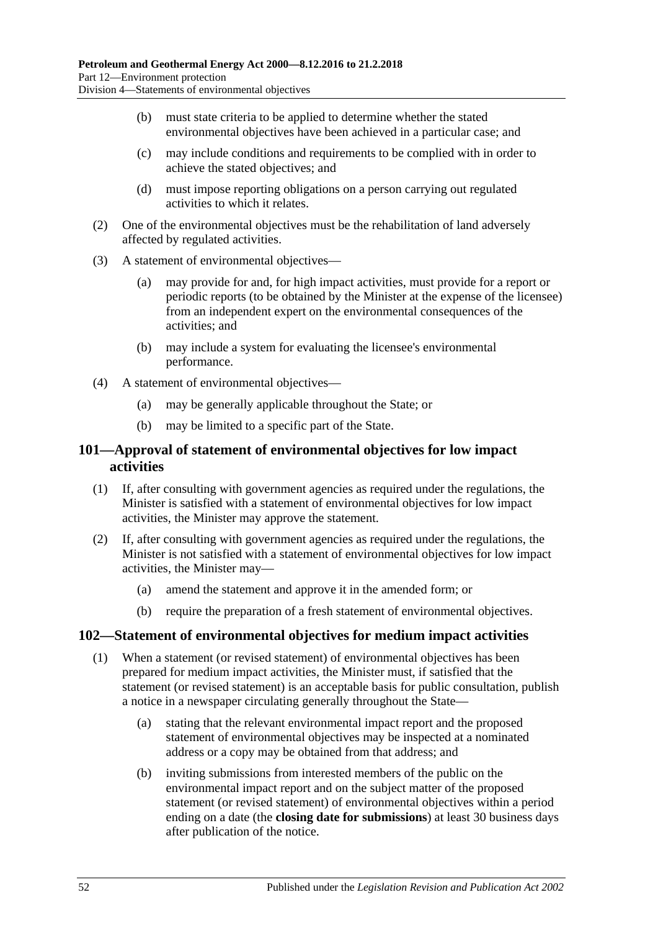- (b) must state criteria to be applied to determine whether the stated environmental objectives have been achieved in a particular case; and
- (c) may include conditions and requirements to be complied with in order to achieve the stated objectives; and
- (d) must impose reporting obligations on a person carrying out regulated activities to which it relates.
- (2) One of the environmental objectives must be the rehabilitation of land adversely affected by regulated activities.
- (3) A statement of environmental objectives—
	- (a) may provide for and, for high impact activities, must provide for a report or periodic reports (to be obtained by the Minister at the expense of the licensee) from an independent expert on the environmental consequences of the activities; and
	- (b) may include a system for evaluating the licensee's environmental performance.
- (4) A statement of environmental objectives—
	- (a) may be generally applicable throughout the State; or
	- (b) may be limited to a specific part of the State.

## **101—Approval of statement of environmental objectives for low impact activities**

- (1) If, after consulting with government agencies as required under the regulations, the Minister is satisfied with a statement of environmental objectives for low impact activities, the Minister may approve the statement.
- (2) If, after consulting with government agencies as required under the regulations, the Minister is not satisfied with a statement of environmental objectives for low impact activities, the Minister may—
	- (a) amend the statement and approve it in the amended form; or
	- (b) require the preparation of a fresh statement of environmental objectives.

#### **102—Statement of environmental objectives for medium impact activities**

- (1) When a statement (or revised statement) of environmental objectives has been prepared for medium impact activities, the Minister must, if satisfied that the statement (or revised statement) is an acceptable basis for public consultation, publish a notice in a newspaper circulating generally throughout the State—
	- (a) stating that the relevant environmental impact report and the proposed statement of environmental objectives may be inspected at a nominated address or a copy may be obtained from that address; and
	- (b) inviting submissions from interested members of the public on the environmental impact report and on the subject matter of the proposed statement (or revised statement) of environmental objectives within a period ending on a date (the **closing date for submissions**) at least 30 business days after publication of the notice.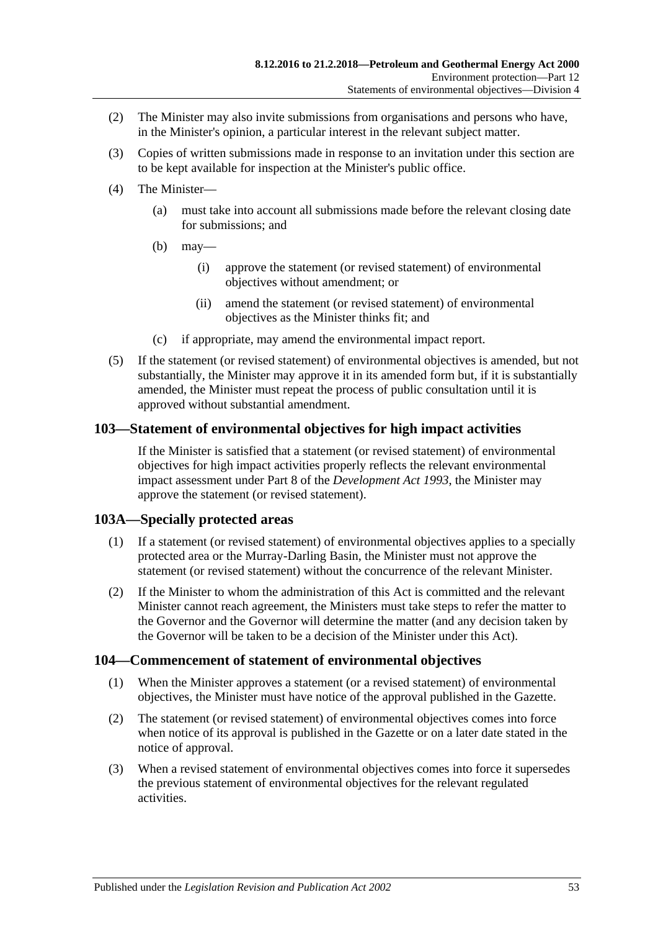- (2) The Minister may also invite submissions from organisations and persons who have, in the Minister's opinion, a particular interest in the relevant subject matter.
- (3) Copies of written submissions made in response to an invitation under this section are to be kept available for inspection at the Minister's public office.
- (4) The Minister—
	- (a) must take into account all submissions made before the relevant closing date for submissions; and
	- (b) may—
		- (i) approve the statement (or revised statement) of environmental objectives without amendment; or
		- (ii) amend the statement (or revised statement) of environmental objectives as the Minister thinks fit; and
	- (c) if appropriate, may amend the environmental impact report.
- (5) If the statement (or revised statement) of environmental objectives is amended, but not substantially, the Minister may approve it in its amended form but, if it is substantially amended, the Minister must repeat the process of public consultation until it is approved without substantial amendment.

## **103—Statement of environmental objectives for high impact activities**

If the Minister is satisfied that a statement (or revised statement) of environmental objectives for high impact activities properly reflects the relevant environmental impact assessment under Part 8 of the *[Development Act](http://www.legislation.sa.gov.au/index.aspx?action=legref&type=act&legtitle=Development%20Act%201993) 1993*, the Minister may approve the statement (or revised statement).

## **103A—Specially protected areas**

- (1) If a statement (or revised statement) of environmental objectives applies to a specially protected area or the Murray-Darling Basin, the Minister must not approve the statement (or revised statement) without the concurrence of the relevant Minister.
- (2) If the Minister to whom the administration of this Act is committed and the relevant Minister cannot reach agreement, the Ministers must take steps to refer the matter to the Governor and the Governor will determine the matter (and any decision taken by the Governor will be taken to be a decision of the Minister under this Act).

## **104—Commencement of statement of environmental objectives**

- (1) When the Minister approves a statement (or a revised statement) of environmental objectives, the Minister must have notice of the approval published in the Gazette.
- (2) The statement (or revised statement) of environmental objectives comes into force when notice of its approval is published in the Gazette or on a later date stated in the notice of approval.
- (3) When a revised statement of environmental objectives comes into force it supersedes the previous statement of environmental objectives for the relevant regulated activities.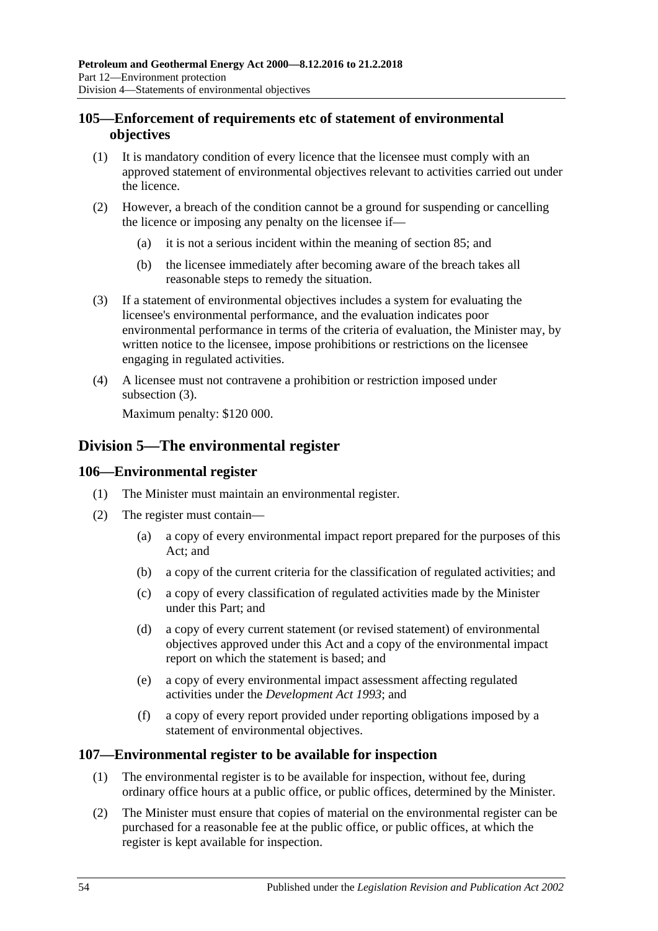## **105—Enforcement of requirements etc of statement of environmental objectives**

- (1) It is mandatory condition of every licence that the licensee must comply with an approved statement of environmental objectives relevant to activities carried out under the licence.
- (2) However, a breach of the condition cannot be a ground for suspending or cancelling the licence or imposing any penalty on the licensee if—
	- (a) it is not a serious incident within the meaning of [section](#page-44-1) 85; and
	- (b) the licensee immediately after becoming aware of the breach takes all reasonable steps to remedy the situation.
- <span id="page-53-0"></span>(3) If a statement of environmental objectives includes a system for evaluating the licensee's environmental performance, and the evaluation indicates poor environmental performance in terms of the criteria of evaluation, the Minister may, by written notice to the licensee, impose prohibitions or restrictions on the licensee engaging in regulated activities.
- (4) A licensee must not contravene a prohibition or restriction imposed under [subsection](#page-53-0) (3).

Maximum penalty: \$120 000.

# **Division 5—The environmental register**

## **106—Environmental register**

- (1) The Minister must maintain an environmental register.
- (2) The register must contain—
	- (a) a copy of every environmental impact report prepared for the purposes of this Act; and
	- (b) a copy of the current criteria for the classification of regulated activities; and
	- (c) a copy of every classification of regulated activities made by the Minister under this Part; and
	- (d) a copy of every current statement (or revised statement) of environmental objectives approved under this Act and a copy of the environmental impact report on which the statement is based; and
	- (e) a copy of every environmental impact assessment affecting regulated activities under the *[Development Act](http://www.legislation.sa.gov.au/index.aspx?action=legref&type=act&legtitle=Development%20Act%201993) 1993*; and
	- (f) a copy of every report provided under reporting obligations imposed by a statement of environmental objectives.

## **107—Environmental register to be available for inspection**

- (1) The environmental register is to be available for inspection, without fee, during ordinary office hours at a public office, or public offices, determined by the Minister.
- (2) The Minister must ensure that copies of material on the environmental register can be purchased for a reasonable fee at the public office, or public offices, at which the register is kept available for inspection.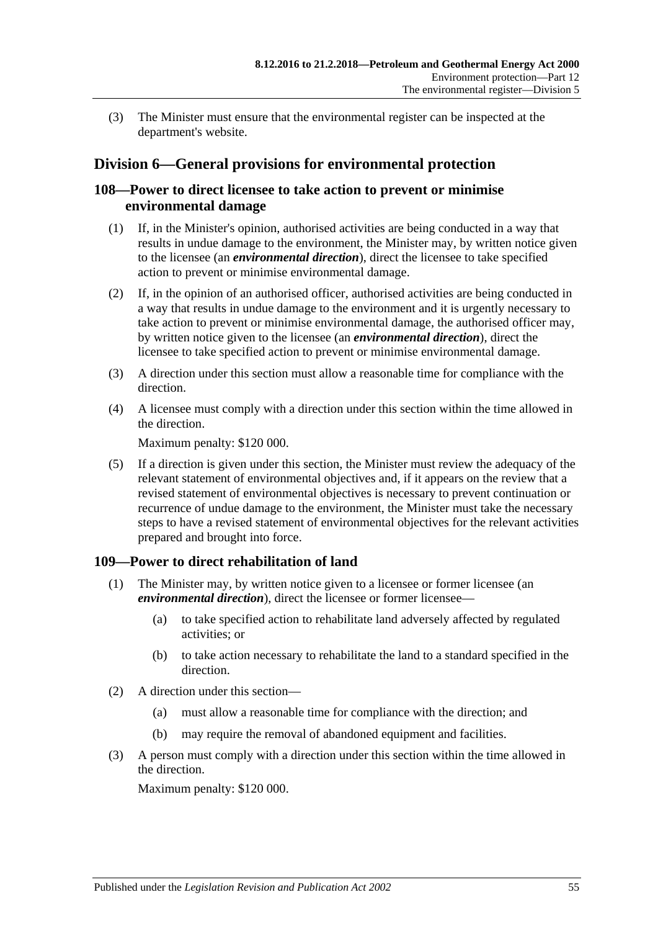(3) The Minister must ensure that the environmental register can be inspected at the department's website.

# **Division 6—General provisions for environmental protection**

## **108—Power to direct licensee to take action to prevent or minimise environmental damage**

- (1) If, in the Minister's opinion, authorised activities are being conducted in a way that results in undue damage to the environment, the Minister may, by written notice given to the licensee (an *environmental direction*), direct the licensee to take specified action to prevent or minimise environmental damage.
- (2) If, in the opinion of an authorised officer, authorised activities are being conducted in a way that results in undue damage to the environment and it is urgently necessary to take action to prevent or minimise environmental damage, the authorised officer may, by written notice given to the licensee (an *environmental direction*), direct the licensee to take specified action to prevent or minimise environmental damage.
- (3) A direction under this section must allow a reasonable time for compliance with the direction.
- (4) A licensee must comply with a direction under this section within the time allowed in the direction.

Maximum penalty: \$120 000.

(5) If a direction is given under this section, the Minister must review the adequacy of the relevant statement of environmental objectives and, if it appears on the review that a revised statement of environmental objectives is necessary to prevent continuation or recurrence of undue damage to the environment, the Minister must take the necessary steps to have a revised statement of environmental objectives for the relevant activities prepared and brought into force.

# **109—Power to direct rehabilitation of land**

- (1) The Minister may, by written notice given to a licensee or former licensee (an *environmental direction*), direct the licensee or former licensee—
	- (a) to take specified action to rehabilitate land adversely affected by regulated activities; or
	- (b) to take action necessary to rehabilitate the land to a standard specified in the direction.
- (2) A direction under this section—
	- (a) must allow a reasonable time for compliance with the direction; and
	- (b) may require the removal of abandoned equipment and facilities.
- (3) A person must comply with a direction under this section within the time allowed in the direction.

Maximum penalty: \$120 000.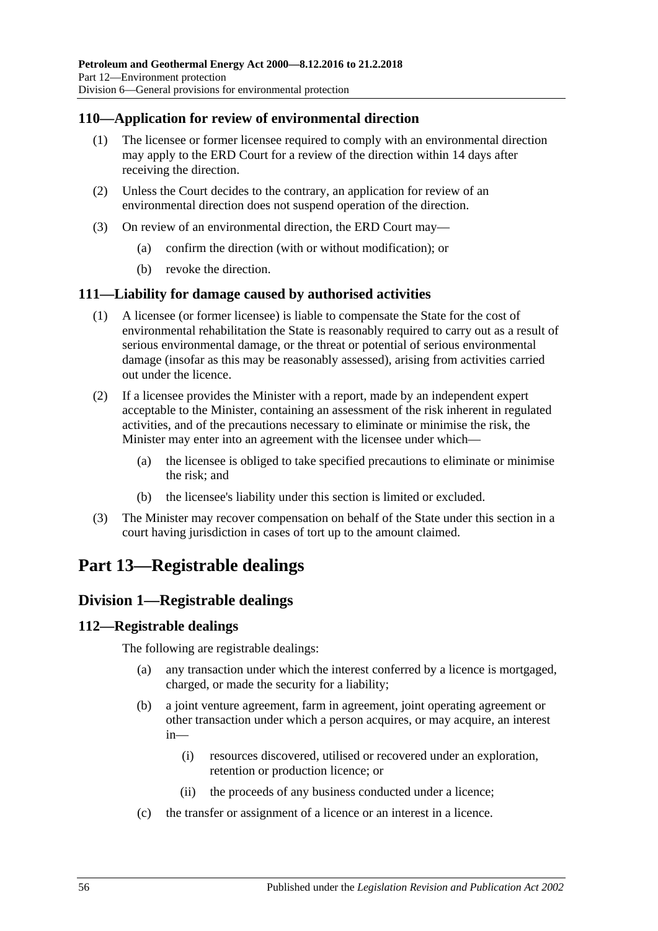## **110—Application for review of environmental direction**

- (1) The licensee or former licensee required to comply with an environmental direction may apply to the ERD Court for a review of the direction within 14 days after receiving the direction.
- (2) Unless the Court decides to the contrary, an application for review of an environmental direction does not suspend operation of the direction.
- (3) On review of an environmental direction, the ERD Court may—
	- (a) confirm the direction (with or without modification); or
	- (b) revoke the direction.

#### **111—Liability for damage caused by authorised activities**

- (1) A licensee (or former licensee) is liable to compensate the State for the cost of environmental rehabilitation the State is reasonably required to carry out as a result of serious environmental damage, or the threat or potential of serious environmental damage (insofar as this may be reasonably assessed), arising from activities carried out under the licence.
- (2) If a licensee provides the Minister with a report, made by an independent expert acceptable to the Minister, containing an assessment of the risk inherent in regulated activities, and of the precautions necessary to eliminate or minimise the risk, the Minister may enter into an agreement with the licensee under which—
	- (a) the licensee is obliged to take specified precautions to eliminate or minimise the risk; and
	- (b) the licensee's liability under this section is limited or excluded.
- (3) The Minister may recover compensation on behalf of the State under this section in a court having jurisdiction in cases of tort up to the amount claimed.

# **Part 13—Registrable dealings**

## **Division 1—Registrable dealings**

#### **112—Registrable dealings**

The following are registrable dealings:

- (a) any transaction under which the interest conferred by a licence is mortgaged, charged, or made the security for a liability;
- (b) a joint venture agreement, farm in agreement, joint operating agreement or other transaction under which a person acquires, or may acquire, an interest in—
	- (i) resources discovered, utilised or recovered under an exploration, retention or production licence; or
	- (ii) the proceeds of any business conducted under a licence;
- (c) the transfer or assignment of a licence or an interest in a licence.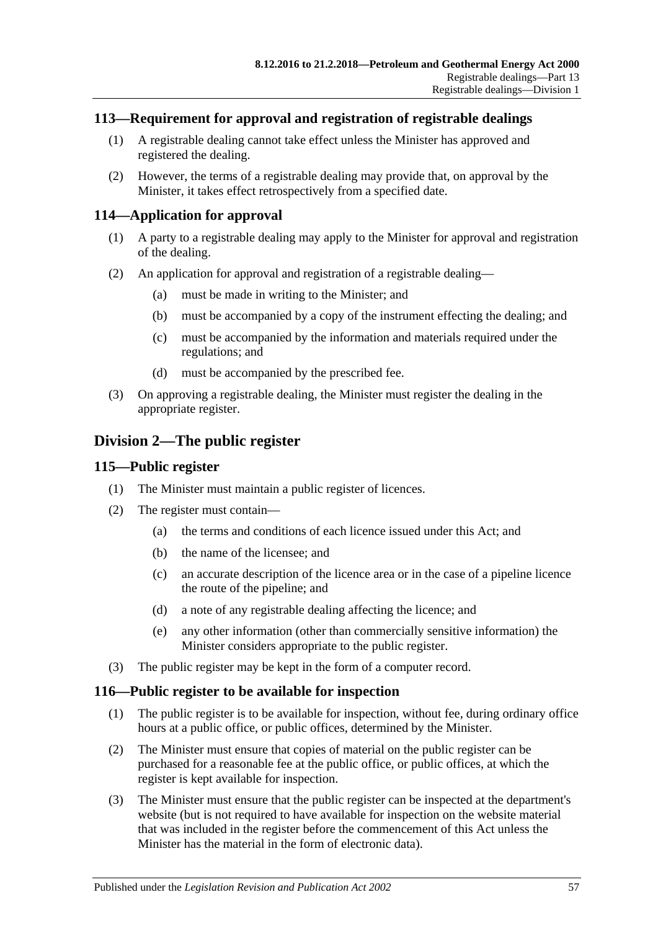## **113—Requirement for approval and registration of registrable dealings**

- (1) A registrable dealing cannot take effect unless the Minister has approved and registered the dealing.
- (2) However, the terms of a registrable dealing may provide that, on approval by the Minister, it takes effect retrospectively from a specified date.

## **114—Application for approval**

- (1) A party to a registrable dealing may apply to the Minister for approval and registration of the dealing.
- (2) An application for approval and registration of a registrable dealing—
	- (a) must be made in writing to the Minister; and
	- (b) must be accompanied by a copy of the instrument effecting the dealing; and
	- (c) must be accompanied by the information and materials required under the regulations; and
	- (d) must be accompanied by the prescribed fee.
- (3) On approving a registrable dealing, the Minister must register the dealing in the appropriate register.

# **Division 2—The public register**

#### **115—Public register**

- (1) The Minister must maintain a public register of licences.
- (2) The register must contain—
	- (a) the terms and conditions of each licence issued under this Act; and
	- (b) the name of the licensee; and
	- (c) an accurate description of the licence area or in the case of a pipeline licence the route of the pipeline; and
	- (d) a note of any registrable dealing affecting the licence; and
	- (e) any other information (other than commercially sensitive information) the Minister considers appropriate to the public register.
- (3) The public register may be kept in the form of a computer record.

#### **116—Public register to be available for inspection**

- (1) The public register is to be available for inspection, without fee, during ordinary office hours at a public office, or public offices, determined by the Minister.
- (2) The Minister must ensure that copies of material on the public register can be purchased for a reasonable fee at the public office, or public offices, at which the register is kept available for inspection.
- (3) The Minister must ensure that the public register can be inspected at the department's website (but is not required to have available for inspection on the website material that was included in the register before the commencement of this Act unless the Minister has the material in the form of electronic data).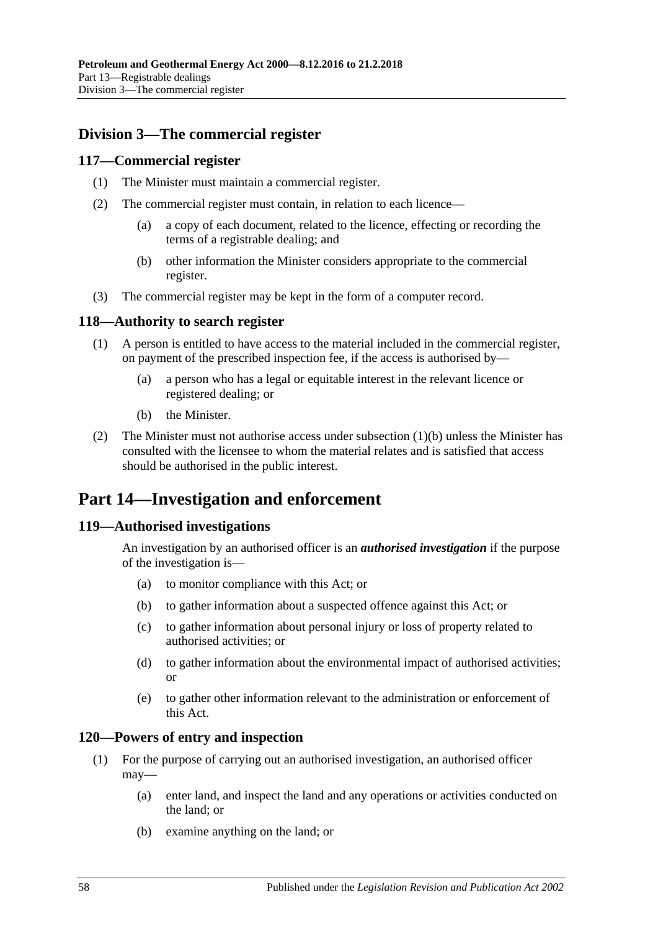# **Division 3—The commercial register**

#### **117—Commercial register**

- (1) The Minister must maintain a commercial register.
- (2) The commercial register must contain, in relation to each licence—
	- (a) a copy of each document, related to the licence, effecting or recording the terms of a registrable dealing; and
	- (b) other information the Minister considers appropriate to the commercial register.
- (3) The commercial register may be kept in the form of a computer record.

#### **118—Authority to search register**

- (1) A person is entitled to have access to the material included in the commercial register, on payment of the prescribed inspection fee, if the access is authorised by—
	- (a) a person who has a legal or equitable interest in the relevant licence or registered dealing; or
	- (b) the Minister.
- <span id="page-57-0"></span>(2) The Minister must not authorise access under [subsection](#page-57-0)  $(1)(b)$  unless the Minister has consulted with the licensee to whom the material relates and is satisfied that access should be authorised in the public interest.

# **Part 14—Investigation and enforcement**

## **119—Authorised investigations**

An investigation by an authorised officer is an *authorised investigation* if the purpose of the investigation is—

- (a) to monitor compliance with this Act; or
- (b) to gather information about a suspected offence against this Act; or
- (c) to gather information about personal injury or loss of property related to authorised activities; or
- (d) to gather information about the environmental impact of authorised activities; or
- (e) to gather other information relevant to the administration or enforcement of this Act.

#### **120—Powers of entry and inspection**

- (1) For the purpose of carrying out an authorised investigation, an authorised officer may—
	- (a) enter land, and inspect the land and any operations or activities conducted on the land; or
	- (b) examine anything on the land; or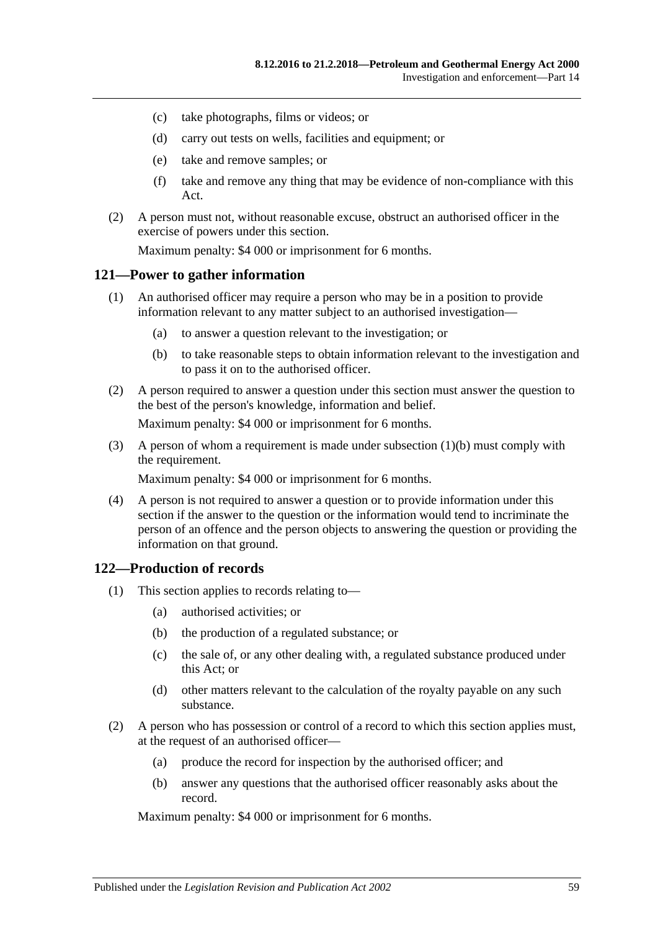- (c) take photographs, films or videos; or
- (d) carry out tests on wells, facilities and equipment; or
- (e) take and remove samples; or
- (f) take and remove any thing that may be evidence of non-compliance with this Act.
- (2) A person must not, without reasonable excuse, obstruct an authorised officer in the exercise of powers under this section.

Maximum penalty: \$4 000 or imprisonment for 6 months.

#### **121—Power to gather information**

- (1) An authorised officer may require a person who may be in a position to provide information relevant to any matter subject to an authorised investigation—
	- (a) to answer a question relevant to the investigation; or
	- (b) to take reasonable steps to obtain information relevant to the investigation and to pass it on to the authorised officer.
- <span id="page-58-0"></span>(2) A person required to answer a question under this section must answer the question to the best of the person's knowledge, information and belief.

Maximum penalty: \$4 000 or imprisonment for 6 months.

(3) A person of whom a requirement is made under [subsection](#page-58-0) (1)(b) must comply with the requirement.

Maximum penalty: \$4 000 or imprisonment for 6 months.

(4) A person is not required to answer a question or to provide information under this section if the answer to the question or the information would tend to incriminate the person of an offence and the person objects to answering the question or providing the information on that ground.

#### **122—Production of records**

- (1) This section applies to records relating to—
	- (a) authorised activities; or
	- (b) the production of a regulated substance; or
	- (c) the sale of, or any other dealing with, a regulated substance produced under this Act; or
	- (d) other matters relevant to the calculation of the royalty payable on any such substance.
- (2) A person who has possession or control of a record to which this section applies must, at the request of an authorised officer—
	- (a) produce the record for inspection by the authorised officer; and
	- (b) answer any questions that the authorised officer reasonably asks about the record.

Maximum penalty: \$4 000 or imprisonment for 6 months.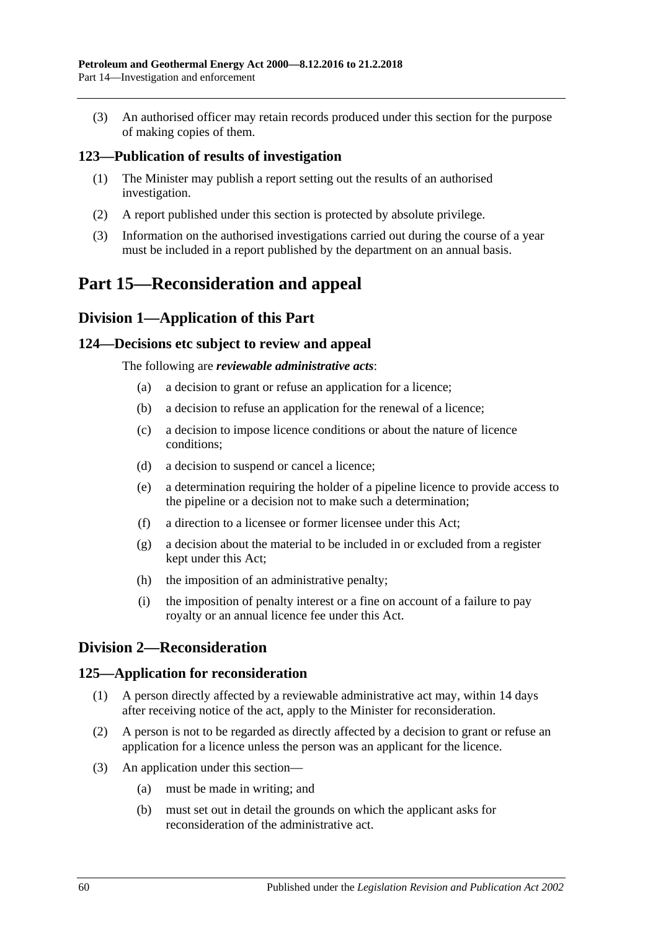(3) An authorised officer may retain records produced under this section for the purpose of making copies of them.

## **123—Publication of results of investigation**

- (1) The Minister may publish a report setting out the results of an authorised investigation.
- (2) A report published under this section is protected by absolute privilege.
- (3) Information on the authorised investigations carried out during the course of a year must be included in a report published by the department on an annual basis.

# **Part 15—Reconsideration and appeal**

## **Division 1—Application of this Part**

#### **124—Decisions etc subject to review and appeal**

The following are *reviewable administrative acts*:

- (a) a decision to grant or refuse an application for a licence;
- (b) a decision to refuse an application for the renewal of a licence;
- (c) a decision to impose licence conditions or about the nature of licence conditions;
- (d) a decision to suspend or cancel a licence;
- (e) a determination requiring the holder of a pipeline licence to provide access to the pipeline or a decision not to make such a determination;
- (f) a direction to a licensee or former licensee under this Act;
- (g) a decision about the material to be included in or excluded from a register kept under this Act;
- (h) the imposition of an administrative penalty;
- (i) the imposition of penalty interest or a fine on account of a failure to pay royalty or an annual licence fee under this Act.

# **Division 2—Reconsideration**

#### **125—Application for reconsideration**

- (1) A person directly affected by a reviewable administrative act may, within 14 days after receiving notice of the act, apply to the Minister for reconsideration.
- (2) A person is not to be regarded as directly affected by a decision to grant or refuse an application for a licence unless the person was an applicant for the licence.
- (3) An application under this section—
	- (a) must be made in writing; and
	- (b) must set out in detail the grounds on which the applicant asks for reconsideration of the administrative act.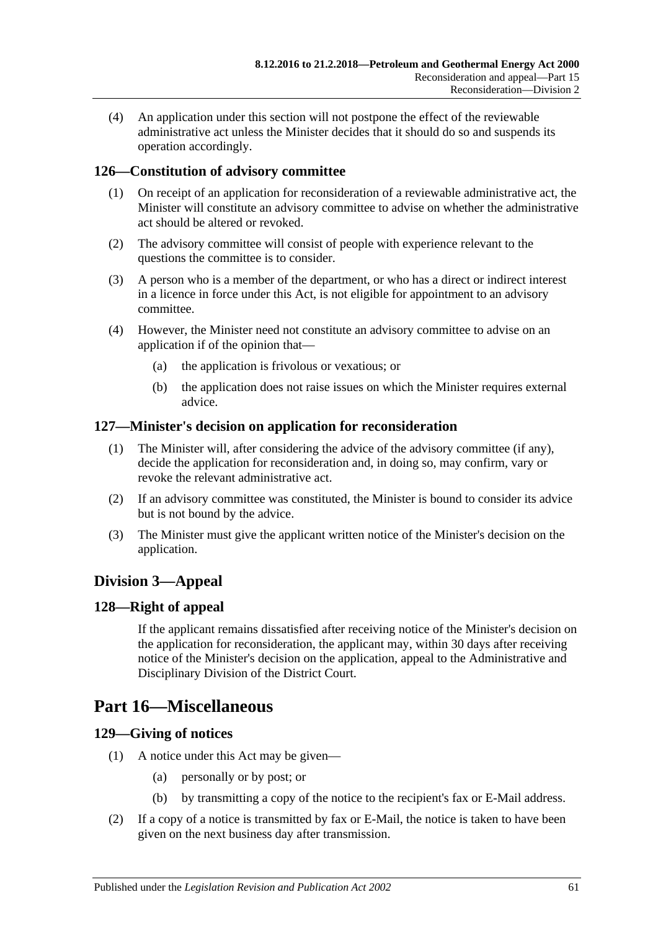(4) An application under this section will not postpone the effect of the reviewable administrative act unless the Minister decides that it should do so and suspends its operation accordingly.

# **126—Constitution of advisory committee**

- (1) On receipt of an application for reconsideration of a reviewable administrative act, the Minister will constitute an advisory committee to advise on whether the administrative act should be altered or revoked.
- (2) The advisory committee will consist of people with experience relevant to the questions the committee is to consider.
- (3) A person who is a member of the department, or who has a direct or indirect interest in a licence in force under this Act, is not eligible for appointment to an advisory committee.
- (4) However, the Minister need not constitute an advisory committee to advise on an application if of the opinion that—
	- (a) the application is frivolous or vexatious; or
	- (b) the application does not raise issues on which the Minister requires external advice.

## **127—Minister's decision on application for reconsideration**

- (1) The Minister will, after considering the advice of the advisory committee (if any), decide the application for reconsideration and, in doing so, may confirm, vary or revoke the relevant administrative act.
- (2) If an advisory committee was constituted, the Minister is bound to consider its advice but is not bound by the advice.
- (3) The Minister must give the applicant written notice of the Minister's decision on the application.

# **Division 3—Appeal**

# **128—Right of appeal**

If the applicant remains dissatisfied after receiving notice of the Minister's decision on the application for reconsideration, the applicant may, within 30 days after receiving notice of the Minister's decision on the application, appeal to the Administrative and Disciplinary Division of the District Court.

# **Part 16—Miscellaneous**

## **129—Giving of notices**

- (1) A notice under this Act may be given—
	- (a) personally or by post; or
	- (b) by transmitting a copy of the notice to the recipient's fax or E-Mail address.
- (2) If a copy of a notice is transmitted by fax or E-Mail, the notice is taken to have been given on the next business day after transmission.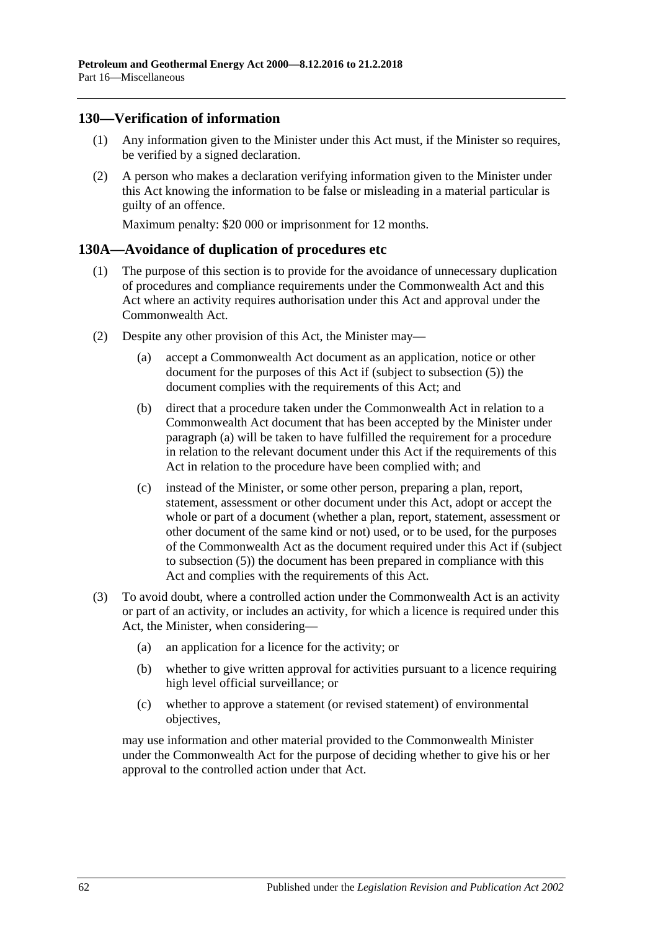## **130—Verification of information**

- (1) Any information given to the Minister under this Act must, if the Minister so requires, be verified by a signed declaration.
- (2) A person who makes a declaration verifying information given to the Minister under this Act knowing the information to be false or misleading in a material particular is guilty of an offence.

Maximum penalty: \$20 000 or imprisonment for 12 months.

#### **130A—Avoidance of duplication of procedures etc**

- (1) The purpose of this section is to provide for the avoidance of unnecessary duplication of procedures and compliance requirements under the Commonwealth Act and this Act where an activity requires authorisation under this Act and approval under the Commonwealth Act.
- <span id="page-61-2"></span><span id="page-61-1"></span><span id="page-61-0"></span>(2) Despite any other provision of this Act, the Minister may—
	- (a) accept a Commonwealth Act document as an application, notice or other document for the purposes of this Act if (subject to [subsection](#page-62-0) (5)) the document complies with the requirements of this Act; and
	- (b) direct that a procedure taken under the Commonwealth Act in relation to a Commonwealth Act document that has been accepted by the Minister under [paragraph](#page-61-0) (a) will be taken to have fulfilled the requirement for a procedure in relation to the relevant document under this Act if the requirements of this Act in relation to the procedure have been complied with; and
	- (c) instead of the Minister, or some other person, preparing a plan, report, statement, assessment or other document under this Act, adopt or accept the whole or part of a document (whether a plan, report, statement, assessment or other document of the same kind or not) used, or to be used, for the purposes of the Commonwealth Act as the document required under this Act if (subject to [subsection](#page-62-0) (5)) the document has been prepared in compliance with this Act and complies with the requirements of this Act.
- (3) To avoid doubt, where a controlled action under the Commonwealth Act is an activity or part of an activity, or includes an activity, for which a licence is required under this Act, the Minister, when considering—
	- (a) an application for a licence for the activity; or
	- (b) whether to give written approval for activities pursuant to a licence requiring high level official surveillance; or
	- (c) whether to approve a statement (or revised statement) of environmental objectives,

may use information and other material provided to the Commonwealth Minister under the Commonwealth Act for the purpose of deciding whether to give his or her approval to the controlled action under that Act.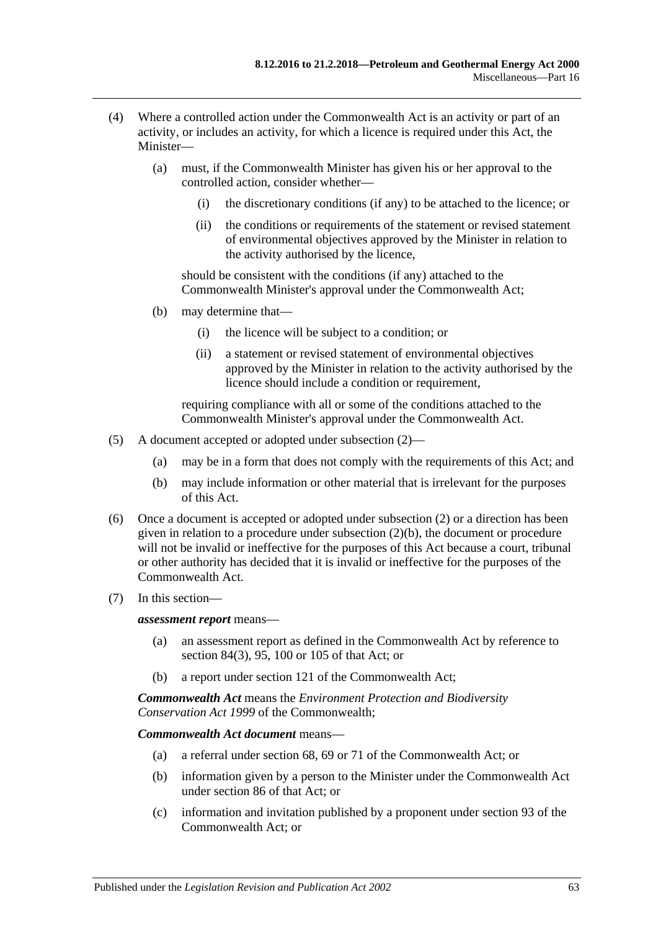- (4) Where a controlled action under the Commonwealth Act is an activity or part of an activity, or includes an activity, for which a licence is required under this Act, the Minister—
	- (a) must, if the Commonwealth Minister has given his or her approval to the controlled action, consider whether—
		- (i) the discretionary conditions (if any) to be attached to the licence; or
		- (ii) the conditions or requirements of the statement or revised statement of environmental objectives approved by the Minister in relation to the activity authorised by the licence,

should be consistent with the conditions (if any) attached to the Commonwealth Minister's approval under the Commonwealth Act;

- (b) may determine that—
	- (i) the licence will be subject to a condition; or
	- (ii) a statement or revised statement of environmental objectives approved by the Minister in relation to the activity authorised by the licence should include a condition or requirement,

requiring compliance with all or some of the conditions attached to the Commonwealth Minister's approval under the Commonwealth Act.

- <span id="page-62-0"></span>(5) A document accepted or adopted under [subsection](#page-61-1) (2)—
	- (a) may be in a form that does not comply with the requirements of this Act; and
	- (b) may include information or other material that is irrelevant for the purposes of this Act.
- (6) Once a document is accepted or adopted under [subsection](#page-61-1) (2) or a direction has been given in relation to a procedure under [subsection](#page-61-2) (2)(b), the document or procedure will not be invalid or ineffective for the purposes of this Act because a court, tribunal or other authority has decided that it is invalid or ineffective for the purposes of the Commonwealth Act.
- (7) In this section—

*assessment report* means—

- (a) an assessment report as defined in the Commonwealth Act by reference to section 84(3), 95, 100 or 105 of that Act; or
- (b) a report under section 121 of the Commonwealth Act;

*Commonwealth Act* means the *Environment Protection and Biodiversity Conservation Act 1999* of the Commonwealth;

#### *Commonwealth Act document* means—

- (a) a referral under section 68, 69 or 71 of the Commonwealth Act; or
- (b) information given by a person to the Minister under the Commonwealth Act under section 86 of that Act; or
- (c) information and invitation published by a proponent under section 93 of the Commonwealth Act; or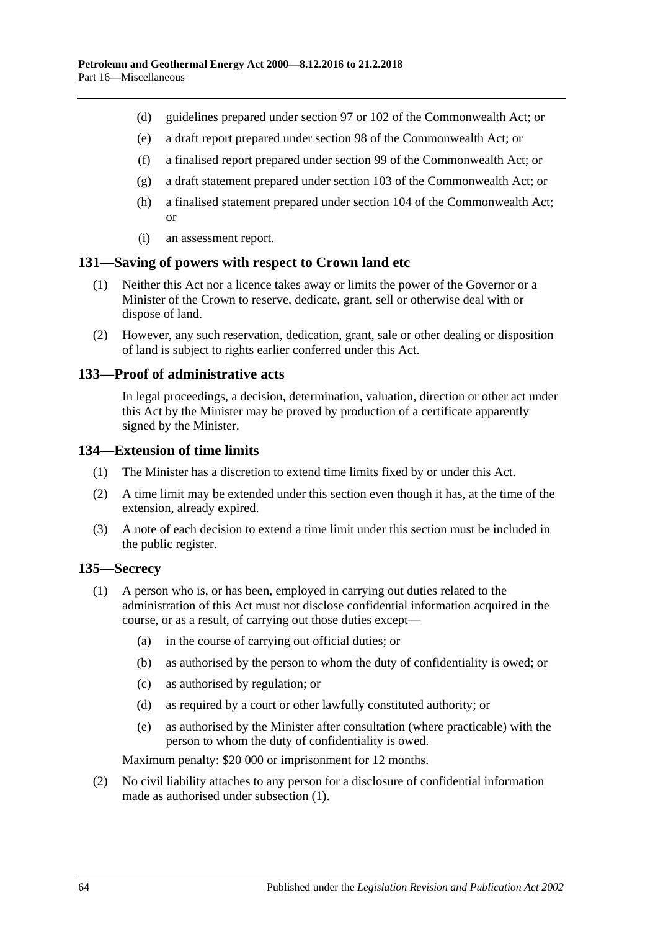- (d) guidelines prepared under section 97 or 102 of the Commonwealth Act; or
- (e) a draft report prepared under section 98 of the Commonwealth Act; or
- (f) a finalised report prepared under section 99 of the Commonwealth Act; or
- (g) a draft statement prepared under section 103 of the Commonwealth Act; or
- (h) a finalised statement prepared under section 104 of the Commonwealth Act; or
- (i) an assessment report.

#### **131—Saving of powers with respect to Crown land etc**

- (1) Neither this Act nor a licence takes away or limits the power of the Governor or a Minister of the Crown to reserve, dedicate, grant, sell or otherwise deal with or dispose of land.
- (2) However, any such reservation, dedication, grant, sale or other dealing or disposition of land is subject to rights earlier conferred under this Act.

#### **133—Proof of administrative acts**

In legal proceedings, a decision, determination, valuation, direction or other act under this Act by the Minister may be proved by production of a certificate apparently signed by the Minister.

#### **134—Extension of time limits**

- (1) The Minister has a discretion to extend time limits fixed by or under this Act.
- (2) A time limit may be extended under this section even though it has, at the time of the extension, already expired.
- (3) A note of each decision to extend a time limit under this section must be included in the public register.

#### <span id="page-63-0"></span>**135—Secrecy**

- (1) A person who is, or has been, employed in carrying out duties related to the administration of this Act must not disclose confidential information acquired in the course, or as a result, of carrying out those duties except—
	- (a) in the course of carrying out official duties; or
	- (b) as authorised by the person to whom the duty of confidentiality is owed; or
	- (c) as authorised by regulation; or
	- (d) as required by a court or other lawfully constituted authority; or
	- (e) as authorised by the Minister after consultation (where practicable) with the person to whom the duty of confidentiality is owed.

Maximum penalty: \$20 000 or imprisonment for 12 months.

(2) No civil liability attaches to any person for a disclosure of confidential information made as authorised under [subsection](#page-63-0) (1).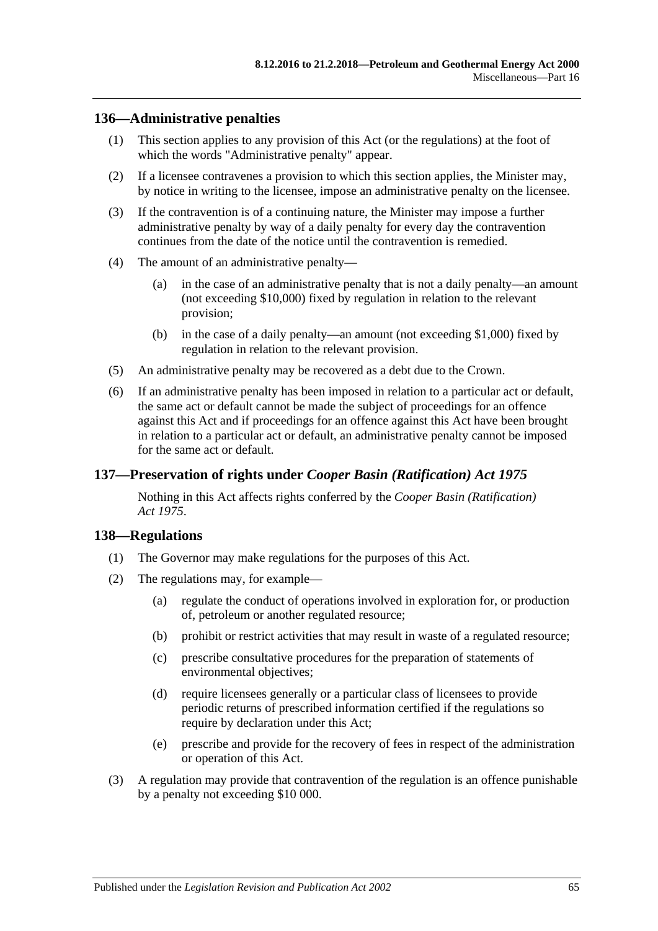#### **136—Administrative penalties**

- (1) This section applies to any provision of this Act (or the regulations) at the foot of which the words "Administrative penalty" appear.
- (2) If a licensee contravenes a provision to which this section applies, the Minister may, by notice in writing to the licensee, impose an administrative penalty on the licensee.
- (3) If the contravention is of a continuing nature, the Minister may impose a further administrative penalty by way of a daily penalty for every day the contravention continues from the date of the notice until the contravention is remedied.
- (4) The amount of an administrative penalty—
	- (a) in the case of an administrative penalty that is not a daily penalty—an amount (not exceeding \$10,000) fixed by regulation in relation to the relevant provision;
	- (b) in the case of a daily penalty—an amount (not exceeding \$1,000) fixed by regulation in relation to the relevant provision.
- (5) An administrative penalty may be recovered as a debt due to the Crown.
- (6) If an administrative penalty has been imposed in relation to a particular act or default, the same act or default cannot be made the subject of proceedings for an offence against this Act and if proceedings for an offence against this Act have been brought in relation to a particular act or default, an administrative penalty cannot be imposed for the same act or default.

## **137—Preservation of rights under** *Cooper Basin (Ratification) Act 1975*

Nothing in this Act affects rights conferred by the *[Cooper Basin \(Ratification\)](http://www.legislation.sa.gov.au/index.aspx?action=legref&type=act&legtitle=Cooper%20Basin%20(Ratification)%20Act%201975)  Act [1975](http://www.legislation.sa.gov.au/index.aspx?action=legref&type=act&legtitle=Cooper%20Basin%20(Ratification)%20Act%201975)*.

#### **138—Regulations**

- (1) The Governor may make regulations for the purposes of this Act.
- (2) The regulations may, for example—
	- (a) regulate the conduct of operations involved in exploration for, or production of, petroleum or another regulated resource;
	- (b) prohibit or restrict activities that may result in waste of a regulated resource;
	- (c) prescribe consultative procedures for the preparation of statements of environmental objectives;
	- (d) require licensees generally or a particular class of licensees to provide periodic returns of prescribed information certified if the regulations so require by declaration under this Act;
	- (e) prescribe and provide for the recovery of fees in respect of the administration or operation of this Act.
- (3) A regulation may provide that contravention of the regulation is an offence punishable by a penalty not exceeding \$10 000.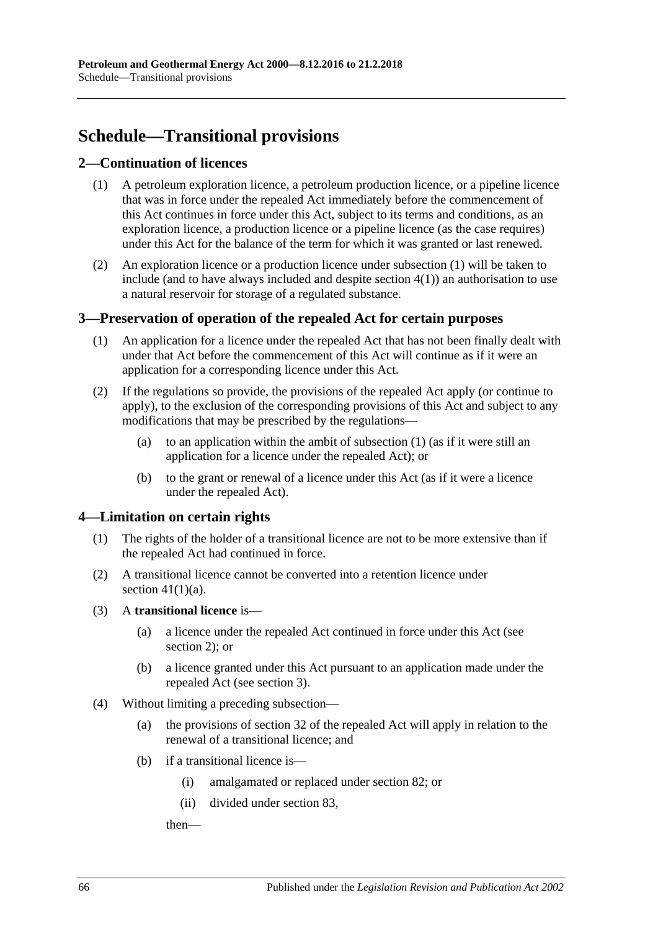# **Schedule—Transitional provisions**

# <span id="page-65-3"></span><span id="page-65-0"></span>**2—Continuation of licences**

- (1) A petroleum exploration licence, a petroleum production licence, or a pipeline licence that was in force under the repealed Act immediately before the commencement of this Act continues in force under this Act, subject to its terms and conditions, as an exploration licence, a production licence or a pipeline licence (as the case requires) under this Act for the balance of the term for which it was granted or last renewed.
- (2) An exploration licence or a production licence under [subsection](#page-65-0) (1) will be taken to include (and to have always included and despite [section](#page-65-1)  $4(1)$ ) an authorisation to use a natural reservoir for storage of a regulated substance.

# <span id="page-65-4"></span><span id="page-65-2"></span>**3—Preservation of operation of the repealed Act for certain purposes**

- (1) An application for a licence under the repealed Act that has not been finally dealt with under that Act before the commencement of this Act will continue as if it were an application for a corresponding licence under this Act.
- (2) If the regulations so provide, the provisions of the repealed Act apply (or continue to apply), to the exclusion of the corresponding provisions of this Act and subject to any modifications that may be prescribed by the regulations—
	- (a) to an application within the ambit of [subsection](#page-65-2) (1) (as if it were still an application for a licence under the repealed Act); or
	- (b) to the grant or renewal of a licence under this Act (as if it were a licence under the repealed Act).

## <span id="page-65-1"></span>**4—Limitation on certain rights**

- (1) The rights of the holder of a transitional licence are not to be more extensive than if the repealed Act had continued in force.
- (2) A transitional licence cannot be converted into a retention licence under section  $41(1)(a)$ .
- (3) A **transitional licence** is—
	- (a) a licence under the repealed Act continued in force under this Act (see [section](#page-65-3) 2); or
	- (b) a licence granted under this Act pursuant to an application made under the repealed Act (see [section](#page-65-4) 3).
- <span id="page-65-5"></span>(4) Without limiting a preceding subsection—
	- (a) the provisions of section 32 of the repealed Act will apply in relation to the renewal of a transitional licence; and
	- (b) if a transitional licence is—
		- (i) amalgamated or replaced under [section](#page-43-2) 82; or
		- (ii) divided under [section](#page-43-3) 83,

then—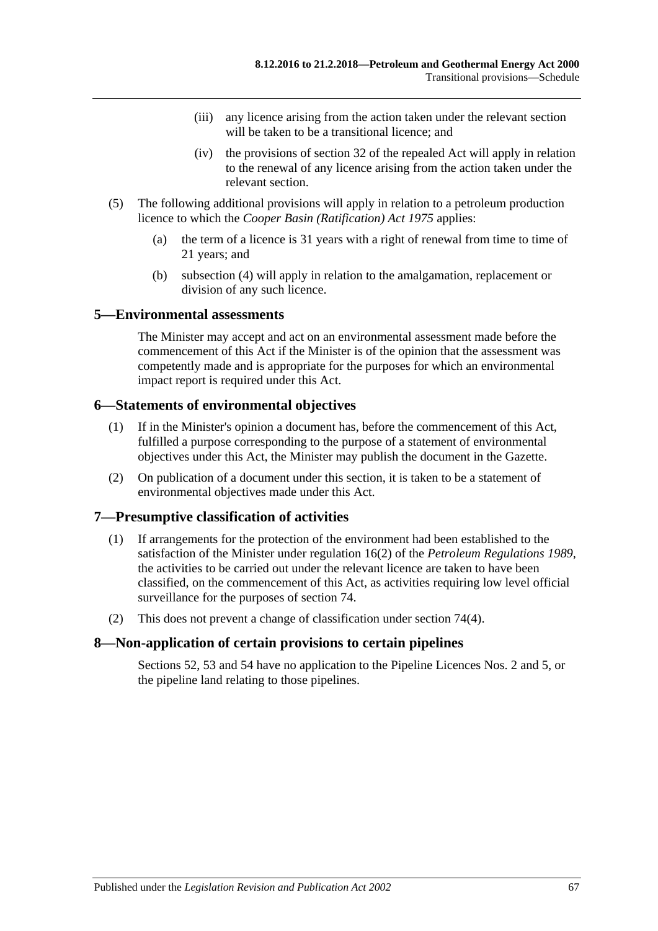- (iii) any licence arising from the action taken under the relevant section will be taken to be a transitional licence; and
- (iv) the provisions of section 32 of the repealed Act will apply in relation to the renewal of any licence arising from the action taken under the relevant section.
- (5) The following additional provisions will apply in relation to a petroleum production licence to which the *[Cooper Basin \(Ratification\) Act](http://www.legislation.sa.gov.au/index.aspx?action=legref&type=act&legtitle=Cooper%20Basin%20(Ratification)%20Act%201975) 1975* applies:
	- (a) the term of a licence is 31 years with a right of renewal from time to time of 21 years; and
	- (b) [subsection](#page-65-5) (4) will apply in relation to the amalgamation, replacement or division of any such licence.

#### **5—Environmental assessments**

The Minister may accept and act on an environmental assessment made before the commencement of this Act if the Minister is of the opinion that the assessment was competently made and is appropriate for the purposes for which an environmental impact report is required under this Act.

#### **6—Statements of environmental objectives**

- (1) If in the Minister's opinion a document has, before the commencement of this Act, fulfilled a purpose corresponding to the purpose of a statement of environmental objectives under this Act, the Minister may publish the document in the Gazette.
- (2) On publication of a document under this section, it is taken to be a statement of environmental objectives made under this Act.

## **7—Presumptive classification of activities**

- (1) If arrangements for the protection of the environment had been established to the satisfaction of the Minister under regulation 16(2) of the *[Petroleum Regulations](http://www.legislation.sa.gov.au/index.aspx?action=legref&type=subordleg&legtitle=Petroleum%20Regulations%201989) 1989*, the activities to be carried out under the relevant licence are taken to have been classified, on the commencement of this Act, as activities requiring low level official surveillance for the purposes of [section](#page-40-0) 74.
- (2) This does not prevent a change of classification under [section](#page-40-1) 74(4).

## **8—Non-application of certain provisions to certain pipelines**

[Sections](#page-29-0) 52, [53](#page-29-1) and [54](#page-29-2) have no application to the Pipeline Licences Nos. 2 and 5, or the pipeline land relating to those pipelines.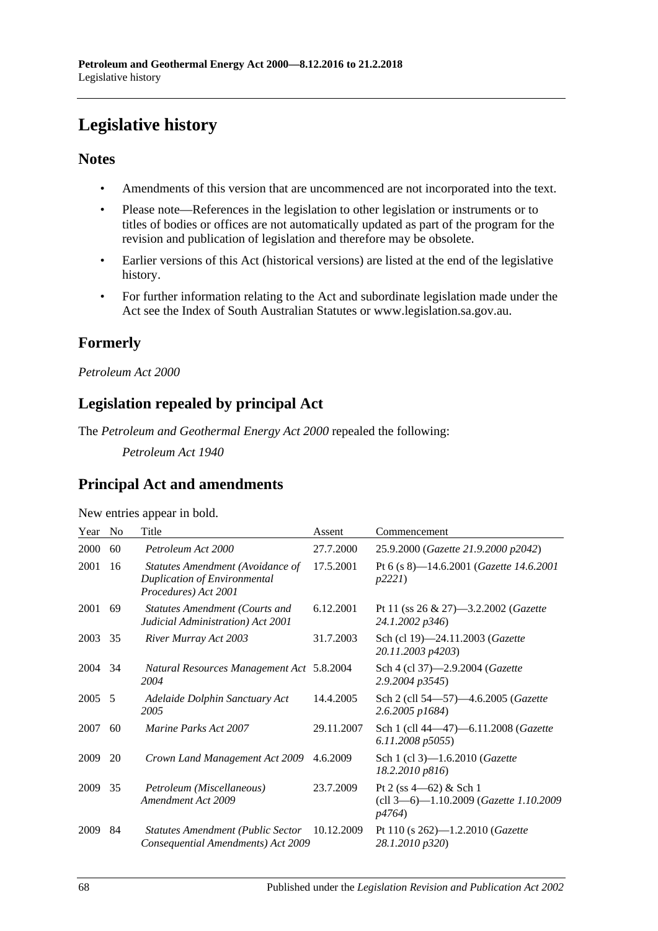# **Legislative history**

# **Notes**

- Amendments of this version that are uncommenced are not incorporated into the text.
- Please note—References in the legislation to other legislation or instruments or to titles of bodies or offices are not automatically updated as part of the program for the revision and publication of legislation and therefore may be obsolete.
- Earlier versions of this Act (historical versions) are listed at the end of the legislative history.
- For further information relating to the Act and subordinate legislation made under the Act see the Index of South Australian Statutes or www.legislation.sa.gov.au.

# **Formerly**

## *Petroleum Act 2000*

# **Legislation repealed by principal Act**

The *Petroleum and Geothermal Energy Act 2000* repealed the following:

*Petroleum Act 1940*

# **Principal Act and amendments**

| New entries appear in bold. |  |  |
|-----------------------------|--|--|
|                             |  |  |

| Year   | N <sub>o</sub> | Title                                                                                    | Assent     | Commencement                                                                           |
|--------|----------------|------------------------------------------------------------------------------------------|------------|----------------------------------------------------------------------------------------|
| 2000   | 60             | Petroleum Act 2000                                                                       | 27.7.2000  | 25.9.2000 (Gazette 21.9.2000 p2042)                                                    |
| 2001   | 16             | Statutes Amendment (Avoidance of<br>Duplication of Environmental<br>Procedures) Act 2001 | 17.5.2001  | Pt 6 (s 8)-14.6.2001 (Gazette 14.6.2001<br><i>p</i> 2221)                              |
| 2001   | 69             | <b>Statutes Amendment (Courts and</b><br>Judicial Administration) Act 2001               | 6.12.2001  | Pt 11 (ss $26 \& 27$ )—3.2.2002 ( <i>Gazette</i><br>24.1.2002 p346)                    |
| 2003   | 35             | River Murray Act 2003                                                                    | 31.7.2003  | Sch (cl 19)-24.11.2003 (Gazette<br>20.11.2003 p4203)                                   |
| 2004   | 34             | Natural Resources Management Act 5.8.2004<br>2004                                        |            | Sch 4 (cl 37)-2.9.2004 (Gazette<br>2.9.2004 p3545)                                     |
| 2005 5 |                | Adelaide Dolphin Sanctuary Act<br>2005                                                   | 14.4.2005  | Sch 2 (cll 54-57)-4.6.2005 (Gazette<br>2.6.2005 p1684)                                 |
| 2007   | 60             | Marine Parks Act 2007                                                                    | 29.11.2007 | Sch 1 (cll 44-47)-6.11.2008 (Gazette<br>6.11.2008 p5055)                               |
| 2009   | 20             | Crown Land Management Act 2009                                                           | 4.6.2009   | Sch 1 (cl 3)-1.6.2010 ( <i>Gazette</i><br>18.2.2010 p816)                              |
| 2009   | 35             | Petroleum (Miscellaneous)<br>Amendment Act 2009                                          | 23.7.2009  | Pt 2 (ss $4-62$ ) & Sch 1<br>(cll 3-6)-1.10.2009 (Gazette 1.10.2009)<br><i>p4764</i> ) |
| 2009   | 84             | <b>Statutes Amendment (Public Sector</b><br>Consequential Amendments) Act 2009           | 10.12.2009 | Pt 110 (s $262$ )—1.2.2010 ( <i>Gazette</i><br>28.1.2010 p320)                         |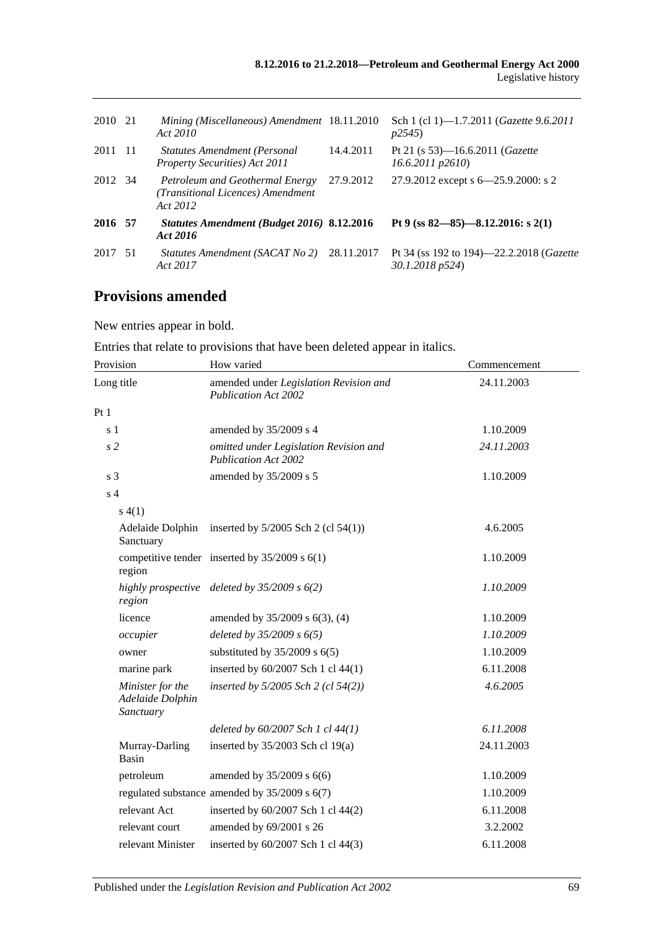| 2010 21 | Mining (Miscellaneous) Amendment 18.11.2010<br>Act 2010                          |            | Sch 1 (cl 1)-1.7.2011 ( <i>Gazette 9.6.2011</i><br>p2545            |
|---------|----------------------------------------------------------------------------------|------------|---------------------------------------------------------------------|
| 2011 11 | <b>Statutes Amendment (Personal</b><br><b>Property Securities</b> ) Act 2011     | 14.4.2011  | Pt 21 (s 53)—16.6.2011 ( <i>Gazette</i><br>$16.6.2011$ $p2610$      |
| 2012 34 | Petroleum and Geothermal Energy<br>(Transitional Licences) Amendment<br>Act 2012 | 27.9.2012  | 27.9.2012 except s 6–25.9.2000: s 2                                 |
| 2016 57 | Statutes Amendment (Budget 2016) 8.12.2016<br>Act 2016                           |            | Pt 9 (ss $82 - 85$ ) - 8.12.2016: s 2(1)                            |
| 2017 51 | Statutes Amendment (SACAT No 2)<br>Act 2017                                      | 28.11.2017 | Pt 34 (ss 192 to 194)—22.2.2018 ( <i>Gazette</i><br>30.1.2018 p524) |

# **Provisions amended**

New entries appear in bold.

| Entries that relate to provisions that have been deleted appear in italics. |  |  |  |  |  |
|-----------------------------------------------------------------------------|--|--|--|--|--|
|-----------------------------------------------------------------------------|--|--|--|--|--|

| Provision                                         | How varied                                                            | Commencement |
|---------------------------------------------------|-----------------------------------------------------------------------|--------------|
| Long title                                        | amended under Legislation Revision and<br><b>Publication Act 2002</b> | 24.11.2003   |
| Pt1                                               |                                                                       |              |
| s 1                                               | amended by 35/2009 s 4                                                | 1.10.2009    |
| s <sub>2</sub>                                    | omitted under Legislation Revision and<br><b>Publication Act 2002</b> | 24.11.2003   |
| s <sub>3</sub>                                    | amended by 35/2009 s 5                                                | 1.10.2009    |
| s <sub>4</sub>                                    |                                                                       |              |
| s(4(1))                                           |                                                                       |              |
| Adelaide Dolphin<br>Sanctuary                     | inserted by 5/2005 Sch 2 (cl 54(1))                                   | 4.6.2005     |
| region                                            | competitive tender inserted by $35/2009$ s $6(1)$                     | 1.10.2009    |
| region                                            | highly prospective deleted by $35/2009$ s $6(2)$                      | 1.10.2009    |
| licence                                           | amended by 35/2009 s 6(3), (4)                                        | 1.10.2009    |
| occupier                                          | deleted by $35/2009 s 6(5)$                                           | 1.10.2009    |
| owner                                             | substituted by $35/2009$ s $6(5)$                                     | 1.10.2009    |
| marine park                                       | inserted by 60/2007 Sch 1 cl 44(1)                                    | 6.11.2008    |
| Minister for the<br>Adelaide Dolphin<br>Sanctuary | inserted by 5/2005 Sch 2 (cl 54(2))                                   | 4.6.2005     |
|                                                   | deleted by 60/2007 Sch 1 cl 44(1)                                     | 6.11.2008    |
| Murray-Darling<br><b>Basin</b>                    | inserted by $35/2003$ Sch cl 19(a)                                    | 24.11.2003   |
| petroleum                                         | amended by $35/2009$ s $6(6)$                                         | 1.10.2009    |
|                                                   | regulated substance amended by 35/2009 s 6(7)                         | 1.10.2009    |
| relevant Act                                      | inserted by 60/2007 Sch 1 cl 44(2)                                    | 6.11.2008    |
| relevant court                                    | amended by 69/2001 s 26                                               | 3.2.2002     |
| relevant Minister                                 | inserted by 60/2007 Sch 1 cl 44(3)                                    | 6.11.2008    |
|                                                   |                                                                       |              |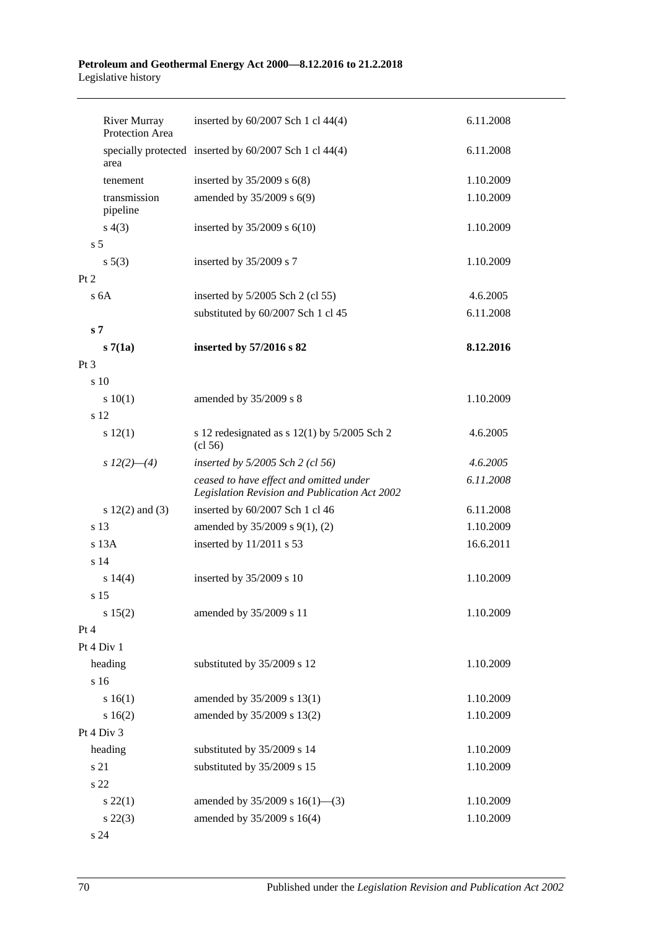#### **Petroleum and Geothermal Energy Act 2000—8.12.2016 to 21.2.2018** Legislative history

|                | <b>River Murray</b><br>Protection Area | inserted by 60/2007 Sch 1 cl 44(4)                                                       | 6.11.2008 |
|----------------|----------------------------------------|------------------------------------------------------------------------------------------|-----------|
|                | area                                   | specially protected inserted by 60/2007 Sch 1 cl 44(4)                                   | 6.11.2008 |
|                | tenement                               | inserted by $35/2009$ s $6(8)$                                                           | 1.10.2009 |
|                | transmission<br>pipeline               | amended by 35/2009 s 6(9)                                                                | 1.10.2009 |
|                | s(4(3))                                | inserted by $35/2009$ s $6(10)$                                                          | 1.10.2009 |
| s <sub>5</sub> |                                        |                                                                                          |           |
|                | $s\ 5(3)$                              | inserted by 35/2009 s 7                                                                  | 1.10.2009 |
| Pt 2           |                                        |                                                                                          |           |
|                | s <sub>6A</sub>                        | inserted by $5/2005$ Sch 2 (cl 55)                                                       | 4.6.2005  |
|                |                                        | substituted by 60/2007 Sch 1 cl 45                                                       | 6.11.2008 |
| s <sub>7</sub> |                                        |                                                                                          |           |
|                | s7(1a)                                 | inserted by 57/2016 s 82                                                                 | 8.12.2016 |
| $Pt\,3$        |                                        |                                                                                          |           |
|                | s 10                                   |                                                                                          |           |
|                | 10(1)                                  | amended by 35/2009 s 8                                                                   | 1.10.2009 |
|                | s 12                                   |                                                                                          |           |
|                | s 12(1)                                | s 12 redesignated as s $12(1)$ by $5/2005$ Sch 2<br>(cl 56)                              | 4.6.2005  |
|                | s $12(2)$ - (4)                        | inserted by $5/2005$ Sch 2 (cl 56)                                                       | 4.6.2005  |
|                |                                        | ceased to have effect and omitted under<br>Legislation Revision and Publication Act 2002 | 6.11.2008 |
|                | s $12(2)$ and $(3)$                    | inserted by 60/2007 Sch 1 cl 46                                                          | 6.11.2008 |
|                | s 13                                   | amended by 35/2009 s 9(1), (2)                                                           | 1.10.2009 |
|                | $s$ 13 $A$                             | inserted by 11/2011 s 53                                                                 | 16.6.2011 |
|                | s 14                                   |                                                                                          |           |
|                | s 14(4)                                | inserted by 35/2009 s 10                                                                 | 1.10.2009 |
|                | s 15                                   |                                                                                          |           |
|                | s 15(2)                                | amended by 35/2009 s 11                                                                  | 1.10.2009 |
| Pt 4           |                                        |                                                                                          |           |
|                | Pt 4 Div 1                             |                                                                                          |           |
|                | heading                                | substituted by 35/2009 s 12                                                              | 1.10.2009 |
|                | s 16                                   |                                                                                          |           |
|                | s 16(1)                                | amended by 35/2009 s 13(1)                                                               | 1.10.2009 |
|                | s 16(2)                                | amended by 35/2009 s 13(2)                                                               | 1.10.2009 |
|                | Pt 4 Div 3                             |                                                                                          |           |
|                | heading                                | substituted by 35/2009 s 14                                                              | 1.10.2009 |
|                | s 21                                   | substituted by 35/2009 s 15                                                              | 1.10.2009 |
|                | s 22                                   |                                                                                          |           |
|                | $s\ 22(1)$                             | amended by $35/2009$ s $16(1)$ —(3)                                                      | 1.10.2009 |
|                | $s\,22(3)$                             | amended by 35/2009 s 16(4)                                                               | 1.10.2009 |
|                | s 24                                   |                                                                                          |           |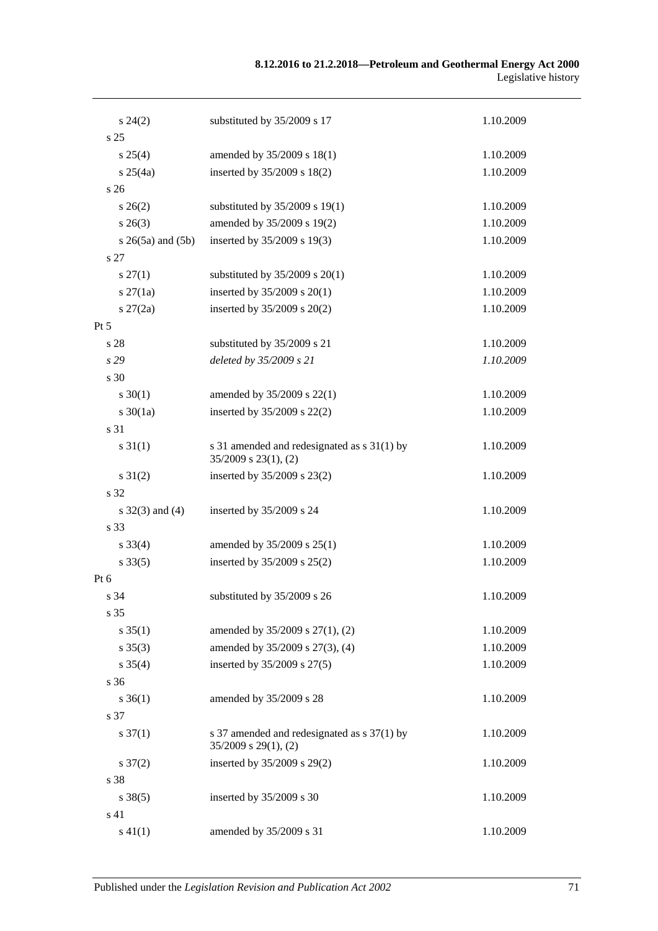#### **8.12.2016 to 21.2.2018—Petroleum and Geothermal Energy Act 2000** Legislative history

| $s\,24(2)$               | substituted by 35/2009 s 17                                              | 1.10.2009 |
|--------------------------|--------------------------------------------------------------------------|-----------|
| s <sub>25</sub>          |                                                                          |           |
| s 25(4)                  | amended by 35/2009 s 18(1)                                               | 1.10.2009 |
| $s \, 25(4a)$            | inserted by 35/2009 s 18(2)                                              | 1.10.2009 |
| s 26                     |                                                                          |           |
| $s \, 26(2)$             | substituted by $35/2009$ s 19(1)                                         | 1.10.2009 |
| $s \; 26(3)$             | amended by 35/2009 s 19(2)                                               | 1.10.2009 |
| $s \; 26(5a)$ and $(5b)$ | inserted by 35/2009 s 19(3)                                              | 1.10.2009 |
| s 27                     |                                                                          |           |
| $s \, 27(1)$             | substituted by $35/2009$ s $20(1)$                                       | 1.10.2009 |
| $s \, 27(1a)$            | inserted by $35/2009$ s $20(1)$                                          | 1.10.2009 |
| $s \, 27(2a)$            | inserted by 35/2009 s 20(2)                                              | 1.10.2009 |
| $Pt\,5$                  |                                                                          |           |
| s 28                     | substituted by 35/2009 s 21                                              | 1.10.2009 |
| s29                      | deleted by 35/2009 s 21                                                  | 1.10.2009 |
| s 30                     |                                                                          |           |
| $s \ 30(1)$              | amended by 35/2009 s 22(1)                                               | 1.10.2009 |
| $s \ 30(1a)$             | inserted by 35/2009 s 22(2)                                              | 1.10.2009 |
| s 31                     |                                                                          |           |
| $s \, 31(1)$             | s 31 amended and redesignated as s 31(1) by<br>$35/2009$ s $23(1)$ , (2) | 1.10.2009 |
| $s \, 31(2)$             | inserted by 35/2009 s 23(2)                                              | 1.10.2009 |
| s 32                     |                                                                          |           |
| $s \, 32(3)$ and (4)     | inserted by 35/2009 s 24                                                 | 1.10.2009 |
| s 33                     |                                                                          |           |
| $s \, 33(4)$             | amended by 35/2009 s 25(1)                                               | 1.10.2009 |
| $s \, 33(5)$             | inserted by 35/2009 s 25(2)                                              | 1.10.2009 |
| Pt 6                     |                                                                          |           |
| s 34                     | substituted by 35/2009 s 26                                              | 1.10.2009 |
| s 35                     |                                                                          |           |
| $s \, 35(1)$             | amended by 35/2009 s 27(1), (2)                                          | 1.10.2009 |
| $s \, 35(3)$             | amended by 35/2009 s 27(3), (4)                                          | 1.10.2009 |
| $s \, 35(4)$             | inserted by 35/2009 s 27(5)                                              | 1.10.2009 |
| s 36                     |                                                                          |           |
| $s \, 36(1)$             | amended by 35/2009 s 28                                                  | 1.10.2009 |
| s 37                     |                                                                          |           |
| $s \frac{37(1)}{2}$      | s 37 amended and redesignated as s 37(1) by<br>$35/2009$ s $29(1)$ , (2) | 1.10.2009 |
| $s \frac{37(2)}{2}$      | inserted by 35/2009 s 29(2)                                              | 1.10.2009 |
| s 38                     |                                                                          |           |
| $s \, 38(5)$             | inserted by 35/2009 s 30                                                 | 1.10.2009 |
| s 41                     |                                                                          |           |
| $s\ 41(1)$               | amended by 35/2009 s 31                                                  | 1.10.2009 |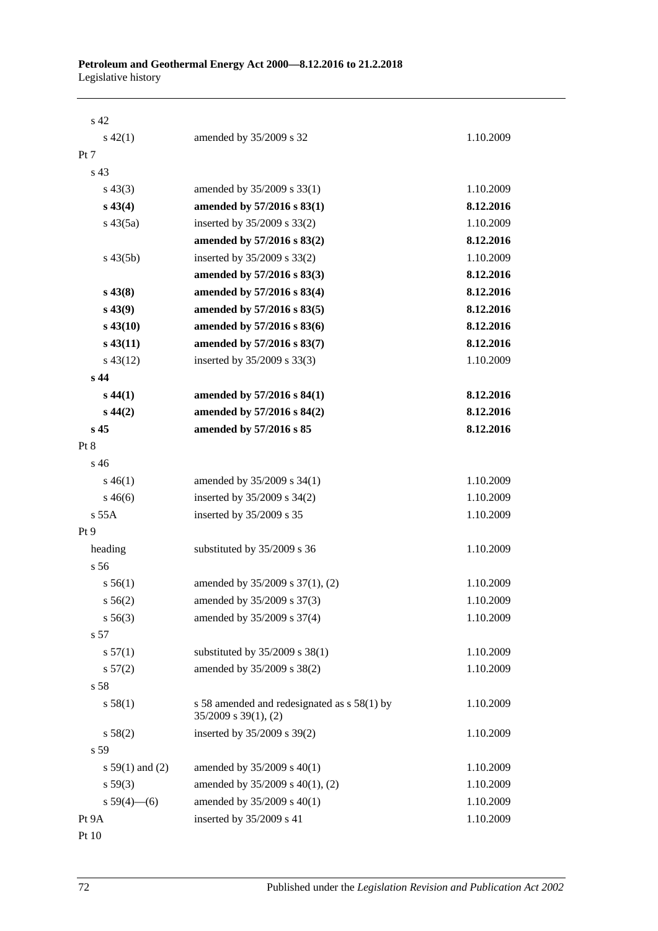| s <sub>42</sub>   |                                                                          |           |
|-------------------|--------------------------------------------------------------------------|-----------|
| $s\ 42(1)$        | amended by 35/2009 s 32                                                  | 1.10.2009 |
| Pt 7              |                                                                          |           |
| s <sub>43</sub>   |                                                                          |           |
| $s\,43(3)$        | amended by 35/2009 s 33(1)                                               | 1.10.2009 |
| $s\,43(4)$        | amended by 57/2016 s 83(1)                                               | 8.12.2016 |
| $s\,43(5a)$       | inserted by 35/2009 s 33(2)                                              | 1.10.2009 |
|                   | amended by 57/2016 s 83(2)                                               | 8.12.2016 |
| $s\,43(5b)$       | inserted by 35/2009 s 33(2)                                              | 1.10.2009 |
|                   | amended by 57/2016 s 83(3)                                               | 8.12.2016 |
| $s\,43(8)$        | amended by 57/2016 s 83(4)                                               | 8.12.2016 |
| $s\,43(9)$        | amended by 57/2016 s 83(5)                                               | 8.12.2016 |
| $s\,43(10)$       | amended by 57/2016 s 83(6)                                               | 8.12.2016 |
| $s\,43(11)$       | amended by 57/2016 s 83(7)                                               | 8.12.2016 |
| $s\,43(12)$       | inserted by 35/2009 s 33(3)                                              | 1.10.2009 |
| s <sub>44</sub>   |                                                                          |           |
| $s\,44(1)$        | amended by 57/2016 s 84(1)                                               | 8.12.2016 |
| $s\,44(2)$        | amended by 57/2016 s 84(2)                                               | 8.12.2016 |
| s <sub>45</sub>   | amended by 57/2016 s 85                                                  | 8.12.2016 |
| Pt 8              |                                                                          |           |
| s <sub>46</sub>   |                                                                          |           |
| $s\,46(1)$        | amended by 35/2009 s 34(1)                                               | 1.10.2009 |
| $s\,46(6)$        | inserted by 35/2009 s 34(2)                                              | 1.10.2009 |
| $s$ 55 $A$        | inserted by 35/2009 s 35                                                 | 1.10.2009 |
| Pt <sub>9</sub>   |                                                                          |           |
| heading           | substituted by 35/2009 s 36                                              | 1.10.2009 |
| s 56              |                                                                          |           |
| s 56(1)           | amended by 35/2009 s 37(1), (2)                                          | 1.10.2009 |
| s 56(2)           | amended by 35/2009 s 37(3)                                               | 1.10.2009 |
| $s\,56(3)$        | amended by 35/2009 s 37(4)                                               | 1.10.2009 |
| s 57              |                                                                          |           |
| s 57(1)           | substituted by 35/2009 s 38(1)                                           | 1.10.2009 |
| s 57(2)           | amended by 35/2009 s 38(2)                                               | 1.10.2009 |
| s 58              |                                                                          |           |
| s 58(1)           | s 58 amended and redesignated as s 58(1) by<br>$35/2009$ s $39(1)$ , (2) | 1.10.2009 |
| s 58(2)           | inserted by 35/2009 s 39(2)                                              | 1.10.2009 |
| s 59              |                                                                          |           |
| s $59(1)$ and (2) | amended by 35/2009 s 40(1)                                               | 1.10.2009 |
| s 59(3)           | amended by 35/2009 s 40(1), (2)                                          | 1.10.2009 |
| s $59(4)$ (6)     | amended by 35/2009 s 40(1)                                               | 1.10.2009 |
| Pt 9A             | inserted by 35/2009 s 41                                                 | 1.10.2009 |
| Pt 10             |                                                                          |           |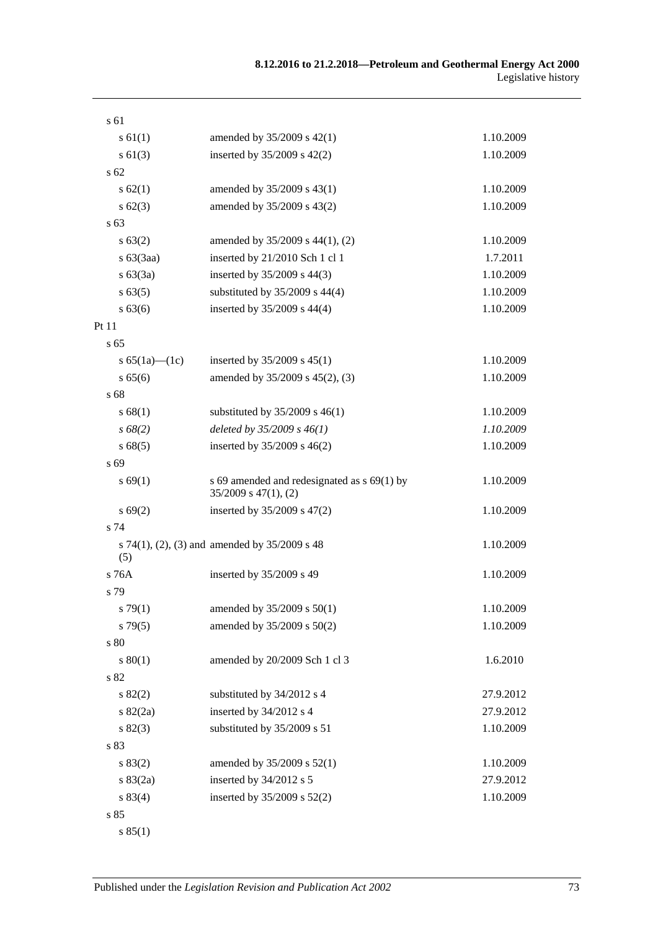| s 61                |                                                                          |           |
|---------------------|--------------------------------------------------------------------------|-----------|
| s 61(1)             | amended by 35/2009 s 42(1)                                               | 1.10.2009 |
| $s \ 61(3)$         | inserted by $35/2009$ s $42(2)$                                          | 1.10.2009 |
| s <sub>62</sub>     |                                                                          |           |
| s 62(1)             | amended by 35/2009 s 43(1)                                               | 1.10.2009 |
| $s \, 62(3)$        | amended by 35/2009 s 43(2)                                               | 1.10.2009 |
| s <sub>63</sub>     |                                                                          |           |
| s 63(2)             | amended by 35/2009 s 44(1), (2)                                          | 1.10.2009 |
| $s\ 63(3aa)$        | inserted by 21/2010 Sch 1 cl 1                                           | 1.7.2011  |
| s 63(3a)            | inserted by 35/2009 s 44(3)                                              | 1.10.2009 |
| s 63(5)             | substituted by $35/2009$ s $44(4)$                                       | 1.10.2009 |
| $s\,63(6)$          | inserted by 35/2009 s 44(4)                                              | 1.10.2009 |
| Pt 11               |                                                                          |           |
| s <sub>65</sub>     |                                                                          |           |
| s $65(1a)$ — $(1c)$ | inserted by $35/2009$ s $45(1)$                                          | 1.10.2009 |
| s 65(6)             | amended by 35/2009 s 45(2), (3)                                          | 1.10.2009 |
| s 68                |                                                                          |           |
| s 68(1)             | substituted by $35/2009$ s $46(1)$                                       | 1.10.2009 |
| $s\,68(2)$          | deleted by $35/2009 s 46(1)$                                             | 1.10.2009 |
| s68(5)              | inserted by $35/2009$ s $46(2)$                                          | 1.10.2009 |
| s 69                |                                                                          |           |
| s 69(1)             | s 69 amended and redesignated as s 69(1) by<br>$35/2009$ s $47(1)$ , (2) | 1.10.2009 |
| s 69(2)             | inserted by 35/2009 s 47(2)                                              | 1.10.2009 |
| s 74                |                                                                          |           |
| (5)                 | s 74(1), (2), (3) and amended by $35/2009$ s 48                          | 1.10.2009 |
| s 76A               | inserted by 35/2009 s 49                                                 | 1.10.2009 |
| s 79                |                                                                          |           |
| s79(1)              | amended by 35/2009 s 50(1)                                               | 1.10.2009 |
| $s\,79(5)$          | amended by 35/2009 s 50(2)                                               | 1.10.2009 |
| s 80                |                                                                          |           |
| s 80(1)             | amended by 20/2009 Sch 1 cl 3                                            | 1.6.2010  |
| s 82                |                                                                          |           |
| s 82(2)             | substituted by 34/2012 s 4                                               | 27.9.2012 |
| $s \, 82(2a)$       | inserted by 34/2012 s 4                                                  | 27.9.2012 |
| s 82(3)             | substituted by 35/2009 s 51                                              | 1.10.2009 |
| s 83                |                                                                          |           |
| s 83(2)             | amended by 35/2009 s 52(1)                                               | 1.10.2009 |
| s 83(2a)            | inserted by 34/2012 s 5                                                  | 27.9.2012 |
| s 83(4)             | inserted by 35/2009 s 52(2)                                              | 1.10.2009 |
| s 85                |                                                                          |           |
|                     |                                                                          |           |

s 85(1)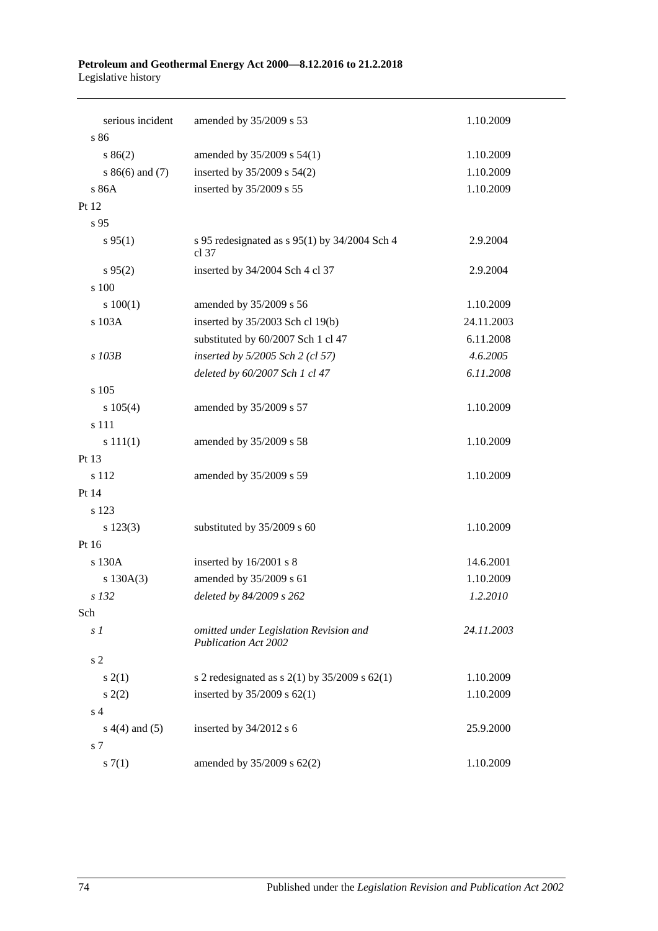#### **Petroleum and Geothermal Energy Act 2000—8.12.2016 to 21.2.2018** Legislative history

| serious incident   | amended by 35/2009 s 53                                               | 1.10.2009  |
|--------------------|-----------------------------------------------------------------------|------------|
| s 86               |                                                                       |            |
| s 86(2)            | amended by 35/2009 s 54(1)                                            | 1.10.2009  |
| $s86(6)$ and (7)   | inserted by 35/2009 s 54(2)                                           | 1.10.2009  |
| s 86A              | inserted by 35/2009 s 55                                              | 1.10.2009  |
| Pt 12              |                                                                       |            |
| s 95               |                                                                       |            |
| s 95(1)            | s 95 redesignated as s 95(1) by $34/2004$ Sch 4<br>cl.37              | 2.9.2004   |
| $s\,95(2)$         | inserted by 34/2004 Sch 4 cl 37                                       | 2.9.2004   |
| s 100              |                                                                       |            |
| 100(1)             | amended by 35/2009 s 56                                               | 1.10.2009  |
| s 103A             | inserted by 35/2003 Sch cl 19(b)                                      | 24.11.2003 |
|                    | substituted by 60/2007 Sch 1 cl 47                                    | 6.11.2008  |
| s 103B             | inserted by 5/2005 Sch 2 (cl 57)                                      | 4.6.2005   |
|                    | deleted by 60/2007 Sch 1 cl 47                                        | 6.11.2008  |
| s 105              |                                                                       |            |
| $s\ 105(4)$        | amended by 35/2009 s 57                                               | 1.10.2009  |
| s 111              |                                                                       |            |
| s 111(1)           | amended by 35/2009 s 58                                               | 1.10.2009  |
| Pt 13              |                                                                       |            |
| s 112              | amended by 35/2009 s 59                                               | 1.10.2009  |
| Pt 14              |                                                                       |            |
| s 123              |                                                                       |            |
| $s\ 123(3)$        | substituted by 35/2009 s 60                                           | 1.10.2009  |
| Pt 16              |                                                                       |            |
| s 130A             | inserted by 16/2001 s 8                                               | 14.6.2001  |
| s 130A(3)          | amended by 35/2009 s 61                                               | 1.10.2009  |
| s 132              | deleted by 84/2009 s 262                                              | 1.2.2010   |
| Sch                |                                                                       |            |
| s <sub>1</sub>     | omitted under Legislation Revision and<br><b>Publication Act 2002</b> | 24.11.2003 |
| s <sub>2</sub>     |                                                                       |            |
| s(2(1))            | s 2 redesignated as s $2(1)$ by $35/2009$ s $62(1)$                   | 1.10.2009  |
| s(2)               | inserted by $35/2009$ s $62(1)$                                       | 1.10.2009  |
| s <sub>4</sub>     |                                                                       |            |
| $s(4(4)$ and $(5)$ | inserted by 34/2012 s 6                                               | 25.9.2000  |
| s 7                |                                                                       |            |
| s(7(1)             | amended by 35/2009 s 62(2)                                            | 1.10.2009  |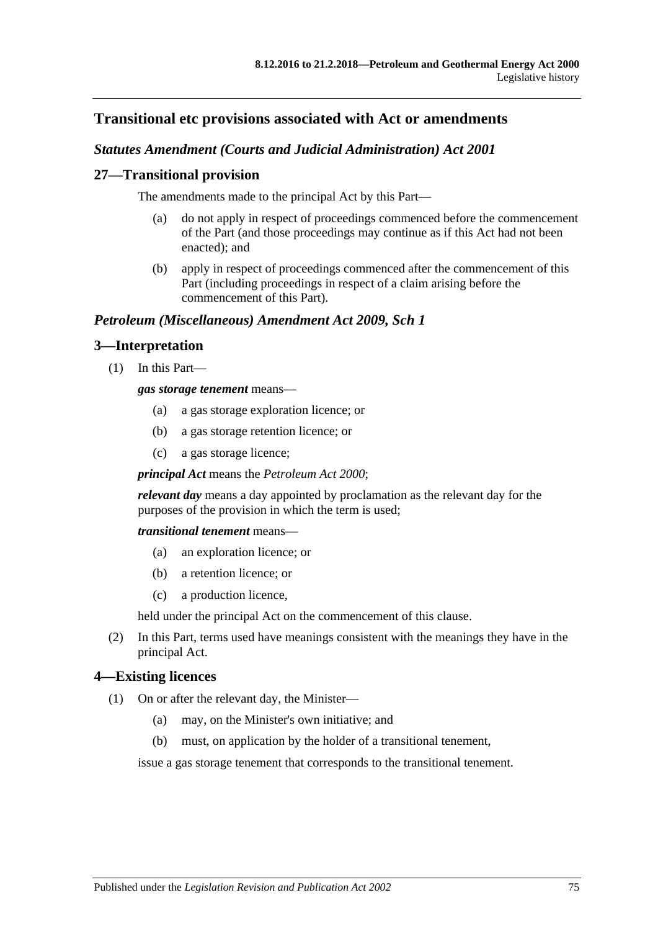# **Transitional etc provisions associated with Act or amendments**

## *Statutes Amendment (Courts and Judicial Administration) Act 2001*

### **27—Transitional provision**

The amendments made to the principal Act by this Part—

- (a) do not apply in respect of proceedings commenced before the commencement of the Part (and those proceedings may continue as if this Act had not been enacted); and
- (b) apply in respect of proceedings commenced after the commencement of this Part (including proceedings in respect of a claim arising before the commencement of this Part).

### *Petroleum (Miscellaneous) Amendment Act 2009, Sch 1*

## **3—Interpretation**

(1) In this Part—

#### *gas storage tenement* means—

- (a) a gas storage exploration licence; or
- (b) a gas storage retention licence; or
- (c) a gas storage licence;

*principal Act* means the *[Petroleum Act](http://www.legislation.sa.gov.au/index.aspx?action=legref&type=act&legtitle=Petroleum%20Act%202000) 2000*;

*relevant day* means a day appointed by proclamation as the relevant day for the purposes of the provision in which the term is used;

*transitional tenement* means—

- (a) an exploration licence; or
- (b) a retention licence; or
- (c) a production licence,

held under the principal Act on the commencement of this clause.

(2) In this Part, terms used have meanings consistent with the meanings they have in the principal Act.

### <span id="page-74-0"></span>**4—Existing licences**

- (1) On or after the relevant day, the Minister—
	- (a) may, on the Minister's own initiative; and
	- (b) must, on application by the holder of a transitional tenement,

issue a gas storage tenement that corresponds to the transitional tenement.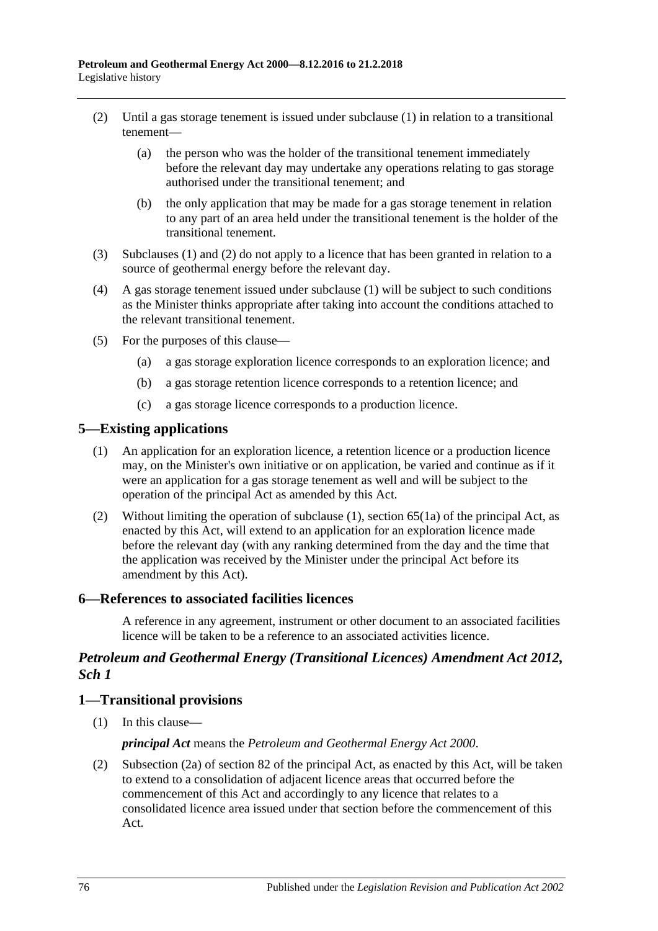- <span id="page-75-0"></span>(2) Until a gas storage tenement is issued under [subclause](#page-74-0) (1) in relation to a transitional tenement—
	- (a) the person who was the holder of the transitional tenement immediately before the relevant day may undertake any operations relating to gas storage authorised under the transitional tenement; and
	- (b) the only application that may be made for a gas storage tenement in relation to any part of an area held under the transitional tenement is the holder of the transitional tenement.
- (3) [Subclauses](#page-74-0) (1) and [\(2\)](#page-75-0) do not apply to a licence that has been granted in relation to a source of geothermal energy before the relevant day.
- (4) A gas storage tenement issued under [subclause](#page-74-0) (1) will be subject to such conditions as the Minister thinks appropriate after taking into account the conditions attached to the relevant transitional tenement.
- (5) For the purposes of this clause—
	- (a) a gas storage exploration licence corresponds to an exploration licence; and
	- (b) a gas storage retention licence corresponds to a retention licence; and
	- (c) a gas storage licence corresponds to a production licence.

#### <span id="page-75-1"></span>**5—Existing applications**

- (1) An application for an exploration licence, a retention licence or a production licence may, on the Minister's own initiative or on application, be varied and continue as if it were an application for a gas storage tenement as well and will be subject to the operation of the principal Act as amended by this Act.
- (2) Without limiting the operation of [subclause](#page-75-1) (1), section 65(1a) of the principal Act, as enacted by this Act, will extend to an application for an exploration licence made before the relevant day (with any ranking determined from the day and the time that the application was received by the Minister under the principal Act before its amendment by this Act).

#### **6—References to associated facilities licences**

A reference in any agreement, instrument or other document to an associated facilities licence will be taken to be a reference to an associated activities licence.

### *Petroleum and Geothermal Energy (Transitional Licences) Amendment Act 2012, Sch 1*

### **1—Transitional provisions**

(1) In this clause—

#### *principal Act* means the *[Petroleum and Geothermal Energy Act](http://www.legislation.sa.gov.au/index.aspx?action=legref&type=act&legtitle=Petroleum%20and%20Geothermal%20Energy%20Act%202000) 2000*.

(2) Subsection (2a) of section 82 of the principal Act, as enacted by this Act, will be taken to extend to a consolidation of adjacent licence areas that occurred before the commencement of this Act and accordingly to any licence that relates to a consolidated licence area issued under that section before the commencement of this Act.